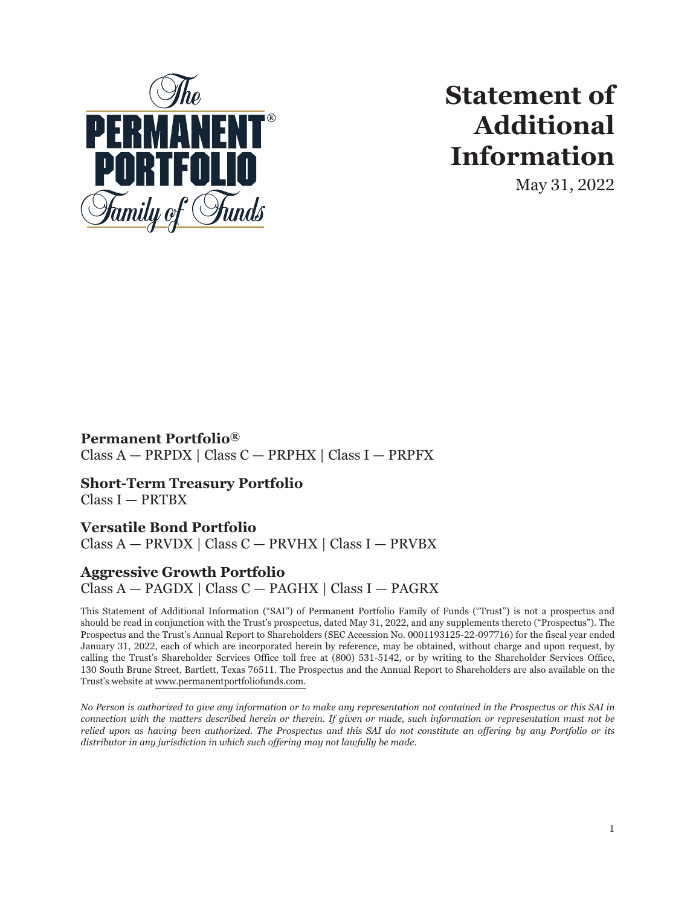

# **Statement of Additional Information**

May 31, 2022

**Permanent Portfolio®** Class A — PRPDX | Class C — PRPHX | Class I — PRPFX

**Short-Term Treasury Portfolio** Class I — PRTBX

# **Versatile Bond Portfolio**

Class A — PRVDX | Class C — PRVHX | Class I — PRVBX

# **Aggressive Growth Portfolio**

Class A — PAGDX | Class C — PAGHX | Class I — PAGRX

This Statement of Additional Information ("SAI") of Permanent Portfolio Family of Funds ("Trust") is not a prospectus and should be read in conjunction with the Trust's prospectus, dated May 31, 2022, and any supplements thereto ("Prospectus"). The Prospectus and the Trust's Annual Report to Shareholders (SEC Accession No. 0001193125-22-097716) for the fiscal year ended January 31, 2022, each of which are incorporated herein by reference, may be obtained, without charge and upon request, by calling the Trust's Shareholder Services Office toll free at (800) 531-5142, or by writing to the Shareholder Services Office, 130 South Brune Street, Bartlett, Texas 76511. The Prospectus and the Annual Report to Shareholders are also available on the Trust's website at www.permanentportfoliofunds.com.

*No Person is authorized to give any information or to make any representation not contained in the Prospectus or this SAI in connection with the matters described herein or therein. If given or made, such information or representation must not be relied upon as having been authorized. The Prospectus and this SAI do not constitute an offering by any Portfolio or its distributor in any jurisdiction in which such offering may not lawfully be made.*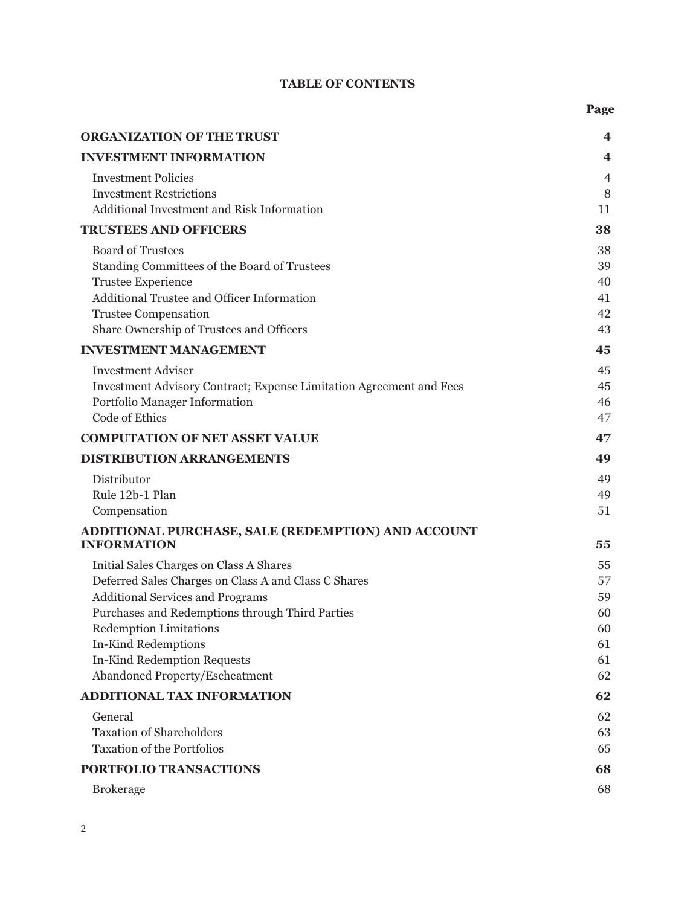# **TABLE OF CONTENTS**

| <b>ORGANIZATION OF THE TRUST</b>                                                                                                                                                                                                                                                                                       | $\overline{\mathbf{4}}$                      |
|------------------------------------------------------------------------------------------------------------------------------------------------------------------------------------------------------------------------------------------------------------------------------------------------------------------------|----------------------------------------------|
| <b>INVESTMENT INFORMATION</b>                                                                                                                                                                                                                                                                                          | 4                                            |
| <b>Investment Policies</b><br><b>Investment Restrictions</b><br>Additional Investment and Risk Information                                                                                                                                                                                                             | $\overline{4}$<br>8<br>11                    |
| <b>TRUSTEES AND OFFICERS</b>                                                                                                                                                                                                                                                                                           | 38                                           |
| <b>Board of Trustees</b><br>Standing Committees of the Board of Trustees<br><b>Trustee Experience</b><br>Additional Trustee and Officer Information<br><b>Trustee Compensation</b><br>Share Ownership of Trustees and Officers                                                                                         | 38<br>39<br>40<br>41<br>42<br>43             |
| <b>INVESTMENT MANAGEMENT</b>                                                                                                                                                                                                                                                                                           | 45                                           |
| <b>Investment Adviser</b><br>Investment Advisory Contract; Expense Limitation Agreement and Fees<br>Portfolio Manager Information<br><b>Code of Ethics</b>                                                                                                                                                             | 45<br>45<br>46<br>47                         |
| <b>COMPUTATION OF NET ASSET VALUE</b>                                                                                                                                                                                                                                                                                  | 47                                           |
| <b>DISTRIBUTION ARRANGEMENTS</b>                                                                                                                                                                                                                                                                                       | 49                                           |
| Distributor<br>Rule 12b-1 Plan<br>Compensation                                                                                                                                                                                                                                                                         | 49<br>49<br>51                               |
| ADDITIONAL PURCHASE, SALE (REDEMPTION) AND ACCOUNT<br><b>INFORMATION</b>                                                                                                                                                                                                                                               | 55                                           |
| Initial Sales Charges on Class A Shares<br>Deferred Sales Charges on Class A and Class C Shares<br><b>Additional Services and Programs</b><br>Purchases and Redemptions through Third Parties<br><b>Redemption Limitations</b><br>In-Kind Redemptions<br>In-Kind Redemption Requests<br>Abandoned Property/Escheatment | 55<br>57<br>59<br>60<br>60<br>61<br>61<br>62 |
| ADDITIONAL TAX INFORMATION                                                                                                                                                                                                                                                                                             | 62                                           |
| General<br><b>Taxation of Shareholders</b><br><b>Taxation of the Portfolios</b><br>PORTFOLIO TRANSACTIONS                                                                                                                                                                                                              | 62<br>63<br>65<br>68                         |
| <b>Brokerage</b>                                                                                                                                                                                                                                                                                                       | 68                                           |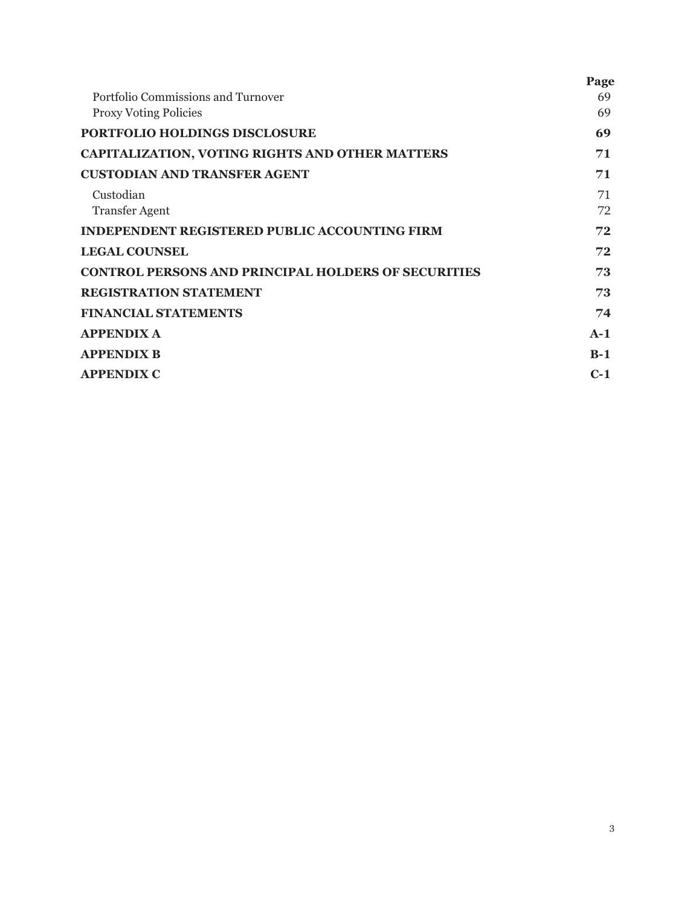|                                                            | Page  |
|------------------------------------------------------------|-------|
| Portfolio Commissions and Turnover                         | 69    |
| <b>Proxy Voting Policies</b>                               | 69    |
| <b>PORTFOLIO HOLDINGS DISCLOSURE</b>                       | 69    |
| <b>CAPITALIZATION, VOTING RIGHTS AND OTHER MATTERS</b>     | 71    |
| <b>CUSTODIAN AND TRANSFER AGENT</b>                        | 71    |
| Custodian                                                  | 71    |
| <b>Transfer Agent</b>                                      | 72    |
| <b>INDEPENDENT REGISTERED PUBLIC ACCOUNTING FIRM</b>       | 72    |
| <b>LEGAL COUNSEL</b>                                       | 72    |
| <b>CONTROL PERSONS AND PRINCIPAL HOLDERS OF SECURITIES</b> | 73    |
| <b>REGISTRATION STATEMENT</b>                              | 73    |
| <b>FINANCIAL STATEMENTS</b>                                | 74    |
| <b>APPENDIX A</b>                                          | $A-1$ |
| <b>APPENDIX B</b>                                          | $B-1$ |
| <b>APPENDIX C</b>                                          | $C-1$ |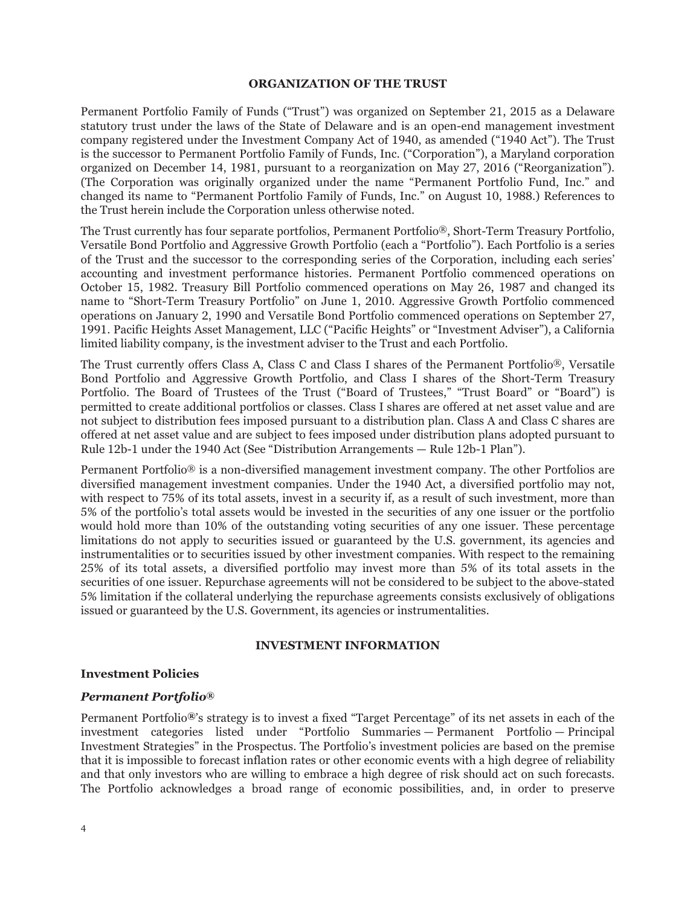#### **ORGANIZATION OF THE TRUST**

<span id="page-3-0"></span>Permanent Portfolio Family of Funds ("Trust") was organized on September 21, 2015 as a Delaware statutory trust under the laws of the State of Delaware and is an open-end management investment company registered under the Investment Company Act of 1940, as amended ("1940 Act"). The Trust is the successor to Permanent Portfolio Family of Funds, Inc. ("Corporation"), a Maryland corporation organized on December 14, 1981, pursuant to a reorganization on May 27, 2016 ("Reorganization"). (The Corporation was originally organized under the name "Permanent Portfolio Fund, Inc." and changed its name to "Permanent Portfolio Family of Funds, Inc." on August 10, 1988.) References to the Trust herein include the Corporation unless otherwise noted.

The Trust currently has four separate portfolios, Permanent Portfolio®, Short-Term Treasury Portfolio, Versatile Bond Portfolio and Aggressive Growth Portfolio (each a "Portfolio"). Each Portfolio is a series of the Trust and the successor to the corresponding series of the Corporation, including each series' accounting and investment performance histories. Permanent Portfolio commenced operations on October 15, 1982. Treasury Bill Portfolio commenced operations on May 26, 1987 and changed its name to "Short-Term Treasury Portfolio" on June 1, 2010. Aggressive Growth Portfolio commenced operations on January 2, 1990 and Versatile Bond Portfolio commenced operations on September 27, 1991. Pacific Heights Asset Management, LLC ("Pacific Heights" or "Investment Adviser"), a California limited liability company, is the investment adviser to the Trust and each Portfolio.

The Trust currently offers Class A, Class C and Class I shares of the Permanent Portfolio®, Versatile Bond Portfolio and Aggressive Growth Portfolio, and Class I shares of the Short-Term Treasury Portfolio. The Board of Trustees of the Trust ("Board of Trustees," "Trust Board" or "Board") is permitted to create additional portfolios or classes. Class I shares are offered at net asset value and are not subject to distribution fees imposed pursuant to a distribution plan. Class A and Class C shares are offered at net asset value and are subject to fees imposed under distribution plans adopted pursuant to Rule 12b-1 under the 1940 Act (See "Distribution Arrangements — Rule 12b-1 Plan").

Permanent Portfolio® is a non-diversified management investment company. The other Portfolios are diversified management investment companies. Under the 1940 Act, a diversified portfolio may not, with respect to 75% of its total assets, invest in a security if, as a result of such investment, more than 5% of the portfolio's total assets would be invested in the securities of any one issuer or the portfolio would hold more than 10% of the outstanding voting securities of any one issuer. These percentage limitations do not apply to securities issued or guaranteed by the U.S. government, its agencies and instrumentalities or to securities issued by other investment companies. With respect to the remaining 25% of its total assets, a diversified portfolio may invest more than 5% of its total assets in the securities of one issuer. Repurchase agreements will not be considered to be subject to the above-stated 5% limitation if the collateral underlying the repurchase agreements consists exclusively of obligations issued or guaranteed by the U.S. Government, its agencies or instrumentalities.

#### **INVESTMENT INFORMATION**

#### <span id="page-3-2"></span><span id="page-3-1"></span>**Investment Policies**

#### *Permanent Portfolio®*

Permanent Portfolio*®*'s strategy is to invest a fixed "Target Percentage" of its net assets in each of the investment categories listed under "Portfolio Summaries — Permanent Portfolio — Principal Investment Strategies" in the Prospectus. The Portfolio's investment policies are based on the premise that it is impossible to forecast inflation rates or other economic events with a high degree of reliability and that only investors who are willing to embrace a high degree of risk should act on such forecasts. The Portfolio acknowledges a broad range of economic possibilities, and, in order to preserve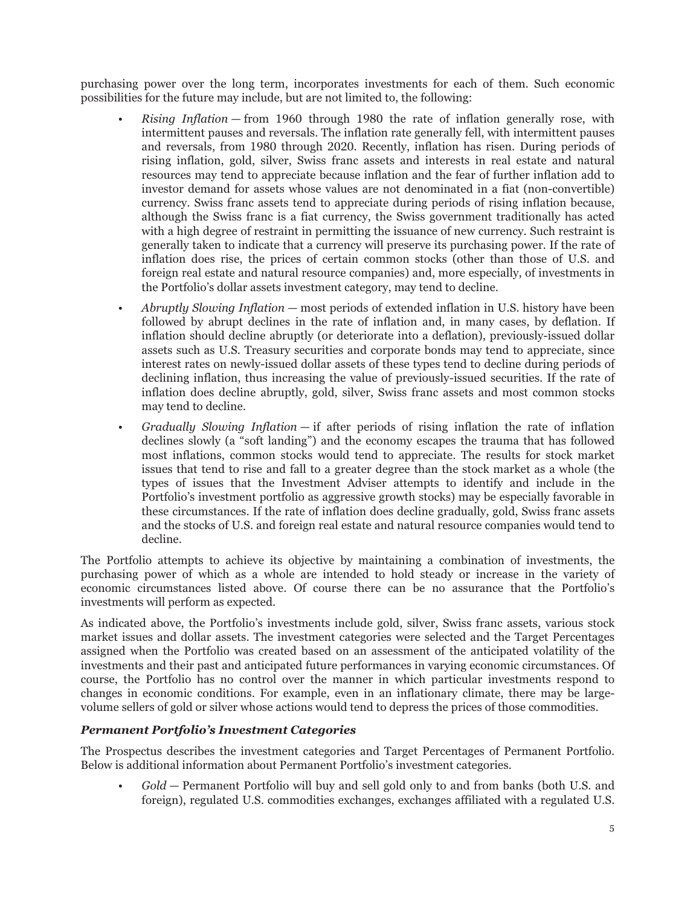purchasing power over the long term, incorporates investments for each of them. Such economic possibilities for the future may include, but are not limited to, the following:

- *Rising Inflation* from 1960 through 1980 the rate of inflation generally rose, with intermittent pauses and reversals. The inflation rate generally fell, with intermittent pauses and reversals, from 1980 through 2020. Recently, inflation has risen. During periods of rising inflation, gold, silver, Swiss franc assets and interests in real estate and natural resources may tend to appreciate because inflation and the fear of further inflation add to investor demand for assets whose values are not denominated in a fiat (non-convertible) currency. Swiss franc assets tend to appreciate during periods of rising inflation because, although the Swiss franc is a fiat currency, the Swiss government traditionally has acted with a high degree of restraint in permitting the issuance of new currency. Such restraint is generally taken to indicate that a currency will preserve its purchasing power. If the rate of inflation does rise, the prices of certain common stocks (other than those of U.S. and foreign real estate and natural resource companies) and, more especially, of investments in the Portfolio's dollar assets investment category, may tend to decline.
- *Abruptly Slowing Inflation* most periods of extended inflation in U.S. history have been followed by abrupt declines in the rate of inflation and, in many cases, by deflation. If inflation should decline abruptly (or deteriorate into a deflation), previously-issued dollar assets such as U.S. Treasury securities and corporate bonds may tend to appreciate, since interest rates on newly-issued dollar assets of these types tend to decline during periods of declining inflation, thus increasing the value of previously-issued securities. If the rate of inflation does decline abruptly, gold, silver, Swiss franc assets and most common stocks may tend to decline.
- *Gradually Slowing Inflation* if after periods of rising inflation the rate of inflation declines slowly (a "soft landing") and the economy escapes the trauma that has followed most inflations, common stocks would tend to appreciate. The results for stock market issues that tend to rise and fall to a greater degree than the stock market as a whole (the types of issues that the Investment Adviser attempts to identify and include in the Portfolio's investment portfolio as aggressive growth stocks) may be especially favorable in these circumstances. If the rate of inflation does decline gradually, gold, Swiss franc assets and the stocks of U.S. and foreign real estate and natural resource companies would tend to decline.

The Portfolio attempts to achieve its objective by maintaining a combination of investments, the purchasing power of which as a whole are intended to hold steady or increase in the variety of economic circumstances listed above. Of course there can be no assurance that the Portfolio's investments will perform as expected.

As indicated above, the Portfolio's investments include gold, silver, Swiss franc assets, various stock market issues and dollar assets. The investment categories were selected and the Target Percentages assigned when the Portfolio was created based on an assessment of the anticipated volatility of the investments and their past and anticipated future performances in varying economic circumstances. Of course, the Portfolio has no control over the manner in which particular investments respond to changes in economic conditions. For example, even in an inflationary climate, there may be largevolume sellers of gold or silver whose actions would tend to depress the prices of those commodities.

# *Permanent Portfolio's Investment Categories*

The Prospectus describes the investment categories and Target Percentages of Permanent Portfolio. Below is additional information about Permanent Portfolio's investment categories.

• *Gold* — Permanent Portfolio will buy and sell gold only to and from banks (both U.S. and foreign), regulated U.S. commodities exchanges, exchanges affiliated with a regulated U.S.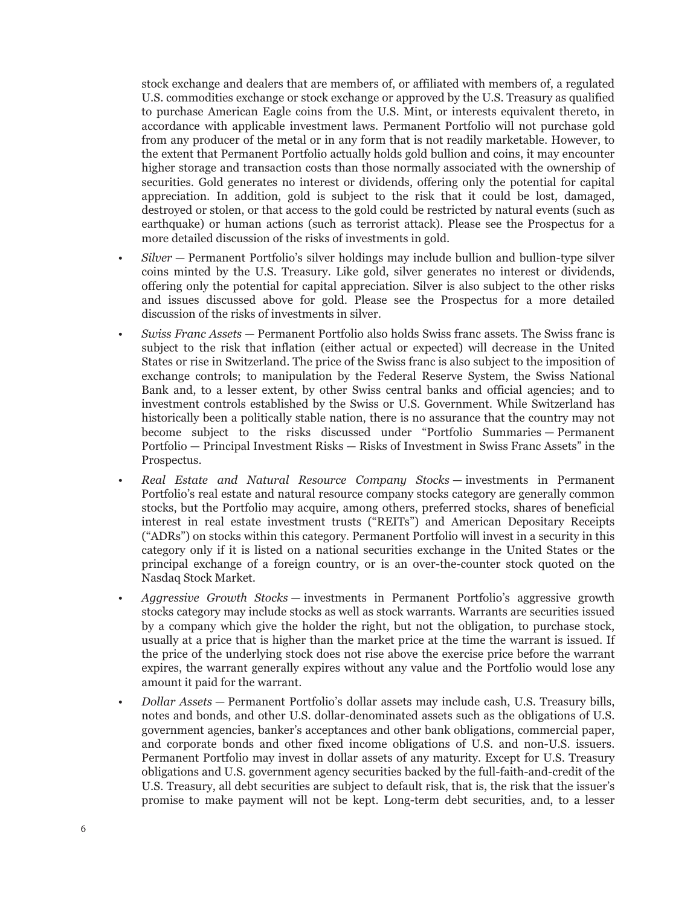stock exchange and dealers that are members of, or affiliated with members of, a regulated U.S. commodities exchange or stock exchange or approved by the U.S. Treasury as qualified to purchase American Eagle coins from the U.S. Mint, or interests equivalent thereto, in accordance with applicable investment laws. Permanent Portfolio will not purchase gold from any producer of the metal or in any form that is not readily marketable. However, to the extent that Permanent Portfolio actually holds gold bullion and coins, it may encounter higher storage and transaction costs than those normally associated with the ownership of securities. Gold generates no interest or dividends, offering only the potential for capital appreciation. In addition, gold is subject to the risk that it could be lost, damaged, destroyed or stolen, or that access to the gold could be restricted by natural events (such as earthquake) or human actions (such as terrorist attack). Please see the Prospectus for a more detailed discussion of the risks of investments in gold.

- *Silver* Permanent Portfolio's silver holdings may include bullion and bullion-type silver coins minted by the U.S. Treasury. Like gold, silver generates no interest or dividends, offering only the potential for capital appreciation. Silver is also subject to the other risks and issues discussed above for gold. Please see the Prospectus for a more detailed discussion of the risks of investments in silver.
- *Swiss Franc Assets* Permanent Portfolio also holds Swiss franc assets. The Swiss franc is subject to the risk that inflation (either actual or expected) will decrease in the United States or rise in Switzerland. The price of the Swiss franc is also subject to the imposition of exchange controls; to manipulation by the Federal Reserve System, the Swiss National Bank and, to a lesser extent, by other Swiss central banks and official agencies; and to investment controls established by the Swiss or U.S. Government. While Switzerland has historically been a politically stable nation, there is no assurance that the country may not become subject to the risks discussed under "Portfolio Summaries — Permanent Portfolio — Principal Investment Risks — Risks of Investment in Swiss Franc Assets" in the Prospectus.
- *Real Estate and Natural Resource Company Stocks* investments in Permanent Portfolio's real estate and natural resource company stocks category are generally common stocks, but the Portfolio may acquire, among others, preferred stocks, shares of beneficial interest in real estate investment trusts ("REITs") and American Depositary Receipts ("ADRs") on stocks within this category. Permanent Portfolio will invest in a security in this category only if it is listed on a national securities exchange in the United States or the principal exchange of a foreign country, or is an over-the-counter stock quoted on the Nasdaq Stock Market.
- *Aggressive Growth Stocks* investments in Permanent Portfolio's aggressive growth stocks category may include stocks as well as stock warrants. Warrants are securities issued by a company which give the holder the right, but not the obligation, to purchase stock, usually at a price that is higher than the market price at the time the warrant is issued. If the price of the underlying stock does not rise above the exercise price before the warrant expires, the warrant generally expires without any value and the Portfolio would lose any amount it paid for the warrant.
- *Dollar Assets* Permanent Portfolio's dollar assets may include cash, U.S. Treasury bills, notes and bonds, and other U.S. dollar-denominated assets such as the obligations of U.S. government agencies, banker's acceptances and other bank obligations, commercial paper, and corporate bonds and other fixed income obligations of U.S. and non-U.S. issuers. Permanent Portfolio may invest in dollar assets of any maturity. Except for U.S. Treasury obligations and U.S. government agency securities backed by the full-faith-and-credit of the U.S. Treasury, all debt securities are subject to default risk, that is, the risk that the issuer's promise to make payment will not be kept. Long-term debt securities, and, to a lesser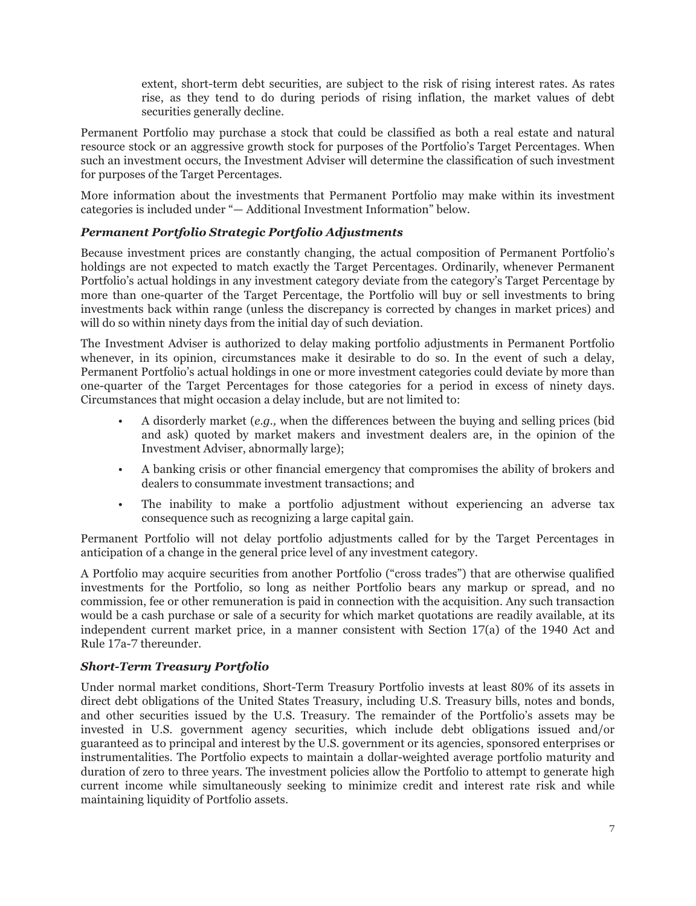extent, short-term debt securities, are subject to the risk of rising interest rates. As rates rise, as they tend to do during periods of rising inflation, the market values of debt securities generally decline.

Permanent Portfolio may purchase a stock that could be classified as both a real estate and natural resource stock or an aggressive growth stock for purposes of the Portfolio's Target Percentages. When such an investment occurs, the Investment Adviser will determine the classification of such investment for purposes of the Target Percentages.

More information about the investments that Permanent Portfolio may make within its investment categories is included under "— Additional Investment Information" below.

# *Permanent Portfolio Strategic Portfolio Adjustments*

Because investment prices are constantly changing, the actual composition of Permanent Portfolio's holdings are not expected to match exactly the Target Percentages. Ordinarily, whenever Permanent Portfolio's actual holdings in any investment category deviate from the category's Target Percentage by more than one-quarter of the Target Percentage, the Portfolio will buy or sell investments to bring investments back within range (unless the discrepancy is corrected by changes in market prices) and will do so within ninety days from the initial day of such deviation.

The Investment Adviser is authorized to delay making portfolio adjustments in Permanent Portfolio whenever, in its opinion, circumstances make it desirable to do so. In the event of such a delay, Permanent Portfolio's actual holdings in one or more investment categories could deviate by more than one-quarter of the Target Percentages for those categories for a period in excess of ninety days. Circumstances that might occasion a delay include, but are not limited to:

- A disorderly market (*e.g.,* when the differences between the buying and selling prices (bid and ask) quoted by market makers and investment dealers are, in the opinion of the Investment Adviser, abnormally large);
- A banking crisis or other financial emergency that compromises the ability of brokers and dealers to consummate investment transactions; and
- The inability to make a portfolio adjustment without experiencing an adverse tax consequence such as recognizing a large capital gain.

Permanent Portfolio will not delay portfolio adjustments called for by the Target Percentages in anticipation of a change in the general price level of any investment category.

A Portfolio may acquire securities from another Portfolio ("cross trades") that are otherwise qualified investments for the Portfolio, so long as neither Portfolio bears any markup or spread, and no commission, fee or other remuneration is paid in connection with the acquisition. Any such transaction would be a cash purchase or sale of a security for which market quotations are readily available, at its independent current market price, in a manner consistent with Section 17(a) of the 1940 Act and Rule 17a-7 thereunder.

# *Short-Term Treasury Portfolio*

Under normal market conditions, Short-Term Treasury Portfolio invests at least 80% of its assets in direct debt obligations of the United States Treasury, including U.S. Treasury bills, notes and bonds, and other securities issued by the U.S. Treasury. The remainder of the Portfolio's assets may be invested in U.S. government agency securities, which include debt obligations issued and/or guaranteed as to principal and interest by the U.S. government or its agencies, sponsored enterprises or instrumentalities. The Portfolio expects to maintain a dollar-weighted average portfolio maturity and duration of zero to three years. The investment policies allow the Portfolio to attempt to generate high current income while simultaneously seeking to minimize credit and interest rate risk and while maintaining liquidity of Portfolio assets.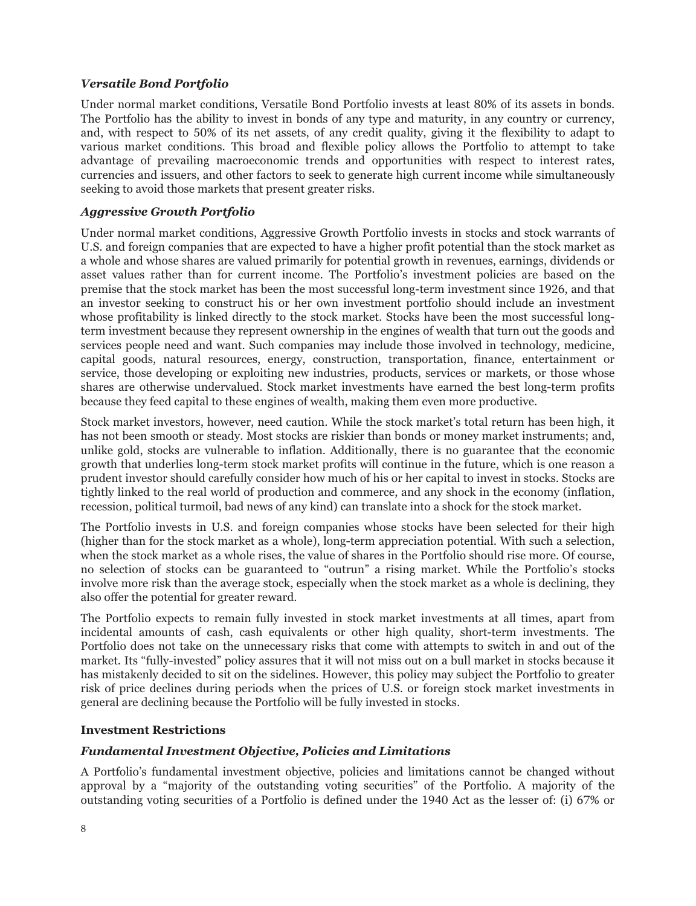# *Versatile Bond Portfolio*

Under normal market conditions, Versatile Bond Portfolio invests at least 80% of its assets in bonds. The Portfolio has the ability to invest in bonds of any type and maturity, in any country or currency, and, with respect to 50% of its net assets, of any credit quality, giving it the flexibility to adapt to various market conditions. This broad and flexible policy allows the Portfolio to attempt to take advantage of prevailing macroeconomic trends and opportunities with respect to interest rates, currencies and issuers, and other factors to seek to generate high current income while simultaneously seeking to avoid those markets that present greater risks.

# *Aggressive Growth Portfolio*

Under normal market conditions, Aggressive Growth Portfolio invests in stocks and stock warrants of U.S. and foreign companies that are expected to have a higher profit potential than the stock market as a whole and whose shares are valued primarily for potential growth in revenues, earnings, dividends or asset values rather than for current income. The Portfolio's investment policies are based on the premise that the stock market has been the most successful long-term investment since 1926, and that an investor seeking to construct his or her own investment portfolio should include an investment whose profitability is linked directly to the stock market. Stocks have been the most successful longterm investment because they represent ownership in the engines of wealth that turn out the goods and services people need and want. Such companies may include those involved in technology, medicine, capital goods, natural resources, energy, construction, transportation, finance, entertainment or service, those developing or exploiting new industries, products, services or markets, or those whose shares are otherwise undervalued. Stock market investments have earned the best long-term profits because they feed capital to these engines of wealth, making them even more productive.

Stock market investors, however, need caution. While the stock market's total return has been high, it has not been smooth or steady. Most stocks are riskier than bonds or money market instruments; and, unlike gold, stocks are vulnerable to inflation. Additionally, there is no guarantee that the economic growth that underlies long-term stock market profits will continue in the future, which is one reason a prudent investor should carefully consider how much of his or her capital to invest in stocks. Stocks are tightly linked to the real world of production and commerce, and any shock in the economy (inflation, recession, political turmoil, bad news of any kind) can translate into a shock for the stock market.

The Portfolio invests in U.S. and foreign companies whose stocks have been selected for their high (higher than for the stock market as a whole), long-term appreciation potential. With such a selection, when the stock market as a whole rises, the value of shares in the Portfolio should rise more. Of course, no selection of stocks can be guaranteed to "outrun" a rising market. While the Portfolio's stocks involve more risk than the average stock, especially when the stock market as a whole is declining, they also offer the potential for greater reward.

The Portfolio expects to remain fully invested in stock market investments at all times, apart from incidental amounts of cash, cash equivalents or other high quality, short-term investments. The Portfolio does not take on the unnecessary risks that come with attempts to switch in and out of the market. Its "fully-invested" policy assures that it will not miss out on a bull market in stocks because it has mistakenly decided to sit on the sidelines. However, this policy may subject the Portfolio to greater risk of price declines during periods when the prices of U.S. or foreign stock market investments in general are declining because the Portfolio will be fully invested in stocks.

# <span id="page-7-0"></span>**Investment Restrictions**

# *Fundamental Investment Objective, Policies and Limitations*

A Portfolio's fundamental investment objective, policies and limitations cannot be changed without approval by a "majority of the outstanding voting securities" of the Portfolio. A majority of the outstanding voting securities of a Portfolio is defined under the 1940 Act as the lesser of: (i) 67% or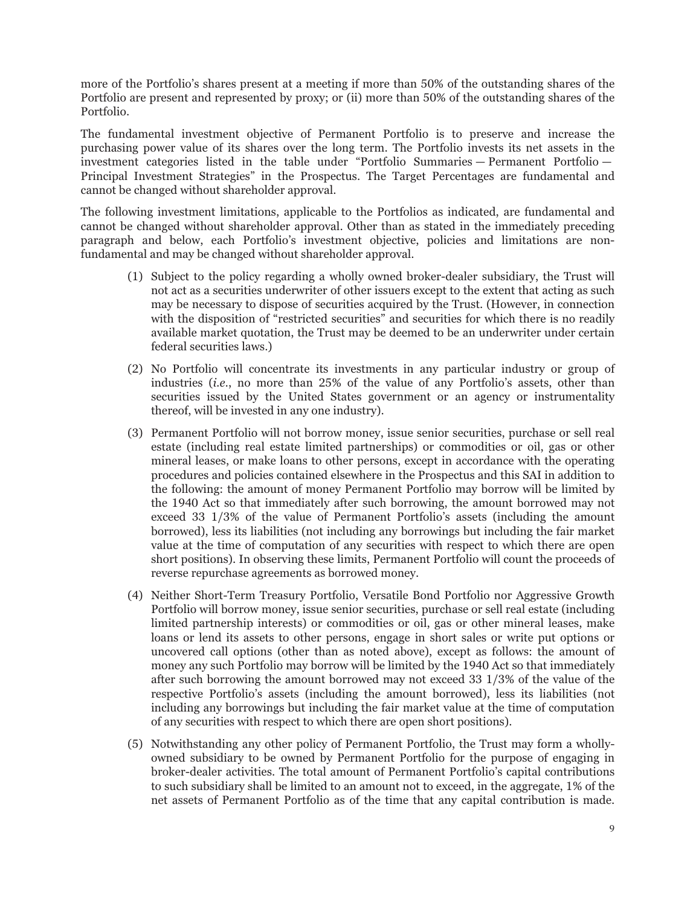more of the Portfolio's shares present at a meeting if more than 50% of the outstanding shares of the Portfolio are present and represented by proxy; or (ii) more than 50% of the outstanding shares of the Portfolio.

The fundamental investment objective of Permanent Portfolio is to preserve and increase the purchasing power value of its shares over the long term. The Portfolio invests its net assets in the investment categories listed in the table under "Portfolio Summaries — Permanent Portfolio — Principal Investment Strategies" in the Prospectus. The Target Percentages are fundamental and cannot be changed without shareholder approval.

The following investment limitations, applicable to the Portfolios as indicated, are fundamental and cannot be changed without shareholder approval. Other than as stated in the immediately preceding paragraph and below, each Portfolio's investment objective, policies and limitations are nonfundamental and may be changed without shareholder approval.

- (1) Subject to the policy regarding a wholly owned broker-dealer subsidiary, the Trust will not act as a securities underwriter of other issuers except to the extent that acting as such may be necessary to dispose of securities acquired by the Trust. (However, in connection with the disposition of "restricted securities" and securities for which there is no readily available market quotation, the Trust may be deemed to be an underwriter under certain federal securities laws.)
- (2) No Portfolio will concentrate its investments in any particular industry or group of industries (*i.e.*, no more than 25% of the value of any Portfolio's assets, other than securities issued by the United States government or an agency or instrumentality thereof, will be invested in any one industry).
- (3) Permanent Portfolio will not borrow money, issue senior securities, purchase or sell real estate (including real estate limited partnerships) or commodities or oil, gas or other mineral leases, or make loans to other persons, except in accordance with the operating procedures and policies contained elsewhere in the Prospectus and this SAI in addition to the following: the amount of money Permanent Portfolio may borrow will be limited by the 1940 Act so that immediately after such borrowing, the amount borrowed may not exceed 33 1/3% of the value of Permanent Portfolio's assets (including the amount borrowed), less its liabilities (not including any borrowings but including the fair market value at the time of computation of any securities with respect to which there are open short positions). In observing these limits, Permanent Portfolio will count the proceeds of reverse repurchase agreements as borrowed money.
- (4) Neither Short-Term Treasury Portfolio, Versatile Bond Portfolio nor Aggressive Growth Portfolio will borrow money, issue senior securities, purchase or sell real estate (including limited partnership interests) or commodities or oil, gas or other mineral leases, make loans or lend its assets to other persons, engage in short sales or write put options or uncovered call options (other than as noted above), except as follows: the amount of money any such Portfolio may borrow will be limited by the 1940 Act so that immediately after such borrowing the amount borrowed may not exceed 33 1/3% of the value of the respective Portfolio's assets (including the amount borrowed), less its liabilities (not including any borrowings but including the fair market value at the time of computation of any securities with respect to which there are open short positions).
- (5) Notwithstanding any other policy of Permanent Portfolio, the Trust may form a whollyowned subsidiary to be owned by Permanent Portfolio for the purpose of engaging in broker-dealer activities. The total amount of Permanent Portfolio's capital contributions to such subsidiary shall be limited to an amount not to exceed, in the aggregate, 1% of the net assets of Permanent Portfolio as of the time that any capital contribution is made.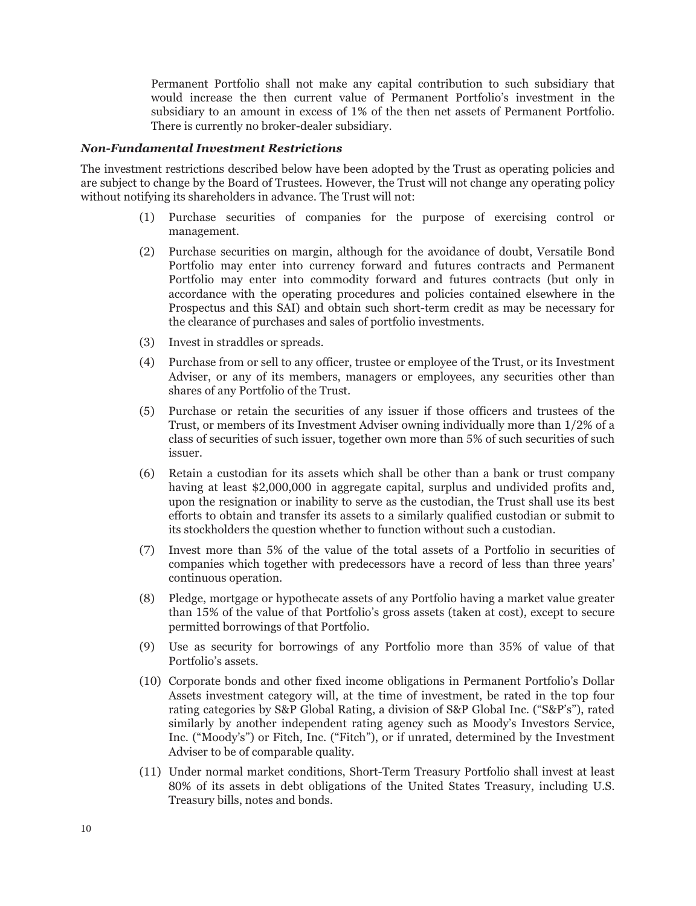Permanent Portfolio shall not make any capital contribution to such subsidiary that would increase the then current value of Permanent Portfolio's investment in the subsidiary to an amount in excess of 1% of the then net assets of Permanent Portfolio. There is currently no broker-dealer subsidiary.

#### *Non-Fundamental Investment Restrictions*

The investment restrictions described below have been adopted by the Trust as operating policies and are subject to change by the Board of Trustees. However, the Trust will not change any operating policy without notifying its shareholders in advance. The Trust will not:

- (1) Purchase securities of companies for the purpose of exercising control or management.
- (2) Purchase securities on margin, although for the avoidance of doubt, Versatile Bond Portfolio may enter into currency forward and futures contracts and Permanent Portfolio may enter into commodity forward and futures contracts (but only in accordance with the operating procedures and policies contained elsewhere in the Prospectus and this SAI) and obtain such short-term credit as may be necessary for the clearance of purchases and sales of portfolio investments.
- (3) Invest in straddles or spreads.
- (4) Purchase from or sell to any officer, trustee or employee of the Trust, or its Investment Adviser, or any of its members, managers or employees, any securities other than shares of any Portfolio of the Trust.
- (5) Purchase or retain the securities of any issuer if those officers and trustees of the Trust, or members of its Investment Adviser owning individually more than 1/2% of a class of securities of such issuer, together own more than 5% of such securities of such issuer.
- (6) Retain a custodian for its assets which shall be other than a bank or trust company having at least \$2,000,000 in aggregate capital, surplus and undivided profits and, upon the resignation or inability to serve as the custodian, the Trust shall use its best efforts to obtain and transfer its assets to a similarly qualified custodian or submit to its stockholders the question whether to function without such a custodian.
- (7) Invest more than 5% of the value of the total assets of a Portfolio in securities of companies which together with predecessors have a record of less than three years' continuous operation.
- (8) Pledge, mortgage or hypothecate assets of any Portfolio having a market value greater than 15% of the value of that Portfolio's gross assets (taken at cost), except to secure permitted borrowings of that Portfolio.
- (9) Use as security for borrowings of any Portfolio more than 35% of value of that Portfolio's assets.
- (10) Corporate bonds and other fixed income obligations in Permanent Portfolio's Dollar Assets investment category will, at the time of investment, be rated in the top four rating categories by S&P Global Rating, a division of S&P Global Inc. ("S&P's"), rated similarly by another independent rating agency such as Moody's Investors Service, Inc. ("Moody's") or Fitch, Inc. ("Fitch"), or if unrated, determined by the Investment Adviser to be of comparable quality.
- (11) Under normal market conditions, Short-Term Treasury Portfolio shall invest at least 80% of its assets in debt obligations of the United States Treasury, including U.S. Treasury bills, notes and bonds.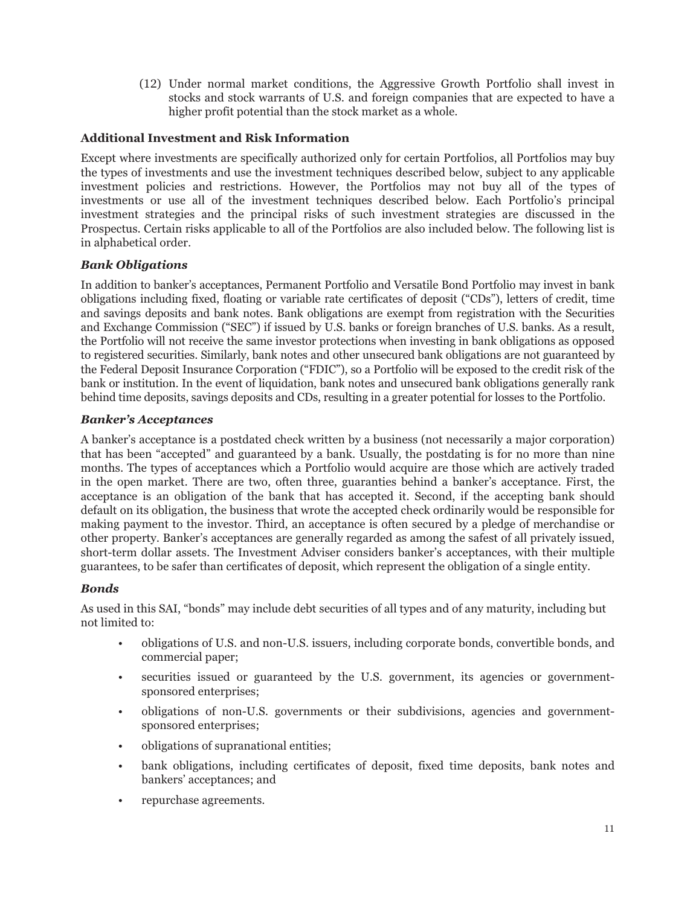(12) Under normal market conditions, the Aggressive Growth Portfolio shall invest in stocks and stock warrants of U.S. and foreign companies that are expected to have a higher profit potential than the stock market as a whole.

# <span id="page-10-0"></span>**Additional Investment and Risk Information**

Except where investments are specifically authorized only for certain Portfolios, all Portfolios may buy the types of investments and use the investment techniques described below, subject to any applicable investment policies and restrictions. However, the Portfolios may not buy all of the types of investments or use all of the investment techniques described below. Each Portfolio's principal investment strategies and the principal risks of such investment strategies are discussed in the Prospectus. Certain risks applicable to all of the Portfolios are also included below. The following list is in alphabetical order.

# *Bank Obligations*

In addition to banker's acceptances, Permanent Portfolio and Versatile Bond Portfolio may invest in bank obligations including fixed, floating or variable rate certificates of deposit ("CDs"), letters of credit, time and savings deposits and bank notes. Bank obligations are exempt from registration with the Securities and Exchange Commission ("SEC") if issued by U.S. banks or foreign branches of U.S. banks. As a result, the Portfolio will not receive the same investor protections when investing in bank obligations as opposed to registered securities. Similarly, bank notes and other unsecured bank obligations are not guaranteed by the Federal Deposit Insurance Corporation ("FDIC"), so a Portfolio will be exposed to the credit risk of the bank or institution. In the event of liquidation, bank notes and unsecured bank obligations generally rank behind time deposits, savings deposits and CDs, resulting in a greater potential for losses to the Portfolio.

# *Banker's Acceptances*

A banker's acceptance is a postdated check written by a business (not necessarily a major corporation) that has been "accepted" and guaranteed by a bank. Usually, the postdating is for no more than nine months. The types of acceptances which a Portfolio would acquire are those which are actively traded in the open market. There are two, often three, guaranties behind a banker's acceptance. First, the acceptance is an obligation of the bank that has accepted it. Second, if the accepting bank should default on its obligation, the business that wrote the accepted check ordinarily would be responsible for making payment to the investor. Third, an acceptance is often secured by a pledge of merchandise or other property. Banker's acceptances are generally regarded as among the safest of all privately issued, short-term dollar assets. The Investment Adviser considers banker's acceptances, with their multiple guarantees, to be safer than certificates of deposit, which represent the obligation of a single entity.

# *Bonds*

As used in this SAI, "bonds" may include debt securities of all types and of any maturity, including but not limited to:

- obligations of U.S. and non-U.S. issuers, including corporate bonds, convertible bonds, and commercial paper;
- securities issued or guaranteed by the U.S. government, its agencies or governmentsponsored enterprises;
- obligations of non-U.S. governments or their subdivisions, agencies and governmentsponsored enterprises;
- obligations of supranational entities;
- bank obligations, including certificates of deposit, fixed time deposits, bank notes and bankers' acceptances; and
- repurchase agreements.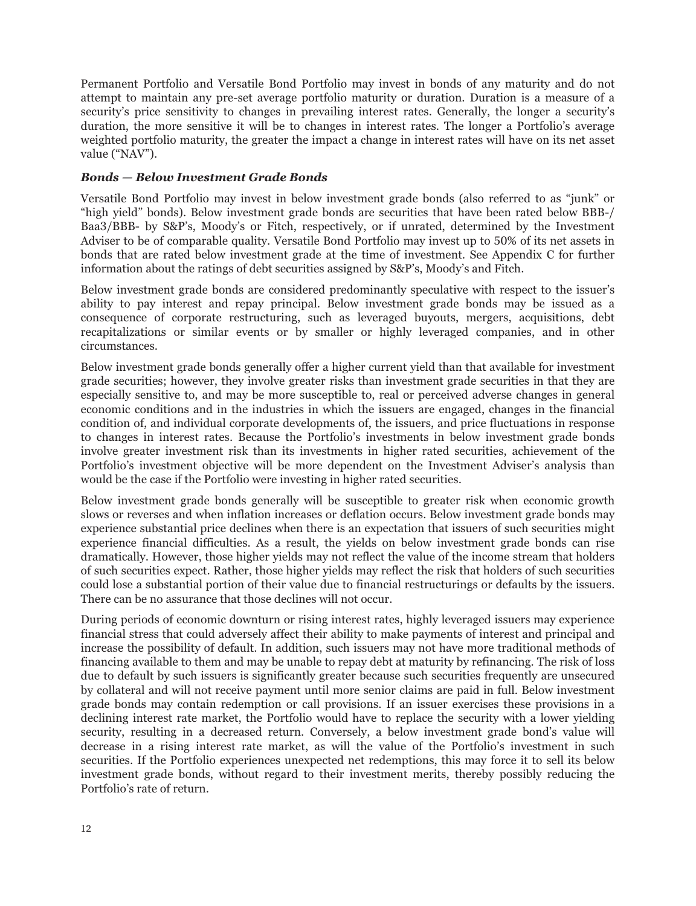Permanent Portfolio and Versatile Bond Portfolio may invest in bonds of any maturity and do not attempt to maintain any pre-set average portfolio maturity or duration. Duration is a measure of a security's price sensitivity to changes in prevailing interest rates. Generally, the longer a security's duration, the more sensitive it will be to changes in interest rates. The longer a Portfolio's average weighted portfolio maturity, the greater the impact a change in interest rates will have on its net asset value ("NAV").

#### *Bonds — Below Investment Grade Bonds*

Versatile Bond Portfolio may invest in below investment grade bonds (also referred to as "junk" or "high yield" bonds). Below investment grade bonds are securities that have been rated below BBB-/ Baa3/BBB- by S&P's, Moody's or Fitch, respectively, or if unrated, determined by the Investment Adviser to be of comparable quality. Versatile Bond Portfolio may invest up to 50% of its net assets in bonds that are rated below investment grade at the time of investment. See Appendix C for further information about the ratings of debt securities assigned by S&P's, Moody's and Fitch.

Below investment grade bonds are considered predominantly speculative with respect to the issuer's ability to pay interest and repay principal. Below investment grade bonds may be issued as a consequence of corporate restructuring, such as leveraged buyouts, mergers, acquisitions, debt recapitalizations or similar events or by smaller or highly leveraged companies, and in other circumstances.

Below investment grade bonds generally offer a higher current yield than that available for investment grade securities; however, they involve greater risks than investment grade securities in that they are especially sensitive to, and may be more susceptible to, real or perceived adverse changes in general economic conditions and in the industries in which the issuers are engaged, changes in the financial condition of, and individual corporate developments of, the issuers, and price fluctuations in response to changes in interest rates. Because the Portfolio's investments in below investment grade bonds involve greater investment risk than its investments in higher rated securities, achievement of the Portfolio's investment objective will be more dependent on the Investment Adviser's analysis than would be the case if the Portfolio were investing in higher rated securities.

Below investment grade bonds generally will be susceptible to greater risk when economic growth slows or reverses and when inflation increases or deflation occurs. Below investment grade bonds may experience substantial price declines when there is an expectation that issuers of such securities might experience financial difficulties. As a result, the yields on below investment grade bonds can rise dramatically. However, those higher yields may not reflect the value of the income stream that holders of such securities expect. Rather, those higher yields may reflect the risk that holders of such securities could lose a substantial portion of their value due to financial restructurings or defaults by the issuers. There can be no assurance that those declines will not occur.

During periods of economic downturn or rising interest rates, highly leveraged issuers may experience financial stress that could adversely affect their ability to make payments of interest and principal and increase the possibility of default. In addition, such issuers may not have more traditional methods of financing available to them and may be unable to repay debt at maturity by refinancing. The risk of loss due to default by such issuers is significantly greater because such securities frequently are unsecured by collateral and will not receive payment until more senior claims are paid in full. Below investment grade bonds may contain redemption or call provisions. If an issuer exercises these provisions in a declining interest rate market, the Portfolio would have to replace the security with a lower yielding security, resulting in a decreased return. Conversely, a below investment grade bond's value will decrease in a rising interest rate market, as will the value of the Portfolio's investment in such securities. If the Portfolio experiences unexpected net redemptions, this may force it to sell its below investment grade bonds, without regard to their investment merits, thereby possibly reducing the Portfolio's rate of return.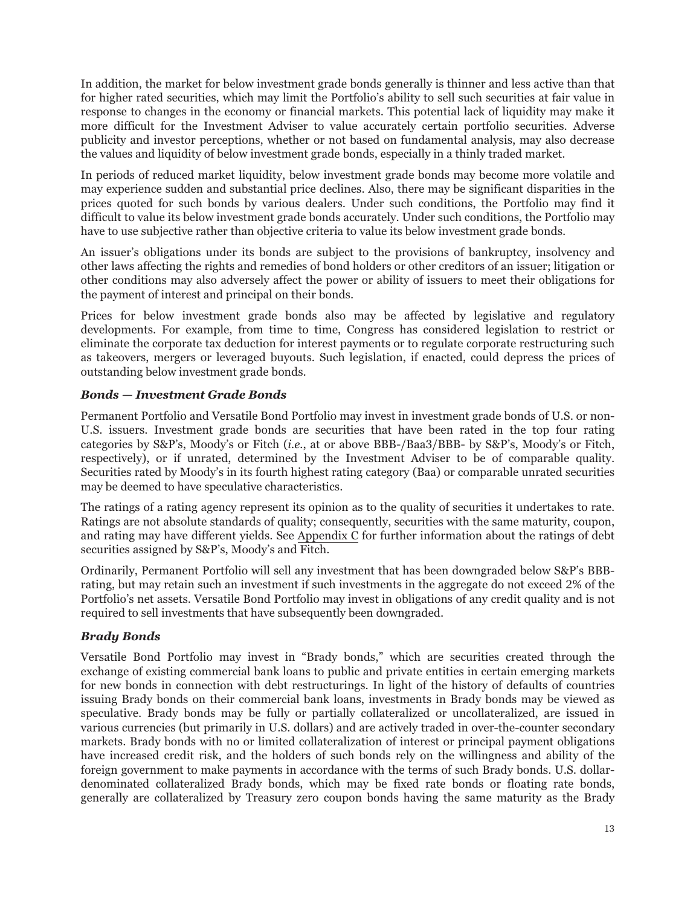In addition, the market for below investment grade bonds generally is thinner and less active than that for higher rated securities, which may limit the Portfolio's ability to sell such securities at fair value in response to changes in the economy or financial markets. This potential lack of liquidity may make it more difficult for the Investment Adviser to value accurately certain portfolio securities. Adverse publicity and investor perceptions, whether or not based on fundamental analysis, may also decrease the values and liquidity of below investment grade bonds, especially in a thinly traded market.

In periods of reduced market liquidity, below investment grade bonds may become more volatile and may experience sudden and substantial price declines. Also, there may be significant disparities in the prices quoted for such bonds by various dealers. Under such conditions, the Portfolio may find it difficult to value its below investment grade bonds accurately. Under such conditions, the Portfolio may have to use subjective rather than objective criteria to value its below investment grade bonds.

An issuer's obligations under its bonds are subject to the provisions of bankruptcy, insolvency and other laws affecting the rights and remedies of bond holders or other creditors of an issuer; litigation or other conditions may also adversely affect the power or ability of issuers to meet their obligations for the payment of interest and principal on their bonds.

Prices for below investment grade bonds also may be affected by legislative and regulatory developments. For example, from time to time, Congress has considered legislation to restrict or eliminate the corporate tax deduction for interest payments or to regulate corporate restructuring such as takeovers, mergers or leveraged buyouts. Such legislation, if enacted, could depress the prices of outstanding below investment grade bonds.

# *Bonds — Investment Grade Bonds*

Permanent Portfolio and Versatile Bond Portfolio may invest in investment grade bonds of U.S. or non-U.S. issuers. Investment grade bonds are securities that have been rated in the top four rating categories by S&P's, Moody's or Fitch (*i.e.*, at or above BBB-/Baa3/BBB- by S&P's, Moody's or Fitch, respectively), or if unrated, determined by the Investment Adviser to be of comparable quality. Securities rated by Moody's in its fourth highest rating category (Baa) or comparable unrated securities may be deemed to have speculative characteristics.

The ratings of a rating agency represent its opinion as to the quality of securities it undertakes to rate. Ratings are not absolute standards of quality; consequently, securities with the same maturity, coupon, and rating may have different yields. See Appendix C for further information about the ratings of debt securities assigned by S&P's, Moody's and Fitch.

Ordinarily, Permanent Portfolio will sell any investment that has been downgraded below S&P's BBBrating, but may retain such an investment if such investments in the aggregate do not exceed 2% of the Portfolio's net assets. Versatile Bond Portfolio may invest in obligations of any credit quality and is not required to sell investments that have subsequently been downgraded.

# *Brady Bonds*

Versatile Bond Portfolio may invest in "Brady bonds," which are securities created through the exchange of existing commercial bank loans to public and private entities in certain emerging markets for new bonds in connection with debt restructurings. In light of the history of defaults of countries issuing Brady bonds on their commercial bank loans, investments in Brady bonds may be viewed as speculative. Brady bonds may be fully or partially collateralized or uncollateralized, are issued in various currencies (but primarily in U.S. dollars) and are actively traded in over-the-counter secondary markets. Brady bonds with no or limited collateralization of interest or principal payment obligations have increased credit risk, and the holders of such bonds rely on the willingness and ability of the foreign government to make payments in accordance with the terms of such Brady bonds. U.S. dollardenominated collateralized Brady bonds, which may be fixed rate bonds or floating rate bonds, generally are collateralized by Treasury zero coupon bonds having the same maturity as the Brady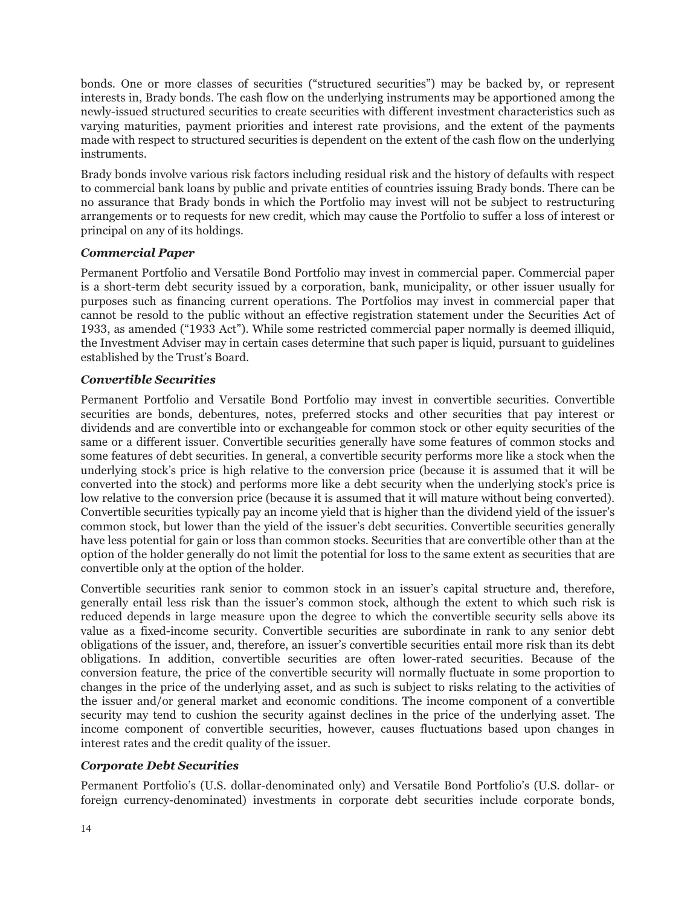bonds. One or more classes of securities ("structured securities") may be backed by, or represent interests in, Brady bonds. The cash flow on the underlying instruments may be apportioned among the newly-issued structured securities to create securities with different investment characteristics such as varying maturities, payment priorities and interest rate provisions, and the extent of the payments made with respect to structured securities is dependent on the extent of the cash flow on the underlying instruments.

Brady bonds involve various risk factors including residual risk and the history of defaults with respect to commercial bank loans by public and private entities of countries issuing Brady bonds. There can be no assurance that Brady bonds in which the Portfolio may invest will not be subject to restructuring arrangements or to requests for new credit, which may cause the Portfolio to suffer a loss of interest or principal on any of its holdings.

# *Commercial Paper*

Permanent Portfolio and Versatile Bond Portfolio may invest in commercial paper. Commercial paper is a short-term debt security issued by a corporation, bank, municipality, or other issuer usually for purposes such as financing current operations. The Portfolios may invest in commercial paper that cannot be resold to the public without an effective registration statement under the Securities Act of 1933, as amended ("1933 Act"). While some restricted commercial paper normally is deemed illiquid, the Investment Adviser may in certain cases determine that such paper is liquid, pursuant to guidelines established by the Trust's Board.

# *Convertible Securities*

Permanent Portfolio and Versatile Bond Portfolio may invest in convertible securities. Convertible securities are bonds, debentures, notes, preferred stocks and other securities that pay interest or dividends and are convertible into or exchangeable for common stock or other equity securities of the same or a different issuer. Convertible securities generally have some features of common stocks and some features of debt securities. In general, a convertible security performs more like a stock when the underlying stock's price is high relative to the conversion price (because it is assumed that it will be converted into the stock) and performs more like a debt security when the underlying stock's price is low relative to the conversion price (because it is assumed that it will mature without being converted). Convertible securities typically pay an income yield that is higher than the dividend yield of the issuer's common stock, but lower than the yield of the issuer's debt securities. Convertible securities generally have less potential for gain or loss than common stocks. Securities that are convertible other than at the option of the holder generally do not limit the potential for loss to the same extent as securities that are convertible only at the option of the holder.

Convertible securities rank senior to common stock in an issuer's capital structure and, therefore, generally entail less risk than the issuer's common stock, although the extent to which such risk is reduced depends in large measure upon the degree to which the convertible security sells above its value as a fixed-income security. Convertible securities are subordinate in rank to any senior debt obligations of the issuer, and, therefore, an issuer's convertible securities entail more risk than its debt obligations. In addition, convertible securities are often lower-rated securities. Because of the conversion feature, the price of the convertible security will normally fluctuate in some proportion to changes in the price of the underlying asset, and as such is subject to risks relating to the activities of the issuer and/or general market and economic conditions. The income component of a convertible security may tend to cushion the security against declines in the price of the underlying asset. The income component of convertible securities, however, causes fluctuations based upon changes in interest rates and the credit quality of the issuer.

# *Corporate Debt Securities*

Permanent Portfolio's (U.S. dollar-denominated only) and Versatile Bond Portfolio's (U.S. dollar- or foreign currency-denominated) investments in corporate debt securities include corporate bonds,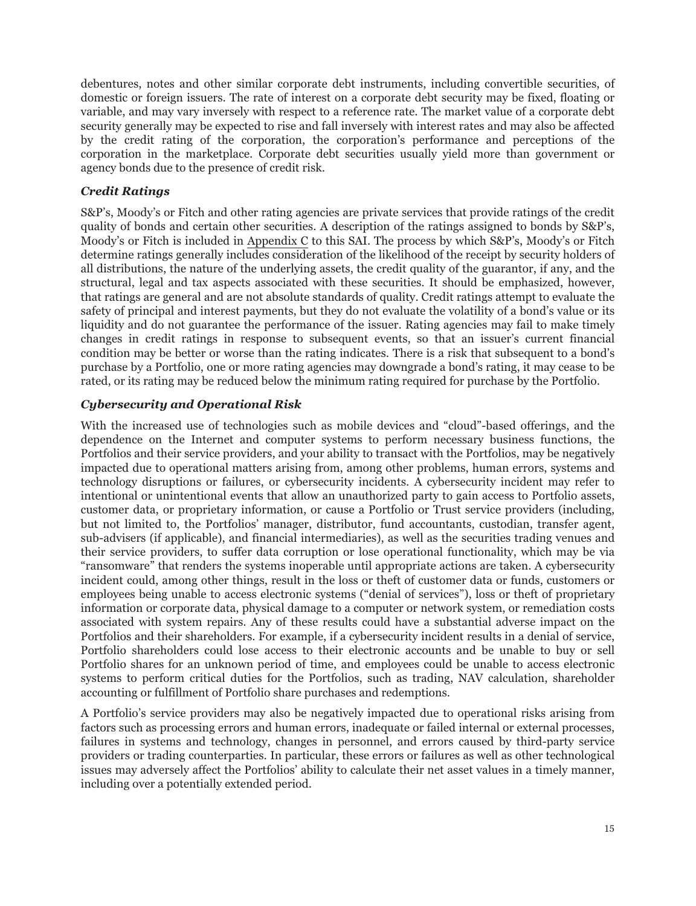debentures, notes and other similar corporate debt instruments, including convertible securities, of domestic or foreign issuers. The rate of interest on a corporate debt security may be fixed, floating or variable, and may vary inversely with respect to a reference rate. The market value of a corporate debt security generally may be expected to rise and fall inversely with interest rates and may also be affected by the credit rating of the corporation, the corporation's performance and perceptions of the corporation in the marketplace. Corporate debt securities usually yield more than government or agency bonds due to the presence of credit risk.

# *Credit Ratings*

S&P's, Moody's or Fitch and other rating agencies are private services that provide ratings of the credit quality of bonds and certain other securities. A description of the ratings assigned to bonds by S&P's, Moody's or Fitch is included in Appendix C to this SAI. The process by which S&P's, Moody's or Fitch determine ratings generally includes consideration of the likelihood of the receipt by security holders of all distributions, the nature of the underlying assets, the credit quality of the guarantor, if any, and the structural, legal and tax aspects associated with these securities. It should be emphasized, however, that ratings are general and are not absolute standards of quality. Credit ratings attempt to evaluate the safety of principal and interest payments, but they do not evaluate the volatility of a bond's value or its liquidity and do not guarantee the performance of the issuer. Rating agencies may fail to make timely changes in credit ratings in response to subsequent events, so that an issuer's current financial condition may be better or worse than the rating indicates. There is a risk that subsequent to a bond's purchase by a Portfolio, one or more rating agencies may downgrade a bond's rating, it may cease to be rated, or its rating may be reduced below the minimum rating required for purchase by the Portfolio.

# *Cybersecurity and Operational Risk*

With the increased use of technologies such as mobile devices and "cloud"-based offerings, and the dependence on the Internet and computer systems to perform necessary business functions, the Portfolios and their service providers, and your ability to transact with the Portfolios, may be negatively impacted due to operational matters arising from, among other problems, human errors, systems and technology disruptions or failures, or cybersecurity incidents. A cybersecurity incident may refer to intentional or unintentional events that allow an unauthorized party to gain access to Portfolio assets, customer data, or proprietary information, or cause a Portfolio or Trust service providers (including, but not limited to, the Portfolios' manager, distributor, fund accountants, custodian, transfer agent, sub-advisers (if applicable), and financial intermediaries), as well as the securities trading venues and their service providers, to suffer data corruption or lose operational functionality, which may be via "ransomware" that renders the systems inoperable until appropriate actions are taken. A cybersecurity incident could, among other things, result in the loss or theft of customer data or funds, customers or employees being unable to access electronic systems ("denial of services"), loss or theft of proprietary information or corporate data, physical damage to a computer or network system, or remediation costs associated with system repairs. Any of these results could have a substantial adverse impact on the Portfolios and their shareholders. For example, if a cybersecurity incident results in a denial of service, Portfolio shareholders could lose access to their electronic accounts and be unable to buy or sell Portfolio shares for an unknown period of time, and employees could be unable to access electronic systems to perform critical duties for the Portfolios, such as trading, NAV calculation, shareholder accounting or fulfillment of Portfolio share purchases and redemptions.

A Portfolio's service providers may also be negatively impacted due to operational risks arising from factors such as processing errors and human errors, inadequate or failed internal or external processes, failures in systems and technology, changes in personnel, and errors caused by third-party service providers or trading counterparties. In particular, these errors or failures as well as other technological issues may adversely affect the Portfolios' ability to calculate their net asset values in a timely manner, including over a potentially extended period.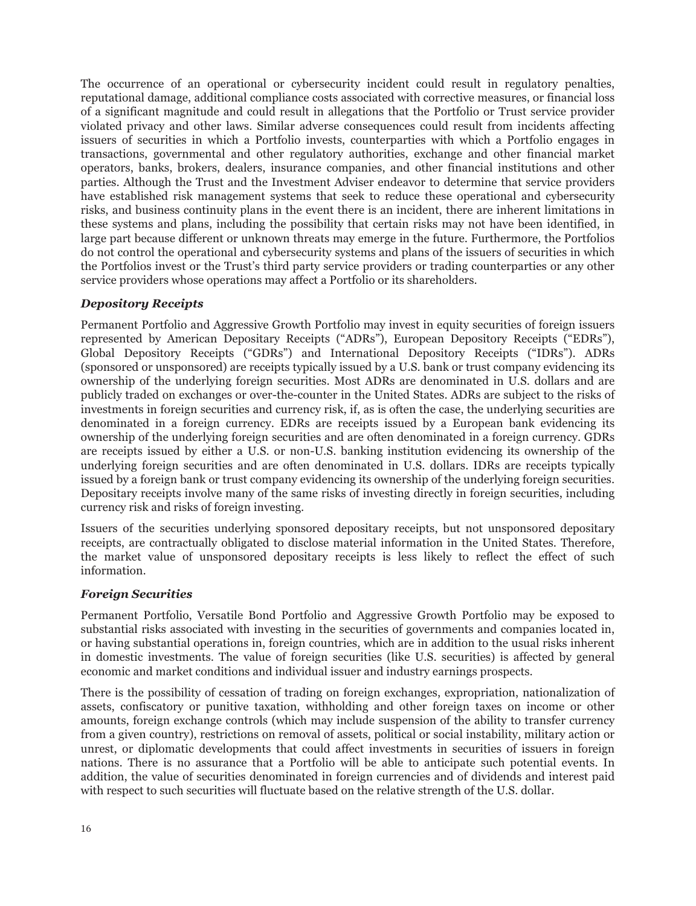The occurrence of an operational or cybersecurity incident could result in regulatory penalties, reputational damage, additional compliance costs associated with corrective measures, or financial loss of a significant magnitude and could result in allegations that the Portfolio or Trust service provider violated privacy and other laws. Similar adverse consequences could result from incidents affecting issuers of securities in which a Portfolio invests, counterparties with which a Portfolio engages in transactions, governmental and other regulatory authorities, exchange and other financial market operators, banks, brokers, dealers, insurance companies, and other financial institutions and other parties. Although the Trust and the Investment Adviser endeavor to determine that service providers have established risk management systems that seek to reduce these operational and cybersecurity risks, and business continuity plans in the event there is an incident, there are inherent limitations in these systems and plans, including the possibility that certain risks may not have been identified, in large part because different or unknown threats may emerge in the future. Furthermore, the Portfolios do not control the operational and cybersecurity systems and plans of the issuers of securities in which the Portfolios invest or the Trust's third party service providers or trading counterparties or any other service providers whose operations may affect a Portfolio or its shareholders.

#### *Depository Receipts*

Permanent Portfolio and Aggressive Growth Portfolio may invest in equity securities of foreign issuers represented by American Depositary Receipts ("ADRs"), European Depository Receipts ("EDRs"), Global Depository Receipts ("GDRs") and International Depository Receipts ("IDRs"). ADRs (sponsored or unsponsored) are receipts typically issued by a U.S. bank or trust company evidencing its ownership of the underlying foreign securities. Most ADRs are denominated in U.S. dollars and are publicly traded on exchanges or over-the-counter in the United States. ADRs are subject to the risks of investments in foreign securities and currency risk, if, as is often the case, the underlying securities are denominated in a foreign currency. EDRs are receipts issued by a European bank evidencing its ownership of the underlying foreign securities and are often denominated in a foreign currency. GDRs are receipts issued by either a U.S. or non-U.S. banking institution evidencing its ownership of the underlying foreign securities and are often denominated in U.S. dollars. IDRs are receipts typically issued by a foreign bank or trust company evidencing its ownership of the underlying foreign securities. Depositary receipts involve many of the same risks of investing directly in foreign securities, including currency risk and risks of foreign investing.

Issuers of the securities underlying sponsored depositary receipts, but not unsponsored depositary receipts, are contractually obligated to disclose material information in the United States. Therefore, the market value of unsponsored depositary receipts is less likely to reflect the effect of such information.

# *Foreign Securities*

Permanent Portfolio, Versatile Bond Portfolio and Aggressive Growth Portfolio may be exposed to substantial risks associated with investing in the securities of governments and companies located in, or having substantial operations in, foreign countries, which are in addition to the usual risks inherent in domestic investments. The value of foreign securities (like U.S. securities) is affected by general economic and market conditions and individual issuer and industry earnings prospects.

There is the possibility of cessation of trading on foreign exchanges, expropriation, nationalization of assets, confiscatory or punitive taxation, withholding and other foreign taxes on income or other amounts, foreign exchange controls (which may include suspension of the ability to transfer currency from a given country), restrictions on removal of assets, political or social instability, military action or unrest, or diplomatic developments that could affect investments in securities of issuers in foreign nations. There is no assurance that a Portfolio will be able to anticipate such potential events. In addition, the value of securities denominated in foreign currencies and of dividends and interest paid with respect to such securities will fluctuate based on the relative strength of the U.S. dollar.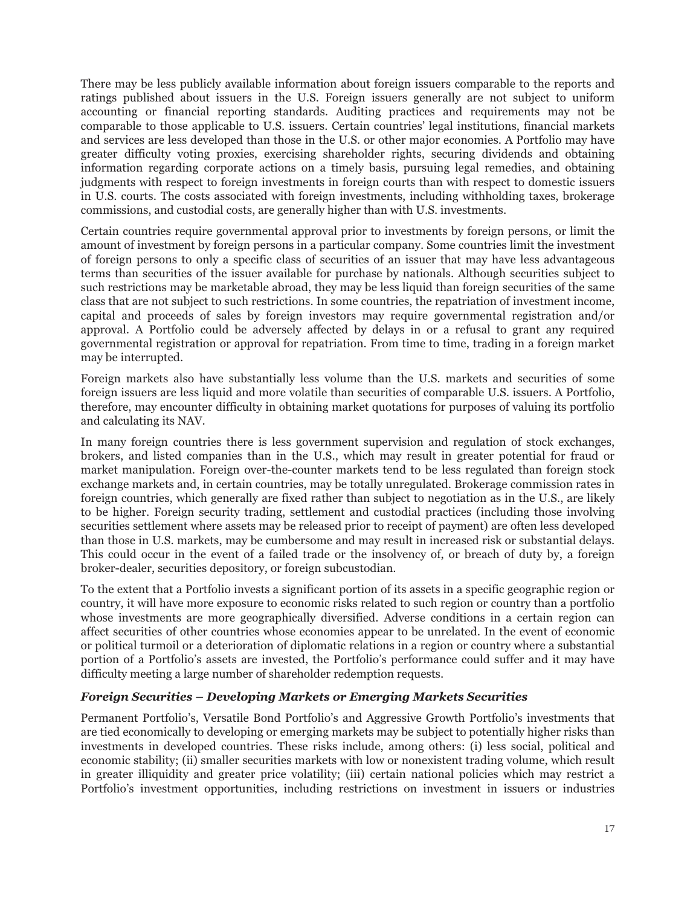There may be less publicly available information about foreign issuers comparable to the reports and ratings published about issuers in the U.S. Foreign issuers generally are not subject to uniform accounting or financial reporting standards. Auditing practices and requirements may not be comparable to those applicable to U.S. issuers. Certain countries' legal institutions, financial markets and services are less developed than those in the U.S. or other major economies. A Portfolio may have greater difficulty voting proxies, exercising shareholder rights, securing dividends and obtaining information regarding corporate actions on a timely basis, pursuing legal remedies, and obtaining judgments with respect to foreign investments in foreign courts than with respect to domestic issuers in U.S. courts. The costs associated with foreign investments, including withholding taxes, brokerage commissions, and custodial costs, are generally higher than with U.S. investments.

Certain countries require governmental approval prior to investments by foreign persons, or limit the amount of investment by foreign persons in a particular company. Some countries limit the investment of foreign persons to only a specific class of securities of an issuer that may have less advantageous terms than securities of the issuer available for purchase by nationals. Although securities subject to such restrictions may be marketable abroad, they may be less liquid than foreign securities of the same class that are not subject to such restrictions. In some countries, the repatriation of investment income, capital and proceeds of sales by foreign investors may require governmental registration and/or approval. A Portfolio could be adversely affected by delays in or a refusal to grant any required governmental registration or approval for repatriation. From time to time, trading in a foreign market may be interrupted.

Foreign markets also have substantially less volume than the U.S. markets and securities of some foreign issuers are less liquid and more volatile than securities of comparable U.S. issuers. A Portfolio, therefore, may encounter difficulty in obtaining market quotations for purposes of valuing its portfolio and calculating its NAV.

In many foreign countries there is less government supervision and regulation of stock exchanges, brokers, and listed companies than in the U.S., which may result in greater potential for fraud or market manipulation. Foreign over-the-counter markets tend to be less regulated than foreign stock exchange markets and, in certain countries, may be totally unregulated. Brokerage commission rates in foreign countries, which generally are fixed rather than subject to negotiation as in the U.S., are likely to be higher. Foreign security trading, settlement and custodial practices (including those involving securities settlement where assets may be released prior to receipt of payment) are often less developed than those in U.S. markets, may be cumbersome and may result in increased risk or substantial delays. This could occur in the event of a failed trade or the insolvency of, or breach of duty by, a foreign broker-dealer, securities depository, or foreign subcustodian.

To the extent that a Portfolio invests a significant portion of its assets in a specific geographic region or country, it will have more exposure to economic risks related to such region or country than a portfolio whose investments are more geographically diversified. Adverse conditions in a certain region can affect securities of other countries whose economies appear to be unrelated. In the event of economic or political turmoil or a deterioration of diplomatic relations in a region or country where a substantial portion of a Portfolio's assets are invested, the Portfolio's performance could suffer and it may have difficulty meeting a large number of shareholder redemption requests.

# *Foreign Securities – Developing Markets or Emerging Markets Securities*

Permanent Portfolio's, Versatile Bond Portfolio's and Aggressive Growth Portfolio's investments that are tied economically to developing or emerging markets may be subject to potentially higher risks than investments in developed countries. These risks include, among others: (i) less social, political and economic stability; (ii) smaller securities markets with low or nonexistent trading volume, which result in greater illiquidity and greater price volatility; (iii) certain national policies which may restrict a Portfolio's investment opportunities, including restrictions on investment in issuers or industries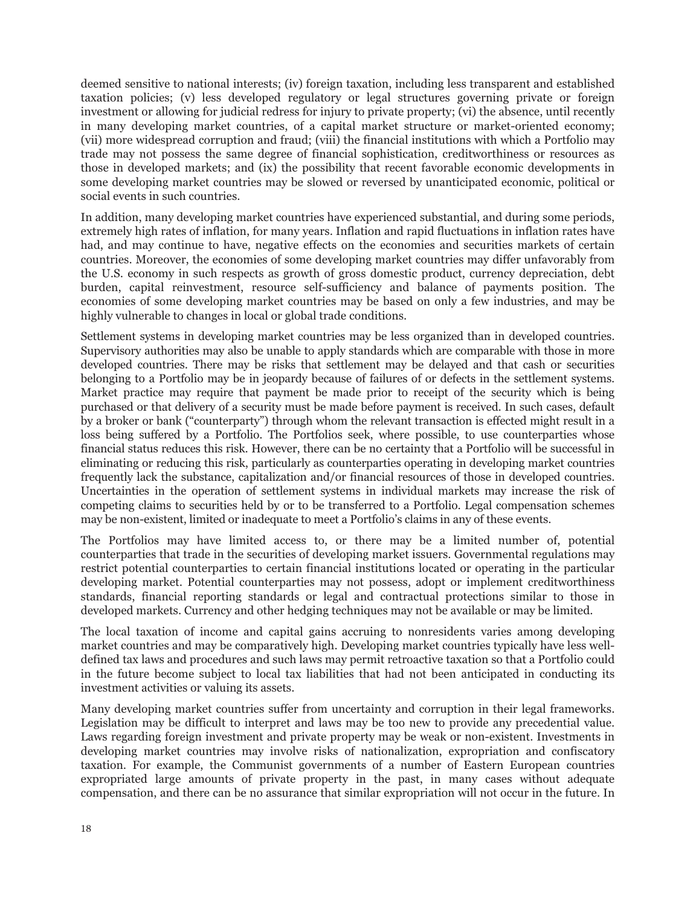deemed sensitive to national interests; (iv) foreign taxation, including less transparent and established taxation policies; (v) less developed regulatory or legal structures governing private or foreign investment or allowing for judicial redress for injury to private property; (vi) the absence, until recently in many developing market countries, of a capital market structure or market-oriented economy; (vii) more widespread corruption and fraud; (viii) the financial institutions with which a Portfolio may trade may not possess the same degree of financial sophistication, creditworthiness or resources as those in developed markets; and (ix) the possibility that recent favorable economic developments in some developing market countries may be slowed or reversed by unanticipated economic, political or social events in such countries.

In addition, many developing market countries have experienced substantial, and during some periods, extremely high rates of inflation, for many years. Inflation and rapid fluctuations in inflation rates have had, and may continue to have, negative effects on the economies and securities markets of certain countries. Moreover, the economies of some developing market countries may differ unfavorably from the U.S. economy in such respects as growth of gross domestic product, currency depreciation, debt burden, capital reinvestment, resource self-sufficiency and balance of payments position. The economies of some developing market countries may be based on only a few industries, and may be highly vulnerable to changes in local or global trade conditions.

Settlement systems in developing market countries may be less organized than in developed countries. Supervisory authorities may also be unable to apply standards which are comparable with those in more developed countries. There may be risks that settlement may be delayed and that cash or securities belonging to a Portfolio may be in jeopardy because of failures of or defects in the settlement systems. Market practice may require that payment be made prior to receipt of the security which is being purchased or that delivery of a security must be made before payment is received. In such cases, default by a broker or bank ("counterparty") through whom the relevant transaction is effected might result in a loss being suffered by a Portfolio. The Portfolios seek, where possible, to use counterparties whose financial status reduces this risk. However, there can be no certainty that a Portfolio will be successful in eliminating or reducing this risk, particularly as counterparties operating in developing market countries frequently lack the substance, capitalization and/or financial resources of those in developed countries. Uncertainties in the operation of settlement systems in individual markets may increase the risk of competing claims to securities held by or to be transferred to a Portfolio. Legal compensation schemes may be non-existent, limited or inadequate to meet a Portfolio's claims in any of these events.

The Portfolios may have limited access to, or there may be a limited number of, potential counterparties that trade in the securities of developing market issuers. Governmental regulations may restrict potential counterparties to certain financial institutions located or operating in the particular developing market. Potential counterparties may not possess, adopt or implement creditworthiness standards, financial reporting standards or legal and contractual protections similar to those in developed markets. Currency and other hedging techniques may not be available or may be limited.

The local taxation of income and capital gains accruing to nonresidents varies among developing market countries and may be comparatively high. Developing market countries typically have less welldefined tax laws and procedures and such laws may permit retroactive taxation so that a Portfolio could in the future become subject to local tax liabilities that had not been anticipated in conducting its investment activities or valuing its assets.

Many developing market countries suffer from uncertainty and corruption in their legal frameworks. Legislation may be difficult to interpret and laws may be too new to provide any precedential value. Laws regarding foreign investment and private property may be weak or non-existent. Investments in developing market countries may involve risks of nationalization, expropriation and confiscatory taxation. For example, the Communist governments of a number of Eastern European countries expropriated large amounts of private property in the past, in many cases without adequate compensation, and there can be no assurance that similar expropriation will not occur in the future. In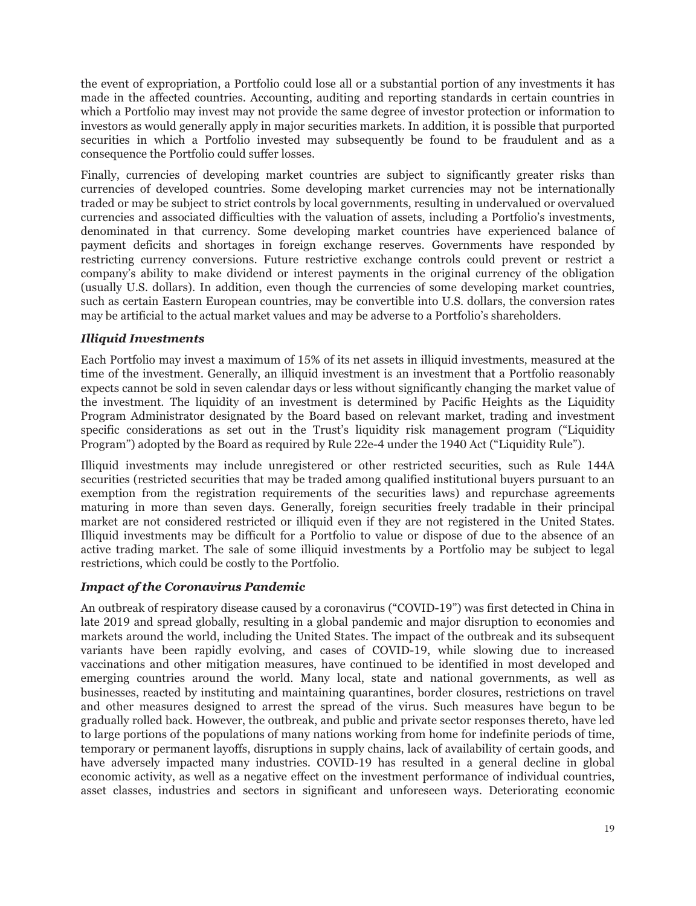the event of expropriation, a Portfolio could lose all or a substantial portion of any investments it has made in the affected countries. Accounting, auditing and reporting standards in certain countries in which a Portfolio may invest may not provide the same degree of investor protection or information to investors as would generally apply in major securities markets. In addition, it is possible that purported securities in which a Portfolio invested may subsequently be found to be fraudulent and as a consequence the Portfolio could suffer losses.

Finally, currencies of developing market countries are subject to significantly greater risks than currencies of developed countries. Some developing market currencies may not be internationally traded or may be subject to strict controls by local governments, resulting in undervalued or overvalued currencies and associated difficulties with the valuation of assets, including a Portfolio's investments, denominated in that currency. Some developing market countries have experienced balance of payment deficits and shortages in foreign exchange reserves. Governments have responded by restricting currency conversions. Future restrictive exchange controls could prevent or restrict a company's ability to make dividend or interest payments in the original currency of the obligation (usually U.S. dollars). In addition, even though the currencies of some developing market countries, such as certain Eastern European countries, may be convertible into U.S. dollars, the conversion rates may be artificial to the actual market values and may be adverse to a Portfolio's shareholders.

# *Illiquid Investments*

Each Portfolio may invest a maximum of 15% of its net assets in illiquid investments, measured at the time of the investment. Generally, an illiquid investment is an investment that a Portfolio reasonably expects cannot be sold in seven calendar days or less without significantly changing the market value of the investment. The liquidity of an investment is determined by Pacific Heights as the Liquidity Program Administrator designated by the Board based on relevant market, trading and investment specific considerations as set out in the Trust's liquidity risk management program ("Liquidity Program") adopted by the Board as required by Rule 22e-4 under the 1940 Act ("Liquidity Rule").

Illiquid investments may include unregistered or other restricted securities, such as Rule 144A securities (restricted securities that may be traded among qualified institutional buyers pursuant to an exemption from the registration requirements of the securities laws) and repurchase agreements maturing in more than seven days. Generally, foreign securities freely tradable in their principal market are not considered restricted or illiquid even if they are not registered in the United States. Illiquid investments may be difficult for a Portfolio to value or dispose of due to the absence of an active trading market. The sale of some illiquid investments by a Portfolio may be subject to legal restrictions, which could be costly to the Portfolio.

# *Impact of the Coronavirus Pandemic*

An outbreak of respiratory disease caused by a coronavirus ("COVID-19") was first detected in China in late 2019 and spread globally, resulting in a global pandemic and major disruption to economies and markets around the world, including the United States. The impact of the outbreak and its subsequent variants have been rapidly evolving, and cases of COVID-19, while slowing due to increased vaccinations and other mitigation measures, have continued to be identified in most developed and emerging countries around the world. Many local, state and national governments, as well as businesses, reacted by instituting and maintaining quarantines, border closures, restrictions on travel and other measures designed to arrest the spread of the virus. Such measures have begun to be gradually rolled back. However, the outbreak, and public and private sector responses thereto, have led to large portions of the populations of many nations working from home for indefinite periods of time, temporary or permanent layoffs, disruptions in supply chains, lack of availability of certain goods, and have adversely impacted many industries. COVID-19 has resulted in a general decline in global economic activity, as well as a negative effect on the investment performance of individual countries, asset classes, industries and sectors in significant and unforeseen ways. Deteriorating economic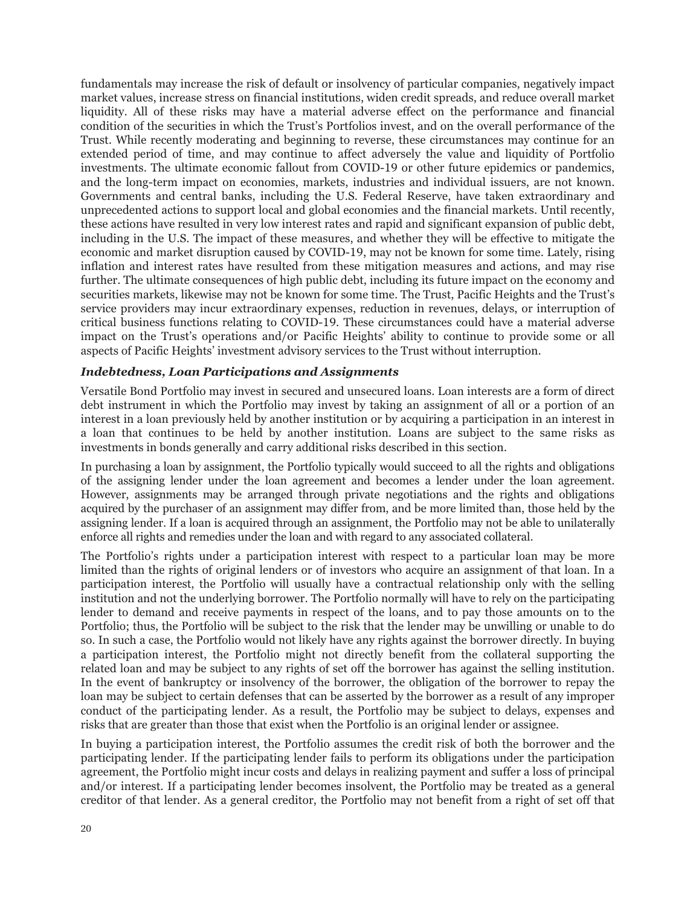fundamentals may increase the risk of default or insolvency of particular companies, negatively impact market values, increase stress on financial institutions, widen credit spreads, and reduce overall market liquidity. All of these risks may have a material adverse effect on the performance and financial condition of the securities in which the Trust's Portfolios invest, and on the overall performance of the Trust. While recently moderating and beginning to reverse, these circumstances may continue for an extended period of time, and may continue to affect adversely the value and liquidity of Portfolio investments. The ultimate economic fallout from COVID-19 or other future epidemics or pandemics, and the long-term impact on economies, markets, industries and individual issuers, are not known. Governments and central banks, including the U.S. Federal Reserve, have taken extraordinary and unprecedented actions to support local and global economies and the financial markets. Until recently, these actions have resulted in very low interest rates and rapid and significant expansion of public debt, including in the U.S. The impact of these measures, and whether they will be effective to mitigate the economic and market disruption caused by COVID-19, may not be known for some time. Lately, rising inflation and interest rates have resulted from these mitigation measures and actions, and may rise further. The ultimate consequences of high public debt, including its future impact on the economy and securities markets, likewise may not be known for some time. The Trust, Pacific Heights and the Trust's service providers may incur extraordinary expenses, reduction in revenues, delays, or interruption of critical business functions relating to COVID-19. These circumstances could have a material adverse impact on the Trust's operations and/or Pacific Heights' ability to continue to provide some or all aspects of Pacific Heights' investment advisory services to the Trust without interruption.

#### *Indebtedness, Loan Participations and Assignments*

Versatile Bond Portfolio may invest in secured and unsecured loans. Loan interests are a form of direct debt instrument in which the Portfolio may invest by taking an assignment of all or a portion of an interest in a loan previously held by another institution or by acquiring a participation in an interest in a loan that continues to be held by another institution. Loans are subject to the same risks as investments in bonds generally and carry additional risks described in this section.

In purchasing a loan by assignment, the Portfolio typically would succeed to all the rights and obligations of the assigning lender under the loan agreement and becomes a lender under the loan agreement. However, assignments may be arranged through private negotiations and the rights and obligations acquired by the purchaser of an assignment may differ from, and be more limited than, those held by the assigning lender. If a loan is acquired through an assignment, the Portfolio may not be able to unilaterally enforce all rights and remedies under the loan and with regard to any associated collateral.

The Portfolio's rights under a participation interest with respect to a particular loan may be more limited than the rights of original lenders or of investors who acquire an assignment of that loan. In a participation interest, the Portfolio will usually have a contractual relationship only with the selling institution and not the underlying borrower. The Portfolio normally will have to rely on the participating lender to demand and receive payments in respect of the loans, and to pay those amounts on to the Portfolio; thus, the Portfolio will be subject to the risk that the lender may be unwilling or unable to do so. In such a case, the Portfolio would not likely have any rights against the borrower directly. In buying a participation interest, the Portfolio might not directly benefit from the collateral supporting the related loan and may be subject to any rights of set off the borrower has against the selling institution. In the event of bankruptcy or insolvency of the borrower, the obligation of the borrower to repay the loan may be subject to certain defenses that can be asserted by the borrower as a result of any improper conduct of the participating lender. As a result, the Portfolio may be subject to delays, expenses and risks that are greater than those that exist when the Portfolio is an original lender or assignee.

In buying a participation interest, the Portfolio assumes the credit risk of both the borrower and the participating lender. If the participating lender fails to perform its obligations under the participation agreement, the Portfolio might incur costs and delays in realizing payment and suffer a loss of principal and/or interest. If a participating lender becomes insolvent, the Portfolio may be treated as a general creditor of that lender. As a general creditor, the Portfolio may not benefit from a right of set off that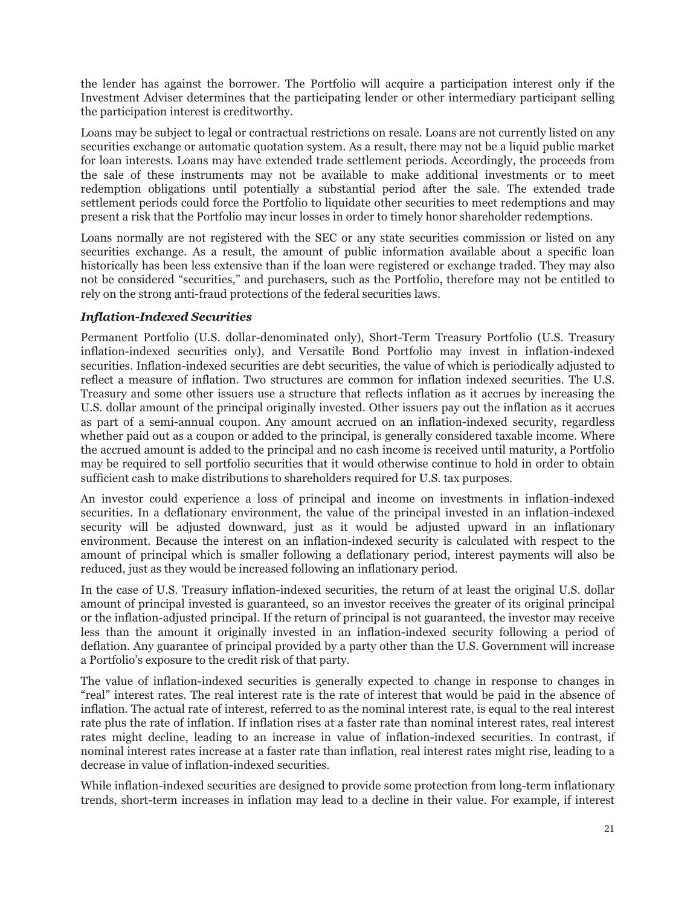the lender has against the borrower. The Portfolio will acquire a participation interest only if the Investment Adviser determines that the participating lender or other intermediary participant selling the participation interest is creditworthy.

Loans may be subject to legal or contractual restrictions on resale. Loans are not currently listed on any securities exchange or automatic quotation system. As a result, there may not be a liquid public market for loan interests. Loans may have extended trade settlement periods. Accordingly, the proceeds from the sale of these instruments may not be available to make additional investments or to meet redemption obligations until potentially a substantial period after the sale. The extended trade settlement periods could force the Portfolio to liquidate other securities to meet redemptions and may present a risk that the Portfolio may incur losses in order to timely honor shareholder redemptions.

Loans normally are not registered with the SEC or any state securities commission or listed on any securities exchange. As a result, the amount of public information available about a specific loan historically has been less extensive than if the loan were registered or exchange traded. They may also not be considered "securities," and purchasers, such as the Portfolio, therefore may not be entitled to rely on the strong anti-fraud protections of the federal securities laws.

# *Inflation-Indexed Securities*

Permanent Portfolio (U.S. dollar-denominated only), Short-Term Treasury Portfolio (U.S. Treasury inflation-indexed securities only), and Versatile Bond Portfolio may invest in inflation-indexed securities. Inflation-indexed securities are debt securities, the value of which is periodically adjusted to reflect a measure of inflation. Two structures are common for inflation indexed securities. The U.S. Treasury and some other issuers use a structure that reflects inflation as it accrues by increasing the U.S. dollar amount of the principal originally invested. Other issuers pay out the inflation as it accrues as part of a semi-annual coupon. Any amount accrued on an inflation-indexed security, regardless whether paid out as a coupon or added to the principal, is generally considered taxable income. Where the accrued amount is added to the principal and no cash income is received until maturity, a Portfolio may be required to sell portfolio securities that it would otherwise continue to hold in order to obtain sufficient cash to make distributions to shareholders required for U.S. tax purposes.

An investor could experience a loss of principal and income on investments in inflation-indexed securities. In a deflationary environment, the value of the principal invested in an inflation-indexed security will be adjusted downward, just as it would be adjusted upward in an inflationary environment. Because the interest on an inflation-indexed security is calculated with respect to the amount of principal which is smaller following a deflationary period, interest payments will also be reduced, just as they would be increased following an inflationary period.

In the case of U.S. Treasury inflation-indexed securities, the return of at least the original U.S. dollar amount of principal invested is guaranteed, so an investor receives the greater of its original principal or the inflation-adjusted principal. If the return of principal is not guaranteed, the investor may receive less than the amount it originally invested in an inflation-indexed security following a period of deflation. Any guarantee of principal provided by a party other than the U.S. Government will increase a Portfolio's exposure to the credit risk of that party.

The value of inflation-indexed securities is generally expected to change in response to changes in "real" interest rates. The real interest rate is the rate of interest that would be paid in the absence of inflation. The actual rate of interest, referred to as the nominal interest rate, is equal to the real interest rate plus the rate of inflation. If inflation rises at a faster rate than nominal interest rates, real interest rates might decline, leading to an increase in value of inflation-indexed securities. In contrast, if nominal interest rates increase at a faster rate than inflation, real interest rates might rise, leading to a decrease in value of inflation-indexed securities.

While inflation-indexed securities are designed to provide some protection from long-term inflationary trends, short-term increases in inflation may lead to a decline in their value. For example, if interest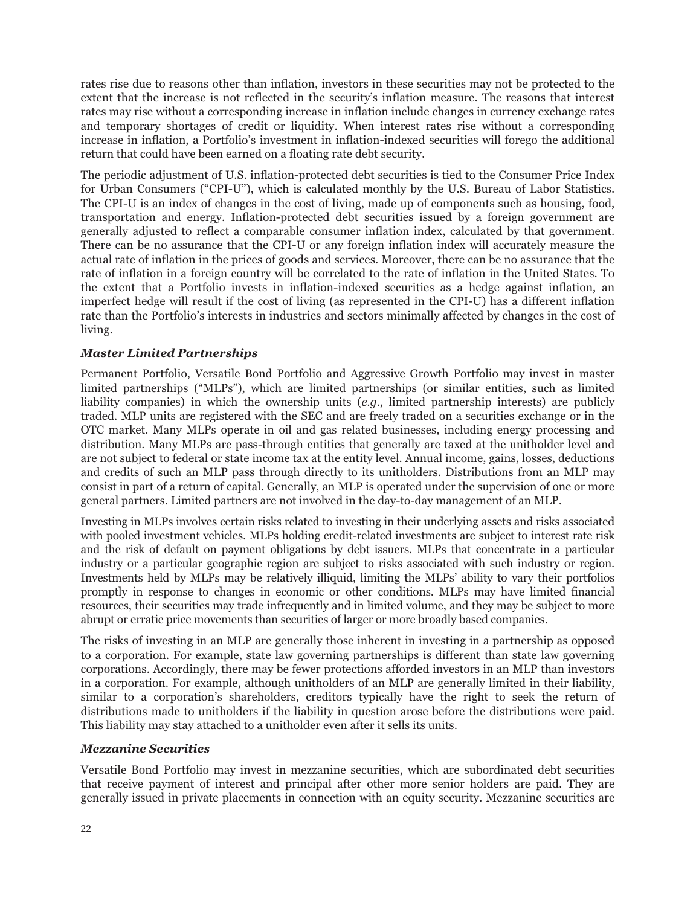rates rise due to reasons other than inflation, investors in these securities may not be protected to the extent that the increase is not reflected in the security's inflation measure. The reasons that interest rates may rise without a corresponding increase in inflation include changes in currency exchange rates and temporary shortages of credit or liquidity. When interest rates rise without a corresponding increase in inflation, a Portfolio's investment in inflation-indexed securities will forego the additional return that could have been earned on a floating rate debt security.

The periodic adjustment of U.S. inflation-protected debt securities is tied to the Consumer Price Index for Urban Consumers ("CPI-U"), which is calculated monthly by the U.S. Bureau of Labor Statistics. The CPI-U is an index of changes in the cost of living, made up of components such as housing, food, transportation and energy. Inflation-protected debt securities issued by a foreign government are generally adjusted to reflect a comparable consumer inflation index, calculated by that government. There can be no assurance that the CPI-U or any foreign inflation index will accurately measure the actual rate of inflation in the prices of goods and services. Moreover, there can be no assurance that the rate of inflation in a foreign country will be correlated to the rate of inflation in the United States. To the extent that a Portfolio invests in inflation-indexed securities as a hedge against inflation, an imperfect hedge will result if the cost of living (as represented in the CPI-U) has a different inflation rate than the Portfolio's interests in industries and sectors minimally affected by changes in the cost of living.

# *Master Limited Partnerships*

Permanent Portfolio, Versatile Bond Portfolio and Aggressive Growth Portfolio may invest in master limited partnerships ("MLPs"), which are limited partnerships (or similar entities, such as limited liability companies) in which the ownership units (*e.g.*, limited partnership interests) are publicly traded. MLP units are registered with the SEC and are freely traded on a securities exchange or in the OTC market. Many MLPs operate in oil and gas related businesses, including energy processing and distribution. Many MLPs are pass-through entities that generally are taxed at the unitholder level and are not subject to federal or state income tax at the entity level. Annual income, gains, losses, deductions and credits of such an MLP pass through directly to its unitholders. Distributions from an MLP may consist in part of a return of capital. Generally, an MLP is operated under the supervision of one or more general partners. Limited partners are not involved in the day-to-day management of an MLP.

Investing in MLPs involves certain risks related to investing in their underlying assets and risks associated with pooled investment vehicles. MLPs holding credit-related investments are subject to interest rate risk and the risk of default on payment obligations by debt issuers. MLPs that concentrate in a particular industry or a particular geographic region are subject to risks associated with such industry or region. Investments held by MLPs may be relatively illiquid, limiting the MLPs' ability to vary their portfolios promptly in response to changes in economic or other conditions. MLPs may have limited financial resources, their securities may trade infrequently and in limited volume, and they may be subject to more abrupt or erratic price movements than securities of larger or more broadly based companies.

The risks of investing in an MLP are generally those inherent in investing in a partnership as opposed to a corporation. For example, state law governing partnerships is different than state law governing corporations. Accordingly, there may be fewer protections afforded investors in an MLP than investors in a corporation. For example, although unitholders of an MLP are generally limited in their liability, similar to a corporation's shareholders, creditors typically have the right to seek the return of distributions made to unitholders if the liability in question arose before the distributions were paid. This liability may stay attached to a unitholder even after it sells its units.

# *Mezzanine Securities*

Versatile Bond Portfolio may invest in mezzanine securities, which are subordinated debt securities that receive payment of interest and principal after other more senior holders are paid. They are generally issued in private placements in connection with an equity security. Mezzanine securities are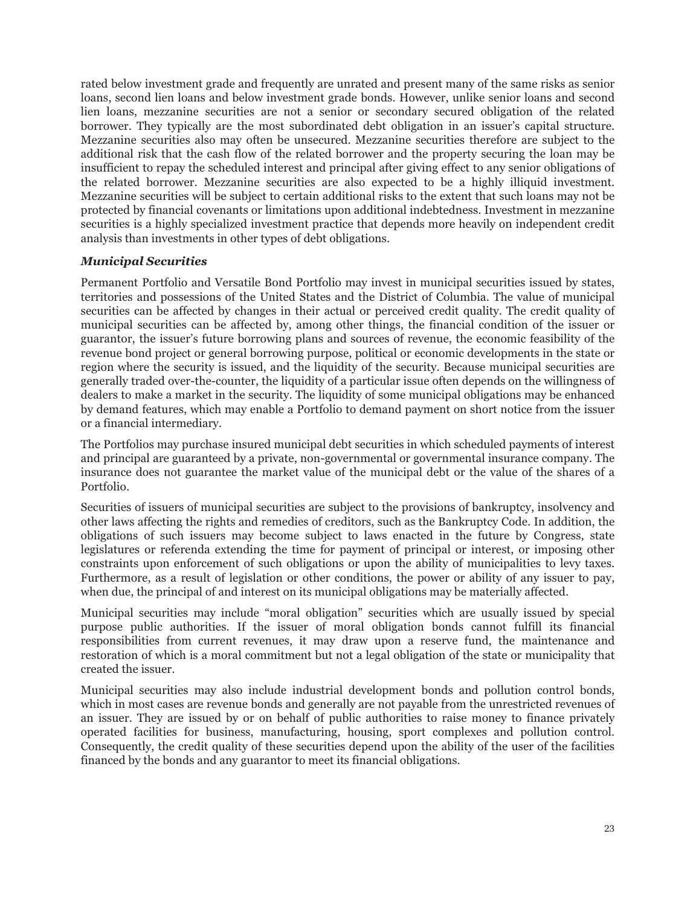rated below investment grade and frequently are unrated and present many of the same risks as senior loans, second lien loans and below investment grade bonds. However, unlike senior loans and second lien loans, mezzanine securities are not a senior or secondary secured obligation of the related borrower. They typically are the most subordinated debt obligation in an issuer's capital structure. Mezzanine securities also may often be unsecured. Mezzanine securities therefore are subject to the additional risk that the cash flow of the related borrower and the property securing the loan may be insufficient to repay the scheduled interest and principal after giving effect to any senior obligations of the related borrower. Mezzanine securities are also expected to be a highly illiquid investment. Mezzanine securities will be subject to certain additional risks to the extent that such loans may not be protected by financial covenants or limitations upon additional indebtedness. Investment in mezzanine securities is a highly specialized investment practice that depends more heavily on independent credit analysis than investments in other types of debt obligations.

# *Municipal Securities*

Permanent Portfolio and Versatile Bond Portfolio may invest in municipal securities issued by states, territories and possessions of the United States and the District of Columbia. The value of municipal securities can be affected by changes in their actual or perceived credit quality. The credit quality of municipal securities can be affected by, among other things, the financial condition of the issuer or guarantor, the issuer's future borrowing plans and sources of revenue, the economic feasibility of the revenue bond project or general borrowing purpose, political or economic developments in the state or region where the security is issued, and the liquidity of the security. Because municipal securities are generally traded over-the-counter, the liquidity of a particular issue often depends on the willingness of dealers to make a market in the security. The liquidity of some municipal obligations may be enhanced by demand features, which may enable a Portfolio to demand payment on short notice from the issuer or a financial intermediary.

The Portfolios may purchase insured municipal debt securities in which scheduled payments of interest and principal are guaranteed by a private, non-governmental or governmental insurance company. The insurance does not guarantee the market value of the municipal debt or the value of the shares of a Portfolio.

Securities of issuers of municipal securities are subject to the provisions of bankruptcy, insolvency and other laws affecting the rights and remedies of creditors, such as the Bankruptcy Code. In addition, the obligations of such issuers may become subject to laws enacted in the future by Congress, state legislatures or referenda extending the time for payment of principal or interest, or imposing other constraints upon enforcement of such obligations or upon the ability of municipalities to levy taxes. Furthermore, as a result of legislation or other conditions, the power or ability of any issuer to pay, when due, the principal of and interest on its municipal obligations may be materially affected.

Municipal securities may include "moral obligation" securities which are usually issued by special purpose public authorities. If the issuer of moral obligation bonds cannot fulfill its financial responsibilities from current revenues, it may draw upon a reserve fund, the maintenance and restoration of which is a moral commitment but not a legal obligation of the state or municipality that created the issuer.

Municipal securities may also include industrial development bonds and pollution control bonds, which in most cases are revenue bonds and generally are not payable from the unrestricted revenues of an issuer. They are issued by or on behalf of public authorities to raise money to finance privately operated facilities for business, manufacturing, housing, sport complexes and pollution control. Consequently, the credit quality of these securities depend upon the ability of the user of the facilities financed by the bonds and any guarantor to meet its financial obligations.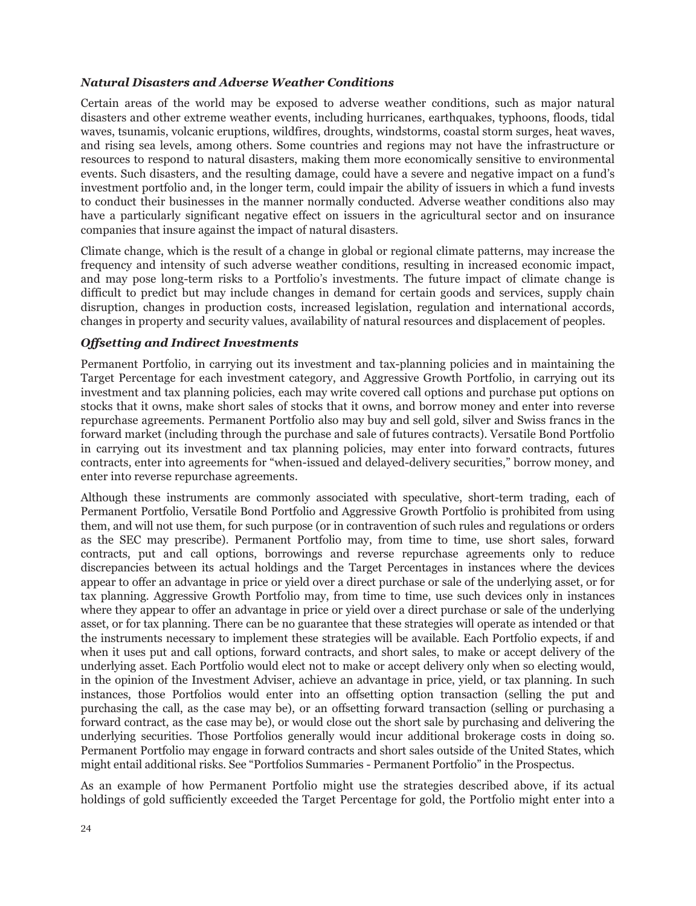#### *Natural Disasters and Adverse Weather Conditions*

Certain areas of the world may be exposed to adverse weather conditions, such as major natural disasters and other extreme weather events, including hurricanes, earthquakes, typhoons, floods, tidal waves, tsunamis, volcanic eruptions, wildfires, droughts, windstorms, coastal storm surges, heat waves, and rising sea levels, among others. Some countries and regions may not have the infrastructure or resources to respond to natural disasters, making them more economically sensitive to environmental events. Such disasters, and the resulting damage, could have a severe and negative impact on a fund's investment portfolio and, in the longer term, could impair the ability of issuers in which a fund invests to conduct their businesses in the manner normally conducted. Adverse weather conditions also may have a particularly significant negative effect on issuers in the agricultural sector and on insurance companies that insure against the impact of natural disasters.

Climate change, which is the result of a change in global or regional climate patterns, may increase the frequency and intensity of such adverse weather conditions, resulting in increased economic impact, and may pose long-term risks to a Portfolio's investments. The future impact of climate change is difficult to predict but may include changes in demand for certain goods and services, supply chain disruption, changes in production costs, increased legislation, regulation and international accords, changes in property and security values, availability of natural resources and displacement of peoples.

#### *Offsetting and Indirect Investments*

Permanent Portfolio, in carrying out its investment and tax-planning policies and in maintaining the Target Percentage for each investment category, and Aggressive Growth Portfolio, in carrying out its investment and tax planning policies, each may write covered call options and purchase put options on stocks that it owns, make short sales of stocks that it owns, and borrow money and enter into reverse repurchase agreements. Permanent Portfolio also may buy and sell gold, silver and Swiss francs in the forward market (including through the purchase and sale of futures contracts). Versatile Bond Portfolio in carrying out its investment and tax planning policies, may enter into forward contracts, futures contracts, enter into agreements for "when-issued and delayed-delivery securities," borrow money, and enter into reverse repurchase agreements.

Although these instruments are commonly associated with speculative, short-term trading, each of Permanent Portfolio, Versatile Bond Portfolio and Aggressive Growth Portfolio is prohibited from using them, and will not use them, for such purpose (or in contravention of such rules and regulations or orders as the SEC may prescribe). Permanent Portfolio may, from time to time, use short sales, forward contracts, put and call options, borrowings and reverse repurchase agreements only to reduce discrepancies between its actual holdings and the Target Percentages in instances where the devices appear to offer an advantage in price or yield over a direct purchase or sale of the underlying asset, or for tax planning. Aggressive Growth Portfolio may, from time to time, use such devices only in instances where they appear to offer an advantage in price or yield over a direct purchase or sale of the underlying asset, or for tax planning. There can be no guarantee that these strategies will operate as intended or that the instruments necessary to implement these strategies will be available. Each Portfolio expects, if and when it uses put and call options, forward contracts, and short sales, to make or accept delivery of the underlying asset. Each Portfolio would elect not to make or accept delivery only when so electing would, in the opinion of the Investment Adviser, achieve an advantage in price, yield, or tax planning. In such instances, those Portfolios would enter into an offsetting option transaction (selling the put and purchasing the call, as the case may be), or an offsetting forward transaction (selling or purchasing a forward contract, as the case may be), or would close out the short sale by purchasing and delivering the underlying securities. Those Portfolios generally would incur additional brokerage costs in doing so. Permanent Portfolio may engage in forward contracts and short sales outside of the United States, which might entail additional risks. See "Portfolios Summaries - Permanent Portfolio" in the Prospectus.

As an example of how Permanent Portfolio might use the strategies described above, if its actual holdings of gold sufficiently exceeded the Target Percentage for gold, the Portfolio might enter into a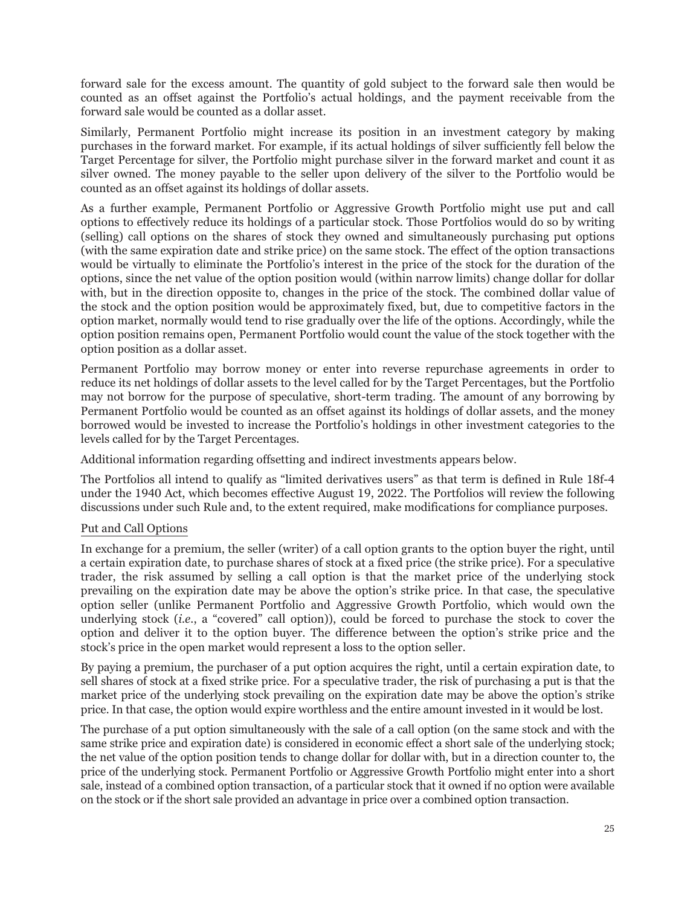forward sale for the excess amount. The quantity of gold subject to the forward sale then would be counted as an offset against the Portfolio's actual holdings, and the payment receivable from the forward sale would be counted as a dollar asset.

Similarly, Permanent Portfolio might increase its position in an investment category by making purchases in the forward market. For example, if its actual holdings of silver sufficiently fell below the Target Percentage for silver, the Portfolio might purchase silver in the forward market and count it as silver owned. The money payable to the seller upon delivery of the silver to the Portfolio would be counted as an offset against its holdings of dollar assets.

As a further example, Permanent Portfolio or Aggressive Growth Portfolio might use put and call options to effectively reduce its holdings of a particular stock. Those Portfolios would do so by writing (selling) call options on the shares of stock they owned and simultaneously purchasing put options (with the same expiration date and strike price) on the same stock. The effect of the option transactions would be virtually to eliminate the Portfolio's interest in the price of the stock for the duration of the options, since the net value of the option position would (within narrow limits) change dollar for dollar with, but in the direction opposite to, changes in the price of the stock. The combined dollar value of the stock and the option position would be approximately fixed, but, due to competitive factors in the option market, normally would tend to rise gradually over the life of the options. Accordingly, while the option position remains open, Permanent Portfolio would count the value of the stock together with the option position as a dollar asset.

Permanent Portfolio may borrow money or enter into reverse repurchase agreements in order to reduce its net holdings of dollar assets to the level called for by the Target Percentages, but the Portfolio may not borrow for the purpose of speculative, short-term trading. The amount of any borrowing by Permanent Portfolio would be counted as an offset against its holdings of dollar assets, and the money borrowed would be invested to increase the Portfolio's holdings in other investment categories to the levels called for by the Target Percentages.

Additional information regarding offsetting and indirect investments appears below.

The Portfolios all intend to qualify as "limited derivatives users" as that term is defined in Rule 18f-4 under the 1940 Act, which becomes effective August 19, 2022. The Portfolios will review the following discussions under such Rule and, to the extent required, make modifications for compliance purposes.

# Put and Call Options

In exchange for a premium, the seller (writer) of a call option grants to the option buyer the right, until a certain expiration date, to purchase shares of stock at a fixed price (the strike price). For a speculative trader, the risk assumed by selling a call option is that the market price of the underlying stock prevailing on the expiration date may be above the option's strike price. In that case, the speculative option seller (unlike Permanent Portfolio and Aggressive Growth Portfolio, which would own the underlying stock (*i.e.*, a "covered" call option)), could be forced to purchase the stock to cover the option and deliver it to the option buyer. The difference between the option's strike price and the stock's price in the open market would represent a loss to the option seller.

By paying a premium, the purchaser of a put option acquires the right, until a certain expiration date, to sell shares of stock at a fixed strike price. For a speculative trader, the risk of purchasing a put is that the market price of the underlying stock prevailing on the expiration date may be above the option's strike price. In that case, the option would expire worthless and the entire amount invested in it would be lost.

The purchase of a put option simultaneously with the sale of a call option (on the same stock and with the same strike price and expiration date) is considered in economic effect a short sale of the underlying stock; the net value of the option position tends to change dollar for dollar with, but in a direction counter to, the price of the underlying stock. Permanent Portfolio or Aggressive Growth Portfolio might enter into a short sale, instead of a combined option transaction, of a particular stock that it owned if no option were available on the stock or if the short sale provided an advantage in price over a combined option transaction.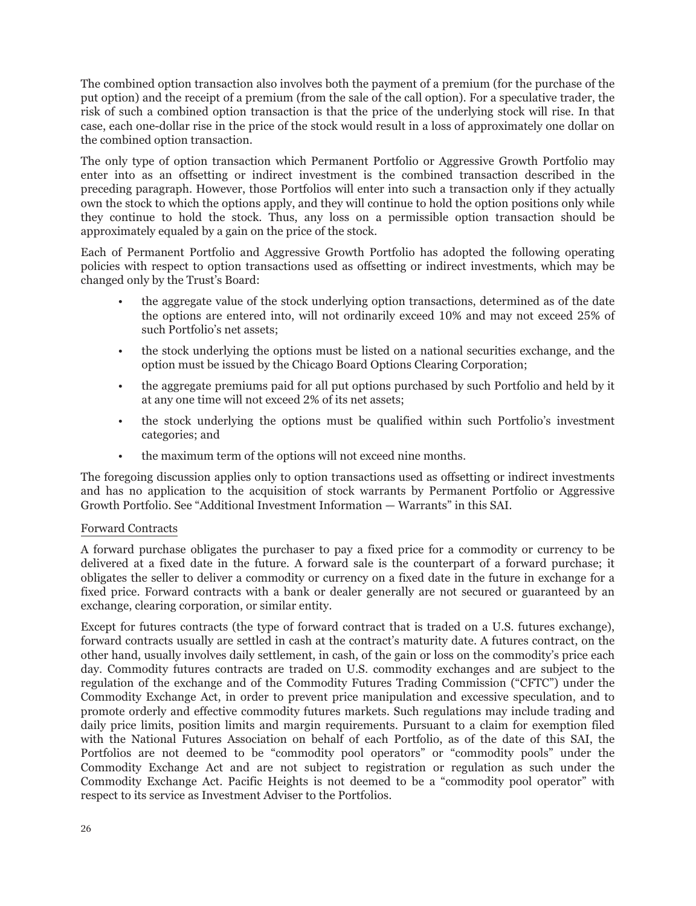The combined option transaction also involves both the payment of a premium (for the purchase of the put option) and the receipt of a premium (from the sale of the call option). For a speculative trader, the risk of such a combined option transaction is that the price of the underlying stock will rise. In that case, each one-dollar rise in the price of the stock would result in a loss of approximately one dollar on the combined option transaction.

The only type of option transaction which Permanent Portfolio or Aggressive Growth Portfolio may enter into as an offsetting or indirect investment is the combined transaction described in the preceding paragraph. However, those Portfolios will enter into such a transaction only if they actually own the stock to which the options apply, and they will continue to hold the option positions only while they continue to hold the stock. Thus, any loss on a permissible option transaction should be approximately equaled by a gain on the price of the stock.

Each of Permanent Portfolio and Aggressive Growth Portfolio has adopted the following operating policies with respect to option transactions used as offsetting or indirect investments, which may be changed only by the Trust's Board:

- the aggregate value of the stock underlying option transactions, determined as of the date the options are entered into, will not ordinarily exceed 10% and may not exceed 25% of such Portfolio's net assets;
- the stock underlying the options must be listed on a national securities exchange, and the option must be issued by the Chicago Board Options Clearing Corporation;
- the aggregate premiums paid for all put options purchased by such Portfolio and held by it at any one time will not exceed 2% of its net assets;
- the stock underlying the options must be qualified within such Portfolio's investment categories; and
- the maximum term of the options will not exceed nine months.

The foregoing discussion applies only to option transactions used as offsetting or indirect investments and has no application to the acquisition of stock warrants by Permanent Portfolio or Aggressive Growth Portfolio. See "Additional Investment Information — Warrants" in this SAI.

# Forward Contracts

A forward purchase obligates the purchaser to pay a fixed price for a commodity or currency to be delivered at a fixed date in the future. A forward sale is the counterpart of a forward purchase; it obligates the seller to deliver a commodity or currency on a fixed date in the future in exchange for a fixed price. Forward contracts with a bank or dealer generally are not secured or guaranteed by an exchange, clearing corporation, or similar entity.

Except for futures contracts (the type of forward contract that is traded on a U.S. futures exchange), forward contracts usually are settled in cash at the contract's maturity date. A futures contract, on the other hand, usually involves daily settlement, in cash, of the gain or loss on the commodity's price each day. Commodity futures contracts are traded on U.S. commodity exchanges and are subject to the regulation of the exchange and of the Commodity Futures Trading Commission ("CFTC") under the Commodity Exchange Act, in order to prevent price manipulation and excessive speculation, and to promote orderly and effective commodity futures markets. Such regulations may include trading and daily price limits, position limits and margin requirements. Pursuant to a claim for exemption filed with the National Futures Association on behalf of each Portfolio, as of the date of this SAI, the Portfolios are not deemed to be "commodity pool operators" or "commodity pools" under the Commodity Exchange Act and are not subject to registration or regulation as such under the Commodity Exchange Act. Pacific Heights is not deemed to be a "commodity pool operator" with respect to its service as Investment Adviser to the Portfolios.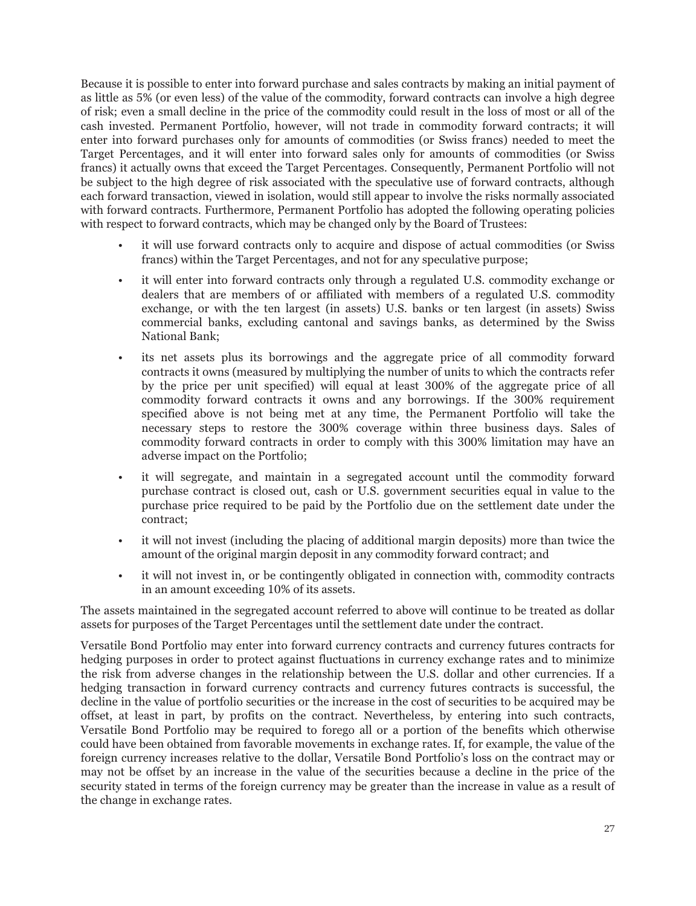Because it is possible to enter into forward purchase and sales contracts by making an initial payment of as little as 5% (or even less) of the value of the commodity, forward contracts can involve a high degree of risk; even a small decline in the price of the commodity could result in the loss of most or all of the cash invested. Permanent Portfolio, however, will not trade in commodity forward contracts; it will enter into forward purchases only for amounts of commodities (or Swiss francs) needed to meet the Target Percentages, and it will enter into forward sales only for amounts of commodities (or Swiss francs) it actually owns that exceed the Target Percentages. Consequently, Permanent Portfolio will not be subject to the high degree of risk associated with the speculative use of forward contracts, although each forward transaction, viewed in isolation, would still appear to involve the risks normally associated with forward contracts. Furthermore, Permanent Portfolio has adopted the following operating policies with respect to forward contracts, which may be changed only by the Board of Trustees:

- it will use forward contracts only to acquire and dispose of actual commodities (or Swiss francs) within the Target Percentages, and not for any speculative purpose;
- it will enter into forward contracts only through a regulated U.S. commodity exchange or dealers that are members of or affiliated with members of a regulated U.S. commodity exchange, or with the ten largest (in assets) U.S. banks or ten largest (in assets) Swiss commercial banks, excluding cantonal and savings banks, as determined by the Swiss National Bank;
- its net assets plus its borrowings and the aggregate price of all commodity forward contracts it owns (measured by multiplying the number of units to which the contracts refer by the price per unit specified) will equal at least 300% of the aggregate price of all commodity forward contracts it owns and any borrowings. If the 300% requirement specified above is not being met at any time, the Permanent Portfolio will take the necessary steps to restore the 300% coverage within three business days. Sales of commodity forward contracts in order to comply with this 300% limitation may have an adverse impact on the Portfolio;
- it will segregate, and maintain in a segregated account until the commodity forward purchase contract is closed out, cash or U.S. government securities equal in value to the purchase price required to be paid by the Portfolio due on the settlement date under the contract;
- it will not invest (including the placing of additional margin deposits) more than twice the amount of the original margin deposit in any commodity forward contract; and
- it will not invest in, or be contingently obligated in connection with, commodity contracts in an amount exceeding 10% of its assets.

The assets maintained in the segregated account referred to above will continue to be treated as dollar assets for purposes of the Target Percentages until the settlement date under the contract.

Versatile Bond Portfolio may enter into forward currency contracts and currency futures contracts for hedging purposes in order to protect against fluctuations in currency exchange rates and to minimize the risk from adverse changes in the relationship between the U.S. dollar and other currencies. If a hedging transaction in forward currency contracts and currency futures contracts is successful, the decline in the value of portfolio securities or the increase in the cost of securities to be acquired may be offset, at least in part, by profits on the contract. Nevertheless, by entering into such contracts, Versatile Bond Portfolio may be required to forego all or a portion of the benefits which otherwise could have been obtained from favorable movements in exchange rates. If, for example, the value of the foreign currency increases relative to the dollar, Versatile Bond Portfolio's loss on the contract may or may not be offset by an increase in the value of the securities because a decline in the price of the security stated in terms of the foreign currency may be greater than the increase in value as a result of the change in exchange rates.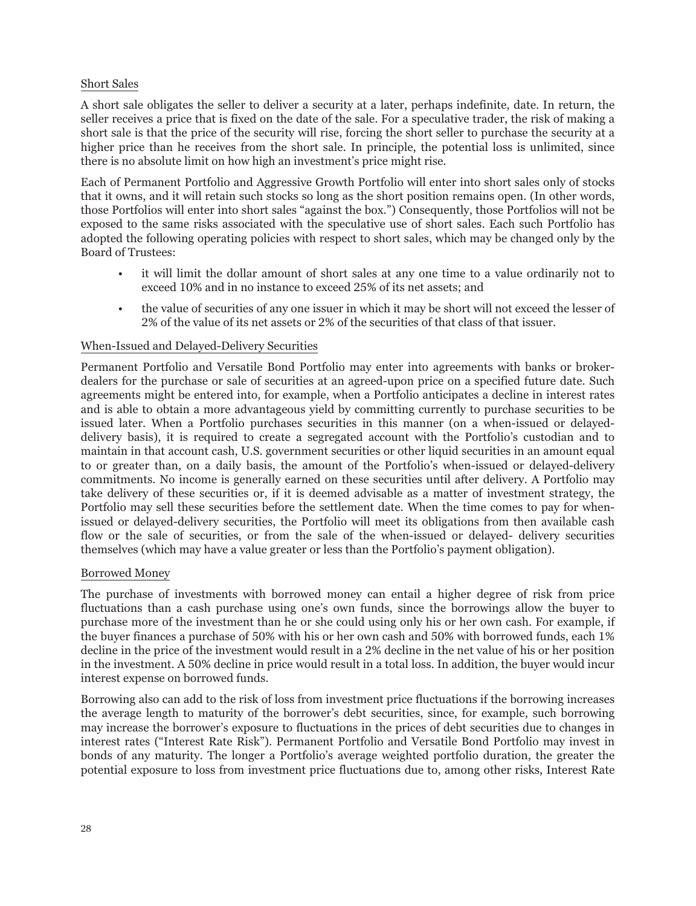#### Short Sales

A short sale obligates the seller to deliver a security at a later, perhaps indefinite, date. In return, the seller receives a price that is fixed on the date of the sale. For a speculative trader, the risk of making a short sale is that the price of the security will rise, forcing the short seller to purchase the security at a higher price than he receives from the short sale. In principle, the potential loss is unlimited, since there is no absolute limit on how high an investment's price might rise.

Each of Permanent Portfolio and Aggressive Growth Portfolio will enter into short sales only of stocks that it owns, and it will retain such stocks so long as the short position remains open. (In other words, those Portfolios will enter into short sales "against the box.") Consequently, those Portfolios will not be exposed to the same risks associated with the speculative use of short sales. Each such Portfolio has adopted the following operating policies with respect to short sales, which may be changed only by the Board of Trustees:

- it will limit the dollar amount of short sales at any one time to a value ordinarily not to exceed 10% and in no instance to exceed 25% of its net assets; and
- the value of securities of any one issuer in which it may be short will not exceed the lesser of 2% of the value of its net assets or 2% of the securities of that class of that issuer.

#### When-Issued and Delayed-Delivery Securities

Permanent Portfolio and Versatile Bond Portfolio may enter into agreements with banks or brokerdealers for the purchase or sale of securities at an agreed-upon price on a specified future date. Such agreements might be entered into, for example, when a Portfolio anticipates a decline in interest rates and is able to obtain a more advantageous yield by committing currently to purchase securities to be issued later. When a Portfolio purchases securities in this manner (on a when-issued or delayeddelivery basis), it is required to create a segregated account with the Portfolio's custodian and to maintain in that account cash, U.S. government securities or other liquid securities in an amount equal to or greater than, on a daily basis, the amount of the Portfolio's when-issued or delayed-delivery commitments. No income is generally earned on these securities until after delivery. A Portfolio may take delivery of these securities or, if it is deemed advisable as a matter of investment strategy, the Portfolio may sell these securities before the settlement date. When the time comes to pay for whenissued or delayed-delivery securities, the Portfolio will meet its obligations from then available cash flow or the sale of securities, or from the sale of the when-issued or delayed- delivery securities themselves (which may have a value greater or less than the Portfolio's payment obligation).

#### Borrowed Money

The purchase of investments with borrowed money can entail a higher degree of risk from price fluctuations than a cash purchase using one's own funds, since the borrowings allow the buyer to purchase more of the investment than he or she could using only his or her own cash. For example, if the buyer finances a purchase of 50% with his or her own cash and 50% with borrowed funds, each 1% decline in the price of the investment would result in a 2% decline in the net value of his or her position in the investment. A 50% decline in price would result in a total loss. In addition, the buyer would incur interest expense on borrowed funds.

Borrowing also can add to the risk of loss from investment price fluctuations if the borrowing increases the average length to maturity of the borrower's debt securities, since, for example, such borrowing may increase the borrower's exposure to fluctuations in the prices of debt securities due to changes in interest rates ("Interest Rate Risk"). Permanent Portfolio and Versatile Bond Portfolio may invest in bonds of any maturity. The longer a Portfolio's average weighted portfolio duration, the greater the potential exposure to loss from investment price fluctuations due to, among other risks, Interest Rate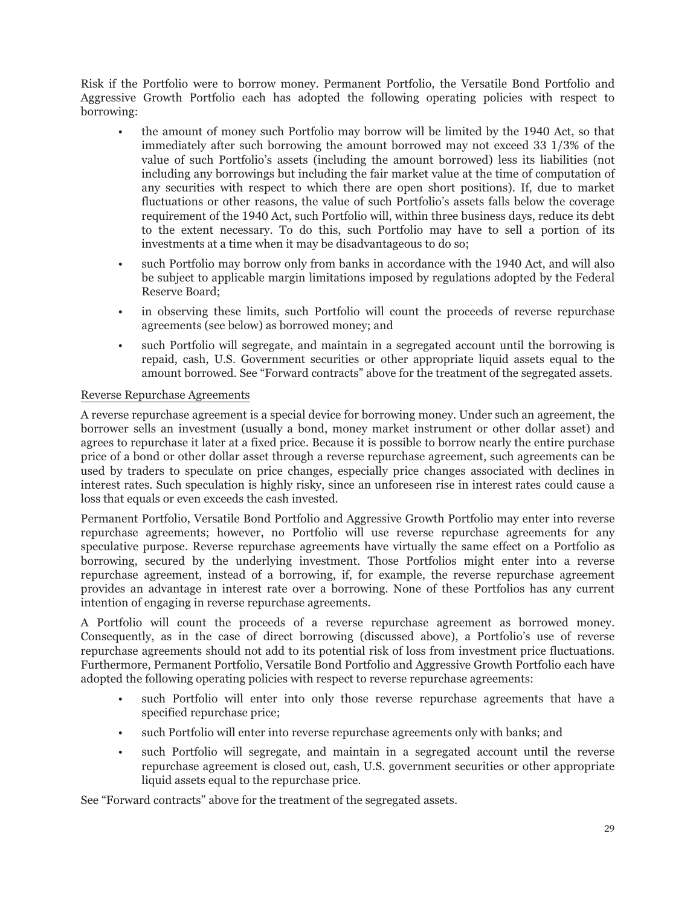Risk if the Portfolio were to borrow money. Permanent Portfolio, the Versatile Bond Portfolio and Aggressive Growth Portfolio each has adopted the following operating policies with respect to borrowing:

- the amount of money such Portfolio may borrow will be limited by the 1940 Act, so that immediately after such borrowing the amount borrowed may not exceed 33 1/3% of the value of such Portfolio's assets (including the amount borrowed) less its liabilities (not including any borrowings but including the fair market value at the time of computation of any securities with respect to which there are open short positions). If, due to market fluctuations or other reasons, the value of such Portfolio's assets falls below the coverage requirement of the 1940 Act, such Portfolio will, within three business days, reduce its debt to the extent necessary. To do this, such Portfolio may have to sell a portion of its investments at a time when it may be disadvantageous to do so;
- such Portfolio may borrow only from banks in accordance with the 1940 Act, and will also be subject to applicable margin limitations imposed by regulations adopted by the Federal Reserve Board;
- in observing these limits, such Portfolio will count the proceeds of reverse repurchase agreements (see below) as borrowed money; and
- such Portfolio will segregate, and maintain in a segregated account until the borrowing is repaid, cash, U.S. Government securities or other appropriate liquid assets equal to the amount borrowed. See "Forward contracts" above for the treatment of the segregated assets.

#### Reverse Repurchase Agreements

A reverse repurchase agreement is a special device for borrowing money. Under such an agreement, the borrower sells an investment (usually a bond, money market instrument or other dollar asset) and agrees to repurchase it later at a fixed price. Because it is possible to borrow nearly the entire purchase price of a bond or other dollar asset through a reverse repurchase agreement, such agreements can be used by traders to speculate on price changes, especially price changes associated with declines in interest rates. Such speculation is highly risky, since an unforeseen rise in interest rates could cause a loss that equals or even exceeds the cash invested.

Permanent Portfolio, Versatile Bond Portfolio and Aggressive Growth Portfolio may enter into reverse repurchase agreements; however, no Portfolio will use reverse repurchase agreements for any speculative purpose. Reverse repurchase agreements have virtually the same effect on a Portfolio as borrowing, secured by the underlying investment. Those Portfolios might enter into a reverse repurchase agreement, instead of a borrowing, if, for example, the reverse repurchase agreement provides an advantage in interest rate over a borrowing. None of these Portfolios has any current intention of engaging in reverse repurchase agreements.

A Portfolio will count the proceeds of a reverse repurchase agreement as borrowed money. Consequently, as in the case of direct borrowing (discussed above), a Portfolio's use of reverse repurchase agreements should not add to its potential risk of loss from investment price fluctuations. Furthermore, Permanent Portfolio, Versatile Bond Portfolio and Aggressive Growth Portfolio each have adopted the following operating policies with respect to reverse repurchase agreements:

- such Portfolio will enter into only those reverse repurchase agreements that have a specified repurchase price;
- such Portfolio will enter into reverse repurchase agreements only with banks; and
- such Portfolio will segregate, and maintain in a segregated account until the reverse repurchase agreement is closed out, cash, U.S. government securities or other appropriate liquid assets equal to the repurchase price.

See "Forward contracts" above for the treatment of the segregated assets.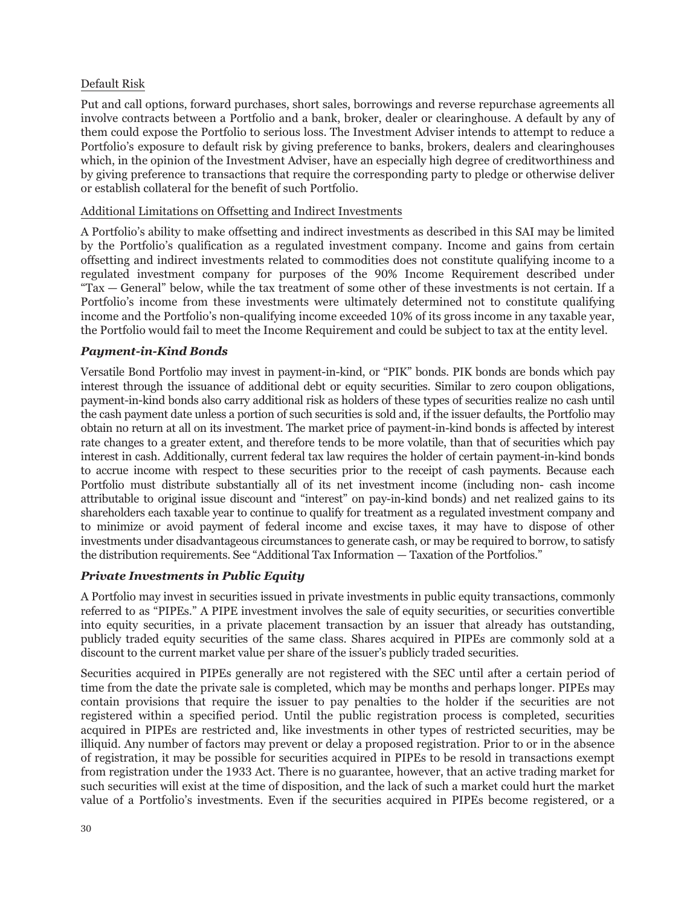# Default Risk

Put and call options, forward purchases, short sales, borrowings and reverse repurchase agreements all involve contracts between a Portfolio and a bank, broker, dealer or clearinghouse. A default by any of them could expose the Portfolio to serious loss. The Investment Adviser intends to attempt to reduce a Portfolio's exposure to default risk by giving preference to banks, brokers, dealers and clearinghouses which, in the opinion of the Investment Adviser, have an especially high degree of creditworthiness and by giving preference to transactions that require the corresponding party to pledge or otherwise deliver or establish collateral for the benefit of such Portfolio.

#### Additional Limitations on Offsetting and Indirect Investments

A Portfolio's ability to make offsetting and indirect investments as described in this SAI may be limited by the Portfolio's qualification as a regulated investment company. Income and gains from certain offsetting and indirect investments related to commodities does not constitute qualifying income to a regulated investment company for purposes of the 90% Income Requirement described under "Tax — General" below, while the tax treatment of some other of these investments is not certain. If a Portfolio's income from these investments were ultimately determined not to constitute qualifying income and the Portfolio's non-qualifying income exceeded 10% of its gross income in any taxable year, the Portfolio would fail to meet the Income Requirement and could be subject to tax at the entity level.

# *Payment-in-Kind Bonds*

Versatile Bond Portfolio may invest in payment-in-kind, or "PIK" bonds. PIK bonds are bonds which pay interest through the issuance of additional debt or equity securities. Similar to zero coupon obligations, payment-in-kind bonds also carry additional risk as holders of these types of securities realize no cash until the cash payment date unless a portion of such securities is sold and, if the issuer defaults, the Portfolio may obtain no return at all on its investment. The market price of payment-in-kind bonds is affected by interest rate changes to a greater extent, and therefore tends to be more volatile, than that of securities which pay interest in cash. Additionally, current federal tax law requires the holder of certain payment-in-kind bonds to accrue income with respect to these securities prior to the receipt of cash payments. Because each Portfolio must distribute substantially all of its net investment income (including non- cash income attributable to original issue discount and "interest" on pay-in-kind bonds) and net realized gains to its shareholders each taxable year to continue to qualify for treatment as a regulated investment company and to minimize or avoid payment of federal income and excise taxes, it may have to dispose of other investments under disadvantageous circumstances to generate cash, or may be required to borrow, to satisfy the distribution requirements. See "Additional Tax Information — Taxation of the Portfolios."

# *Private Investments in Public Equity*

A Portfolio may invest in securities issued in private investments in public equity transactions, commonly referred to as "PIPEs." A PIPE investment involves the sale of equity securities, or securities convertible into equity securities, in a private placement transaction by an issuer that already has outstanding, publicly traded equity securities of the same class. Shares acquired in PIPEs are commonly sold at a discount to the current market value per share of the issuer's publicly traded securities.

Securities acquired in PIPEs generally are not registered with the SEC until after a certain period of time from the date the private sale is completed, which may be months and perhaps longer. PIPEs may contain provisions that require the issuer to pay penalties to the holder if the securities are not registered within a specified period. Until the public registration process is completed, securities acquired in PIPEs are restricted and, like investments in other types of restricted securities, may be illiquid. Any number of factors may prevent or delay a proposed registration. Prior to or in the absence of registration, it may be possible for securities acquired in PIPEs to be resold in transactions exempt from registration under the 1933 Act. There is no guarantee, however, that an active trading market for such securities will exist at the time of disposition, and the lack of such a market could hurt the market value of a Portfolio's investments. Even if the securities acquired in PIPEs become registered, or a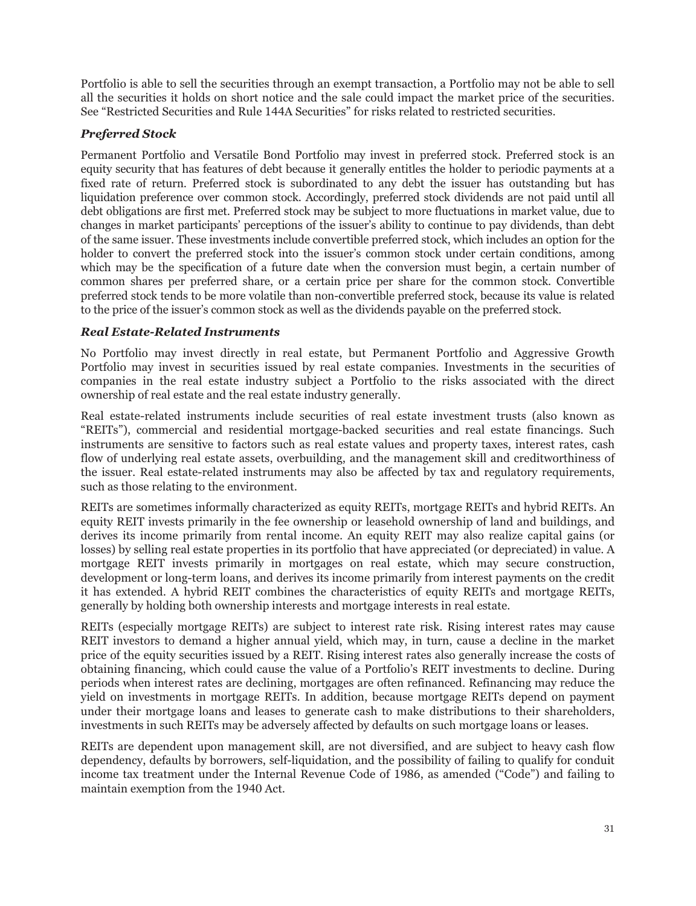Portfolio is able to sell the securities through an exempt transaction, a Portfolio may not be able to sell all the securities it holds on short notice and the sale could impact the market price of the securities. See "Restricted Securities and Rule 144A Securities" for risks related to restricted securities.

# *Preferred Stock*

Permanent Portfolio and Versatile Bond Portfolio may invest in preferred stock. Preferred stock is an equity security that has features of debt because it generally entitles the holder to periodic payments at a fixed rate of return. Preferred stock is subordinated to any debt the issuer has outstanding but has liquidation preference over common stock. Accordingly, preferred stock dividends are not paid until all debt obligations are first met. Preferred stock may be subject to more fluctuations in market value, due to changes in market participants' perceptions of the issuer's ability to continue to pay dividends, than debt of the same issuer. These investments include convertible preferred stock, which includes an option for the holder to convert the preferred stock into the issuer's common stock under certain conditions, among which may be the specification of a future date when the conversion must begin, a certain number of common shares per preferred share, or a certain price per share for the common stock. Convertible preferred stock tends to be more volatile than non-convertible preferred stock, because its value is related to the price of the issuer's common stock as well as the dividends payable on the preferred stock.

# *Real Estate-Related Instruments*

No Portfolio may invest directly in real estate, but Permanent Portfolio and Aggressive Growth Portfolio may invest in securities issued by real estate companies. Investments in the securities of companies in the real estate industry subject a Portfolio to the risks associated with the direct ownership of real estate and the real estate industry generally.

Real estate-related instruments include securities of real estate investment trusts (also known as "REITs"), commercial and residential mortgage-backed securities and real estate financings. Such instruments are sensitive to factors such as real estate values and property taxes, interest rates, cash flow of underlying real estate assets, overbuilding, and the management skill and creditworthiness of the issuer. Real estate-related instruments may also be affected by tax and regulatory requirements, such as those relating to the environment.

REITs are sometimes informally characterized as equity REITs, mortgage REITs and hybrid REITs. An equity REIT invests primarily in the fee ownership or leasehold ownership of land and buildings, and derives its income primarily from rental income. An equity REIT may also realize capital gains (or losses) by selling real estate properties in its portfolio that have appreciated (or depreciated) in value. A mortgage REIT invests primarily in mortgages on real estate, which may secure construction, development or long-term loans, and derives its income primarily from interest payments on the credit it has extended. A hybrid REIT combines the characteristics of equity REITs and mortgage REITs, generally by holding both ownership interests and mortgage interests in real estate.

REITs (especially mortgage REITs) are subject to interest rate risk. Rising interest rates may cause REIT investors to demand a higher annual yield, which may, in turn, cause a decline in the market price of the equity securities issued by a REIT. Rising interest rates also generally increase the costs of obtaining financing, which could cause the value of a Portfolio's REIT investments to decline. During periods when interest rates are declining, mortgages are often refinanced. Refinancing may reduce the yield on investments in mortgage REITs. In addition, because mortgage REITs depend on payment under their mortgage loans and leases to generate cash to make distributions to their shareholders, investments in such REITs may be adversely affected by defaults on such mortgage loans or leases.

REITs are dependent upon management skill, are not diversified, and are subject to heavy cash flow dependency, defaults by borrowers, self-liquidation, and the possibility of failing to qualify for conduit income tax treatment under the Internal Revenue Code of 1986, as amended ("Code") and failing to maintain exemption from the 1940 Act.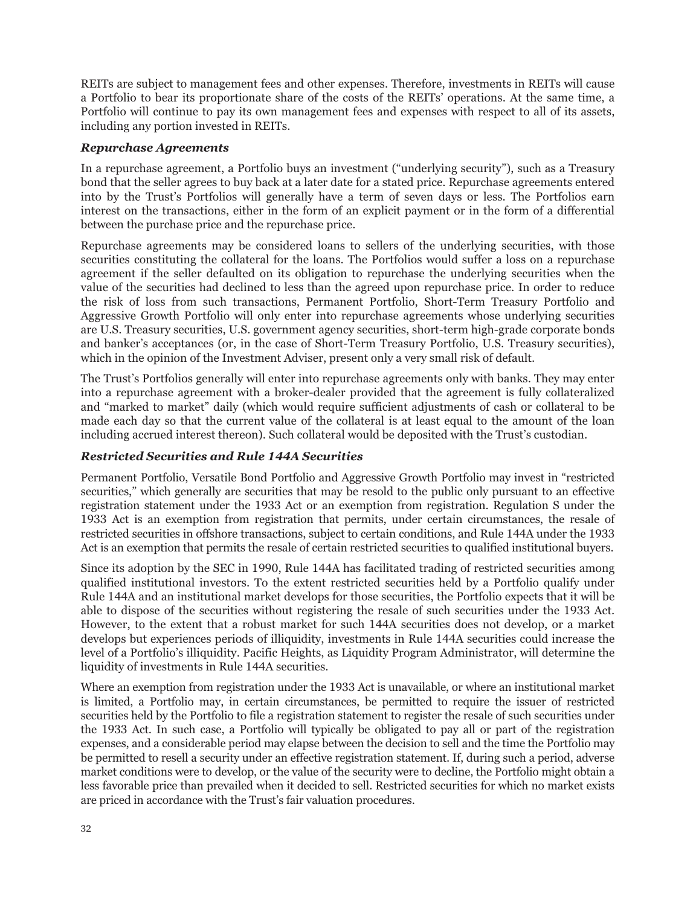REITs are subject to management fees and other expenses. Therefore, investments in REITs will cause a Portfolio to bear its proportionate share of the costs of the REITs' operations. At the same time, a Portfolio will continue to pay its own management fees and expenses with respect to all of its assets, including any portion invested in REITs.

#### *Repurchase Agreements*

In a repurchase agreement, a Portfolio buys an investment ("underlying security"), such as a Treasury bond that the seller agrees to buy back at a later date for a stated price. Repurchase agreements entered into by the Trust's Portfolios will generally have a term of seven days or less. The Portfolios earn interest on the transactions, either in the form of an explicit payment or in the form of a differential between the purchase price and the repurchase price.

Repurchase agreements may be considered loans to sellers of the underlying securities, with those securities constituting the collateral for the loans. The Portfolios would suffer a loss on a repurchase agreement if the seller defaulted on its obligation to repurchase the underlying securities when the value of the securities had declined to less than the agreed upon repurchase price. In order to reduce the risk of loss from such transactions, Permanent Portfolio, Short-Term Treasury Portfolio and Aggressive Growth Portfolio will only enter into repurchase agreements whose underlying securities are U.S. Treasury securities, U.S. government agency securities, short-term high-grade corporate bonds and banker's acceptances (or, in the case of Short-Term Treasury Portfolio, U.S. Treasury securities), which in the opinion of the Investment Adviser, present only a very small risk of default.

The Trust's Portfolios generally will enter into repurchase agreements only with banks. They may enter into a repurchase agreement with a broker-dealer provided that the agreement is fully collateralized and "marked to market" daily (which would require sufficient adjustments of cash or collateral to be made each day so that the current value of the collateral is at least equal to the amount of the loan including accrued interest thereon). Such collateral would be deposited with the Trust's custodian.

# *Restricted Securities and Rule 144A Securities*

Permanent Portfolio, Versatile Bond Portfolio and Aggressive Growth Portfolio may invest in "restricted securities," which generally are securities that may be resold to the public only pursuant to an effective registration statement under the 1933 Act or an exemption from registration. Regulation S under the 1933 Act is an exemption from registration that permits, under certain circumstances, the resale of restricted securities in offshore transactions, subject to certain conditions, and Rule 144A under the 1933 Act is an exemption that permits the resale of certain restricted securities to qualified institutional buyers.

Since its adoption by the SEC in 1990, Rule 144A has facilitated trading of restricted securities among qualified institutional investors. To the extent restricted securities held by a Portfolio qualify under Rule 144A and an institutional market develops for those securities, the Portfolio expects that it will be able to dispose of the securities without registering the resale of such securities under the 1933 Act. However, to the extent that a robust market for such 144A securities does not develop, or a market develops but experiences periods of illiquidity, investments in Rule 144A securities could increase the level of a Portfolio's illiquidity. Pacific Heights, as Liquidity Program Administrator, will determine the liquidity of investments in Rule 144A securities.

Where an exemption from registration under the 1933 Act is unavailable, or where an institutional market is limited, a Portfolio may, in certain circumstances, be permitted to require the issuer of restricted securities held by the Portfolio to file a registration statement to register the resale of such securities under the 1933 Act. In such case, a Portfolio will typically be obligated to pay all or part of the registration expenses, and a considerable period may elapse between the decision to sell and the time the Portfolio may be permitted to resell a security under an effective registration statement. If, during such a period, adverse market conditions were to develop, or the value of the security were to decline, the Portfolio might obtain a less favorable price than prevailed when it decided to sell. Restricted securities for which no market exists are priced in accordance with the Trust's fair valuation procedures.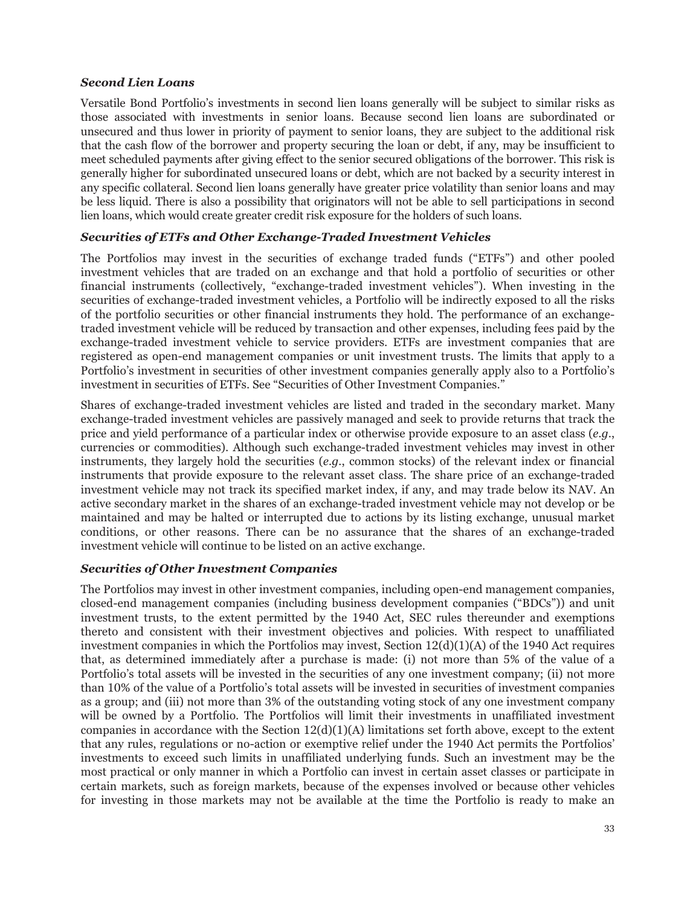# *Second Lien Loans*

Versatile Bond Portfolio's investments in second lien loans generally will be subject to similar risks as those associated with investments in senior loans. Because second lien loans are subordinated or unsecured and thus lower in priority of payment to senior loans, they are subject to the additional risk that the cash flow of the borrower and property securing the loan or debt, if any, may be insufficient to meet scheduled payments after giving effect to the senior secured obligations of the borrower. This risk is generally higher for subordinated unsecured loans or debt, which are not backed by a security interest in any specific collateral. Second lien loans generally have greater price volatility than senior loans and may be less liquid. There is also a possibility that originators will not be able to sell participations in second lien loans, which would create greater credit risk exposure for the holders of such loans.

# *Securities of ETFs and Other Exchange-Traded Investment Vehicles*

The Portfolios may invest in the securities of exchange traded funds ("ETFs") and other pooled investment vehicles that are traded on an exchange and that hold a portfolio of securities or other financial instruments (collectively, "exchange-traded investment vehicles"). When investing in the securities of exchange-traded investment vehicles, a Portfolio will be indirectly exposed to all the risks of the portfolio securities or other financial instruments they hold. The performance of an exchangetraded investment vehicle will be reduced by transaction and other expenses, including fees paid by the exchange-traded investment vehicle to service providers. ETFs are investment companies that are registered as open-end management companies or unit investment trusts. The limits that apply to a Portfolio's investment in securities of other investment companies generally apply also to a Portfolio's investment in securities of ETFs. See "Securities of Other Investment Companies."

Shares of exchange-traded investment vehicles are listed and traded in the secondary market. Many exchange-traded investment vehicles are passively managed and seek to provide returns that track the price and yield performance of a particular index or otherwise provide exposure to an asset class (*e.g*., currencies or commodities). Although such exchange-traded investment vehicles may invest in other instruments, they largely hold the securities (*e.g.*, common stocks) of the relevant index or financial instruments that provide exposure to the relevant asset class. The share price of an exchange-traded investment vehicle may not track its specified market index, if any, and may trade below its NAV. An active secondary market in the shares of an exchange-traded investment vehicle may not develop or be maintained and may be halted or interrupted due to actions by its listing exchange, unusual market conditions, or other reasons. There can be no assurance that the shares of an exchange-traded investment vehicle will continue to be listed on an active exchange.

# *Securities of Other Investment Companies*

The Portfolios may invest in other investment companies, including open-end management companies, closed-end management companies (including business development companies ("BDCs")) and unit investment trusts, to the extent permitted by the 1940 Act, SEC rules thereunder and exemptions thereto and consistent with their investment objectives and policies. With respect to unaffiliated investment companies in which the Portfolios may invest, Section  $12(d)(1)(A)$  of the 1940 Act requires that, as determined immediately after a purchase is made: (i) not more than 5% of the value of a Portfolio's total assets will be invested in the securities of any one investment company; (ii) not more than 10% of the value of a Portfolio's total assets will be invested in securities of investment companies as a group; and (iii) not more than 3% of the outstanding voting stock of any one investment company will be owned by a Portfolio. The Portfolios will limit their investments in unaffiliated investment companies in accordance with the Section  $12(d)(1)(A)$  limitations set forth above, except to the extent that any rules, regulations or no-action or exemptive relief under the 1940 Act permits the Portfolios' investments to exceed such limits in unaffiliated underlying funds. Such an investment may be the most practical or only manner in which a Portfolio can invest in certain asset classes or participate in certain markets, such as foreign markets, because of the expenses involved or because other vehicles for investing in those markets may not be available at the time the Portfolio is ready to make an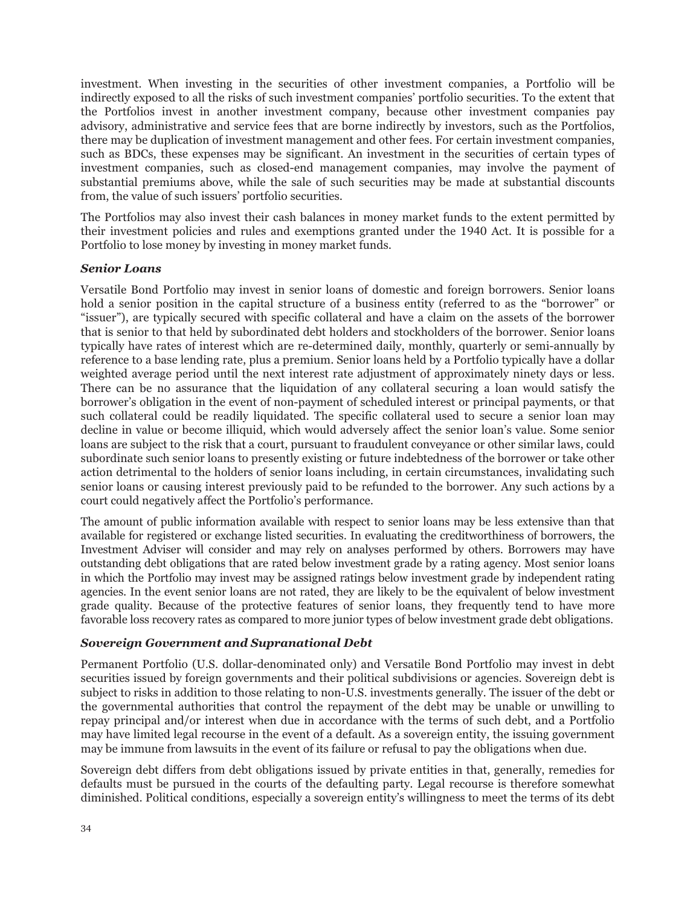investment. When investing in the securities of other investment companies, a Portfolio will be indirectly exposed to all the risks of such investment companies' portfolio securities. To the extent that the Portfolios invest in another investment company, because other investment companies pay advisory, administrative and service fees that are borne indirectly by investors, such as the Portfolios, there may be duplication of investment management and other fees. For certain investment companies, such as BDCs, these expenses may be significant. An investment in the securities of certain types of investment companies, such as closed-end management companies, may involve the payment of substantial premiums above, while the sale of such securities may be made at substantial discounts from, the value of such issuers' portfolio securities.

The Portfolios may also invest their cash balances in money market funds to the extent permitted by their investment policies and rules and exemptions granted under the 1940 Act. It is possible for a Portfolio to lose money by investing in money market funds.

#### *Senior Loans*

Versatile Bond Portfolio may invest in senior loans of domestic and foreign borrowers. Senior loans hold a senior position in the capital structure of a business entity (referred to as the "borrower" or "issuer"), are typically secured with specific collateral and have a claim on the assets of the borrower that is senior to that held by subordinated debt holders and stockholders of the borrower. Senior loans typically have rates of interest which are re-determined daily, monthly, quarterly or semi-annually by reference to a base lending rate, plus a premium. Senior loans held by a Portfolio typically have a dollar weighted average period until the next interest rate adjustment of approximately ninety days or less. There can be no assurance that the liquidation of any collateral securing a loan would satisfy the borrower's obligation in the event of non-payment of scheduled interest or principal payments, or that such collateral could be readily liquidated. The specific collateral used to secure a senior loan may decline in value or become illiquid, which would adversely affect the senior loan's value. Some senior loans are subject to the risk that a court, pursuant to fraudulent conveyance or other similar laws, could subordinate such senior loans to presently existing or future indebtedness of the borrower or take other action detrimental to the holders of senior loans including, in certain circumstances, invalidating such senior loans or causing interest previously paid to be refunded to the borrower. Any such actions by a court could negatively affect the Portfolio's performance.

The amount of public information available with respect to senior loans may be less extensive than that available for registered or exchange listed securities. In evaluating the creditworthiness of borrowers, the Investment Adviser will consider and may rely on analyses performed by others. Borrowers may have outstanding debt obligations that are rated below investment grade by a rating agency. Most senior loans in which the Portfolio may invest may be assigned ratings below investment grade by independent rating agencies. In the event senior loans are not rated, they are likely to be the equivalent of below investment grade quality. Because of the protective features of senior loans, they frequently tend to have more favorable loss recovery rates as compared to more junior types of below investment grade debt obligations.

# *Sovereign Government and Supranational Debt*

Permanent Portfolio (U.S. dollar-denominated only) and Versatile Bond Portfolio may invest in debt securities issued by foreign governments and their political subdivisions or agencies. Sovereign debt is subject to risks in addition to those relating to non-U.S. investments generally. The issuer of the debt or the governmental authorities that control the repayment of the debt may be unable or unwilling to repay principal and/or interest when due in accordance with the terms of such debt, and a Portfolio may have limited legal recourse in the event of a default. As a sovereign entity, the issuing government may be immune from lawsuits in the event of its failure or refusal to pay the obligations when due.

Sovereign debt differs from debt obligations issued by private entities in that, generally, remedies for defaults must be pursued in the courts of the defaulting party. Legal recourse is therefore somewhat diminished. Political conditions, especially a sovereign entity's willingness to meet the terms of its debt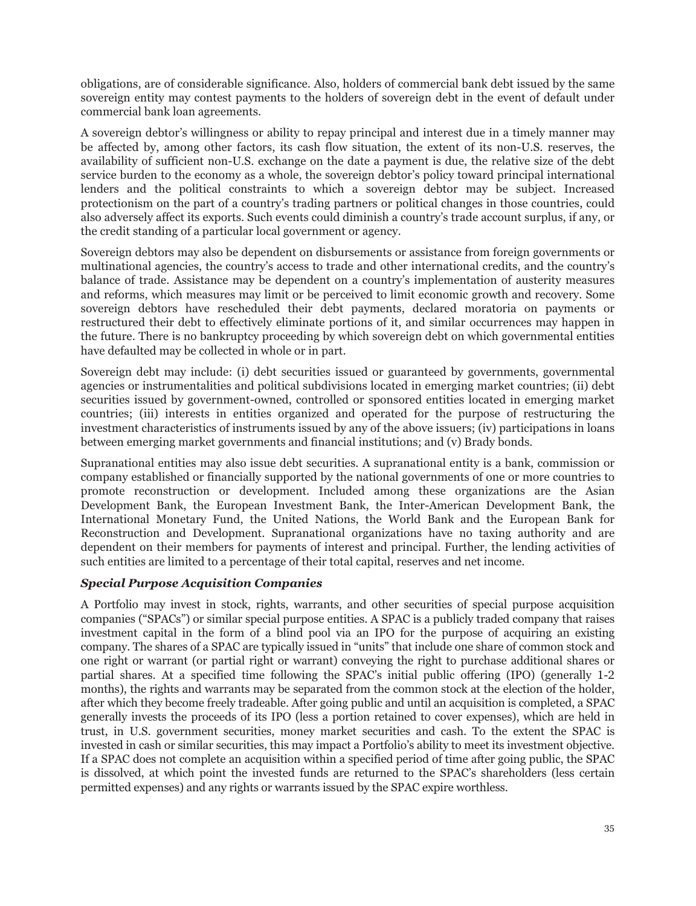obligations, are of considerable significance. Also, holders of commercial bank debt issued by the same sovereign entity may contest payments to the holders of sovereign debt in the event of default under commercial bank loan agreements.

A sovereign debtor's willingness or ability to repay principal and interest due in a timely manner may be affected by, among other factors, its cash flow situation, the extent of its non-U.S. reserves, the availability of sufficient non-U.S. exchange on the date a payment is due, the relative size of the debt service burden to the economy as a whole, the sovereign debtor's policy toward principal international lenders and the political constraints to which a sovereign debtor may be subject. Increased protectionism on the part of a country's trading partners or political changes in those countries, could also adversely affect its exports. Such events could diminish a country's trade account surplus, if any, or the credit standing of a particular local government or agency.

Sovereign debtors may also be dependent on disbursements or assistance from foreign governments or multinational agencies, the country's access to trade and other international credits, and the country's balance of trade. Assistance may be dependent on a country's implementation of austerity measures and reforms, which measures may limit or be perceived to limit economic growth and recovery. Some sovereign debtors have rescheduled their debt payments, declared moratoria on payments or restructured their debt to effectively eliminate portions of it, and similar occurrences may happen in the future. There is no bankruptcy proceeding by which sovereign debt on which governmental entities have defaulted may be collected in whole or in part.

Sovereign debt may include: (i) debt securities issued or guaranteed by governments, governmental agencies or instrumentalities and political subdivisions located in emerging market countries; (ii) debt securities issued by government-owned, controlled or sponsored entities located in emerging market countries; (iii) interests in entities organized and operated for the purpose of restructuring the investment characteristics of instruments issued by any of the above issuers; (iv) participations in loans between emerging market governments and financial institutions; and (v) Brady bonds.

Supranational entities may also issue debt securities. A supranational entity is a bank, commission or company established or financially supported by the national governments of one or more countries to promote reconstruction or development. Included among these organizations are the Asian Development Bank, the European Investment Bank, the Inter-American Development Bank, the International Monetary Fund, the United Nations, the World Bank and the European Bank for Reconstruction and Development. Supranational organizations have no taxing authority and are dependent on their members for payments of interest and principal. Further, the lending activities of such entities are limited to a percentage of their total capital, reserves and net income.

# *Special Purpose Acquisition Companies*

A Portfolio may invest in stock, rights, warrants, and other securities of special purpose acquisition companies ("SPACs") or similar special purpose entities. A SPAC is a publicly traded company that raises investment capital in the form of a blind pool via an IPO for the purpose of acquiring an existing company. The shares of a SPAC are typically issued in "units" that include one share of common stock and one right or warrant (or partial right or warrant) conveying the right to purchase additional shares or partial shares. At a specified time following the SPAC's initial public offering (IPO) (generally 1-2 months), the rights and warrants may be separated from the common stock at the election of the holder, after which they become freely tradeable. After going public and until an acquisition is completed, a SPAC generally invests the proceeds of its IPO (less a portion retained to cover expenses), which are held in trust, in U.S. government securities, money market securities and cash. To the extent the SPAC is invested in cash or similar securities, this may impact a Portfolio's ability to meet its investment objective. If a SPAC does not complete an acquisition within a specified period of time after going public, the SPAC is dissolved, at which point the invested funds are returned to the SPAC's shareholders (less certain permitted expenses) and any rights or warrants issued by the SPAC expire worthless.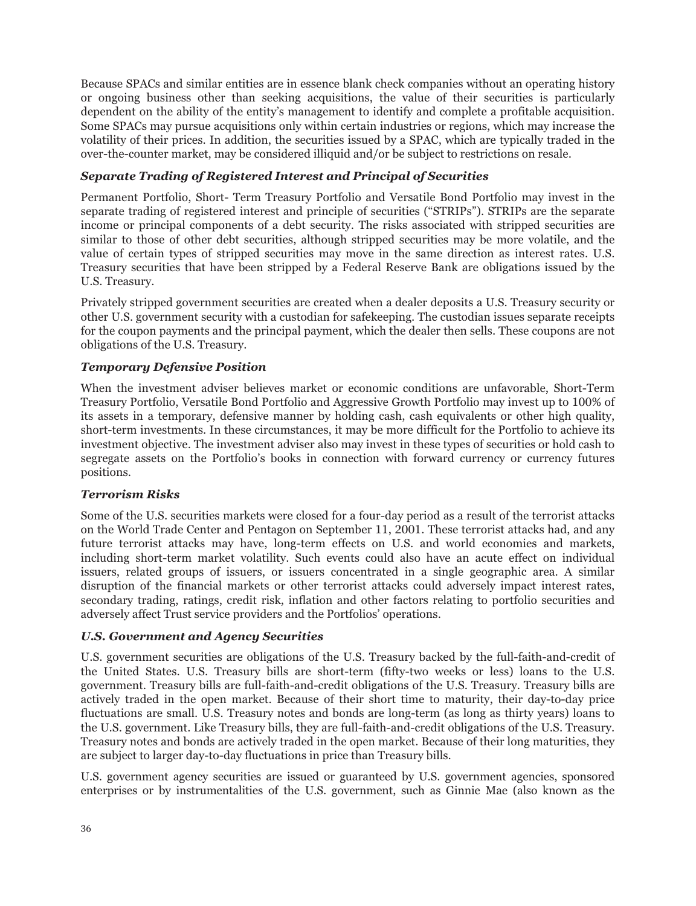Because SPACs and similar entities are in essence blank check companies without an operating history or ongoing business other than seeking acquisitions, the value of their securities is particularly dependent on the ability of the entity's management to identify and complete a profitable acquisition. Some SPACs may pursue acquisitions only within certain industries or regions, which may increase the volatility of their prices. In addition, the securities issued by a SPAC, which are typically traded in the over-the-counter market, may be considered illiquid and/or be subject to restrictions on resale.

# *Separate Trading of Registered Interest and Principal of Securities*

Permanent Portfolio, Short- Term Treasury Portfolio and Versatile Bond Portfolio may invest in the separate trading of registered interest and principle of securities ("STRIPs"). STRIPs are the separate income or principal components of a debt security. The risks associated with stripped securities are similar to those of other debt securities, although stripped securities may be more volatile, and the value of certain types of stripped securities may move in the same direction as interest rates. U.S. Treasury securities that have been stripped by a Federal Reserve Bank are obligations issued by the U.S. Treasury.

Privately stripped government securities are created when a dealer deposits a U.S. Treasury security or other U.S. government security with a custodian for safekeeping. The custodian issues separate receipts for the coupon payments and the principal payment, which the dealer then sells. These coupons are not obligations of the U.S. Treasury.

# *Temporary Defensive Position*

When the investment adviser believes market or economic conditions are unfavorable, Short-Term Treasury Portfolio, Versatile Bond Portfolio and Aggressive Growth Portfolio may invest up to 100% of its assets in a temporary, defensive manner by holding cash, cash equivalents or other high quality, short-term investments. In these circumstances, it may be more difficult for the Portfolio to achieve its investment objective. The investment adviser also may invest in these types of securities or hold cash to segregate assets on the Portfolio's books in connection with forward currency or currency futures positions.

# *Terrorism Risks*

Some of the U.S. securities markets were closed for a four-day period as a result of the terrorist attacks on the World Trade Center and Pentagon on September 11, 2001. These terrorist attacks had, and any future terrorist attacks may have, long-term effects on U.S. and world economies and markets, including short-term market volatility. Such events could also have an acute effect on individual issuers, related groups of issuers, or issuers concentrated in a single geographic area. A similar disruption of the financial markets or other terrorist attacks could adversely impact interest rates, secondary trading, ratings, credit risk, inflation and other factors relating to portfolio securities and adversely affect Trust service providers and the Portfolios' operations.

# *U.S. Government and Agency Securities*

U.S. government securities are obligations of the U.S. Treasury backed by the full-faith-and-credit of the United States. U.S. Treasury bills are short-term (fifty-two weeks or less) loans to the U.S. government. Treasury bills are full-faith-and-credit obligations of the U.S. Treasury. Treasury bills are actively traded in the open market. Because of their short time to maturity, their day-to-day price fluctuations are small. U.S. Treasury notes and bonds are long-term (as long as thirty years) loans to the U.S. government. Like Treasury bills, they are full-faith-and-credit obligations of the U.S. Treasury. Treasury notes and bonds are actively traded in the open market. Because of their long maturities, they are subject to larger day-to-day fluctuations in price than Treasury bills.

U.S. government agency securities are issued or guaranteed by U.S. government agencies, sponsored enterprises or by instrumentalities of the U.S. government, such as Ginnie Mae (also known as the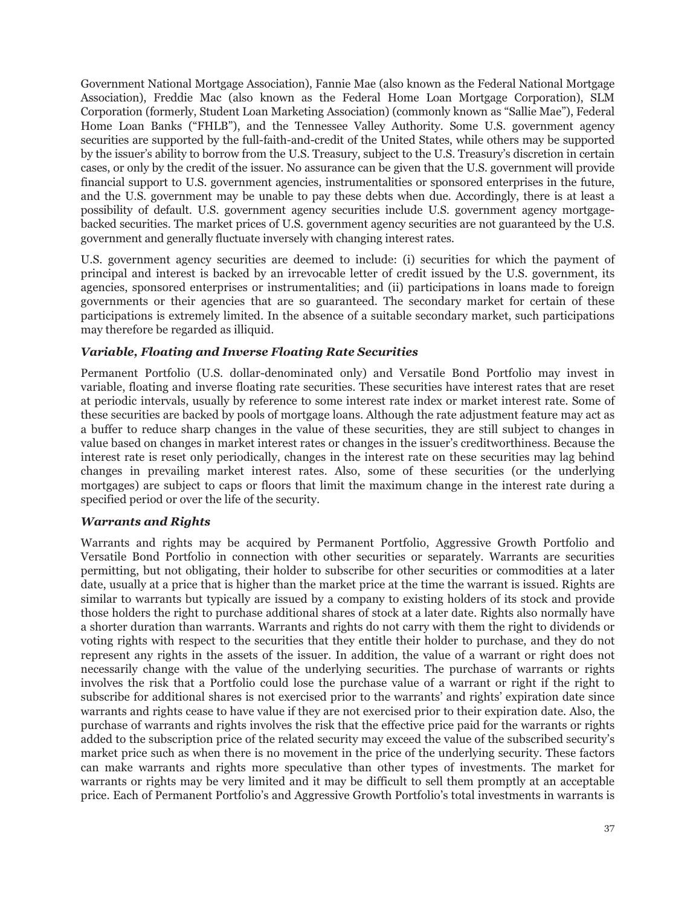Government National Mortgage Association), Fannie Mae (also known as the Federal National Mortgage Association), Freddie Mac (also known as the Federal Home Loan Mortgage Corporation), SLM Corporation (formerly, Student Loan Marketing Association) (commonly known as "Sallie Mae"), Federal Home Loan Banks ("FHLB"), and the Tennessee Valley Authority. Some U.S. government agency securities are supported by the full-faith-and-credit of the United States, while others may be supported by the issuer's ability to borrow from the U.S. Treasury, subject to the U.S. Treasury's discretion in certain cases, or only by the credit of the issuer. No assurance can be given that the U.S. government will provide financial support to U.S. government agencies, instrumentalities or sponsored enterprises in the future, and the U.S. government may be unable to pay these debts when due. Accordingly, there is at least a possibility of default. U.S. government agency securities include U.S. government agency mortgagebacked securities. The market prices of U.S. government agency securities are not guaranteed by the U.S. government and generally fluctuate inversely with changing interest rates.

U.S. government agency securities are deemed to include: (i) securities for which the payment of principal and interest is backed by an irrevocable letter of credit issued by the U.S. government, its agencies, sponsored enterprises or instrumentalities; and (ii) participations in loans made to foreign governments or their agencies that are so guaranteed. The secondary market for certain of these participations is extremely limited. In the absence of a suitable secondary market, such participations may therefore be regarded as illiquid.

# *Variable, Floating and Inverse Floating Rate Securities*

Permanent Portfolio (U.S. dollar-denominated only) and Versatile Bond Portfolio may invest in variable, floating and inverse floating rate securities. These securities have interest rates that are reset at periodic intervals, usually by reference to some interest rate index or market interest rate. Some of these securities are backed by pools of mortgage loans. Although the rate adjustment feature may act as a buffer to reduce sharp changes in the value of these securities, they are still subject to changes in value based on changes in market interest rates or changes in the issuer's creditworthiness. Because the interest rate is reset only periodically, changes in the interest rate on these securities may lag behind changes in prevailing market interest rates. Also, some of these securities (or the underlying mortgages) are subject to caps or floors that limit the maximum change in the interest rate during a specified period or over the life of the security.

### *Warrants and Rights*

Warrants and rights may be acquired by Permanent Portfolio, Aggressive Growth Portfolio and Versatile Bond Portfolio in connection with other securities or separately. Warrants are securities permitting, but not obligating, their holder to subscribe for other securities or commodities at a later date, usually at a price that is higher than the market price at the time the warrant is issued. Rights are similar to warrants but typically are issued by a company to existing holders of its stock and provide those holders the right to purchase additional shares of stock at a later date. Rights also normally have a shorter duration than warrants. Warrants and rights do not carry with them the right to dividends or voting rights with respect to the securities that they entitle their holder to purchase, and they do not represent any rights in the assets of the issuer. In addition, the value of a warrant or right does not necessarily change with the value of the underlying securities. The purchase of warrants or rights involves the risk that a Portfolio could lose the purchase value of a warrant or right if the right to subscribe for additional shares is not exercised prior to the warrants' and rights' expiration date since warrants and rights cease to have value if they are not exercised prior to their expiration date. Also, the purchase of warrants and rights involves the risk that the effective price paid for the warrants or rights added to the subscription price of the related security may exceed the value of the subscribed security's market price such as when there is no movement in the price of the underlying security. These factors can make warrants and rights more speculative than other types of investments. The market for warrants or rights may be very limited and it may be difficult to sell them promptly at an acceptable price. Each of Permanent Portfolio's and Aggressive Growth Portfolio's total investments in warrants is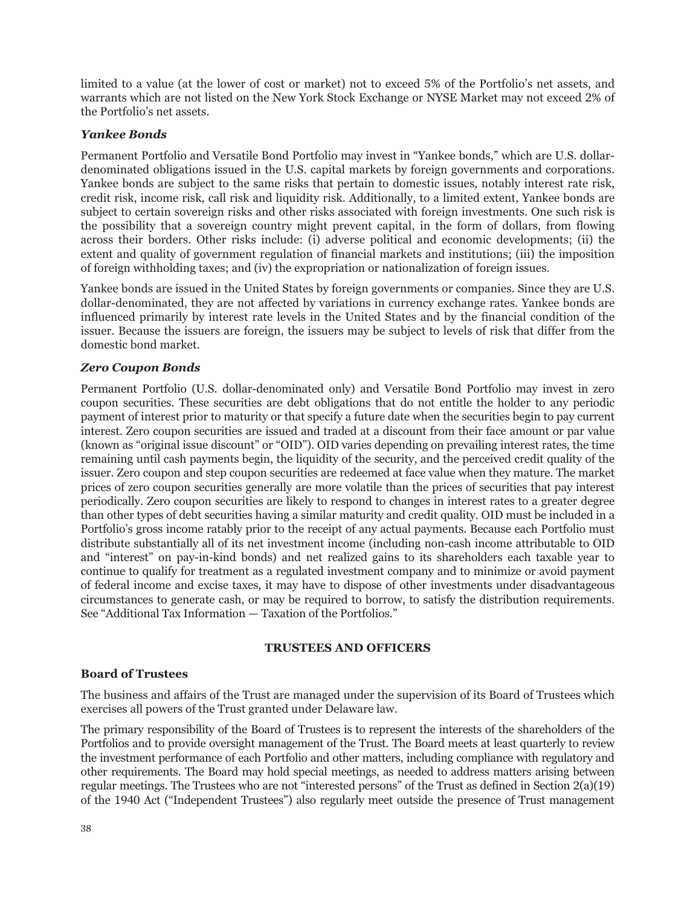limited to a value (at the lower of cost or market) not to exceed 5% of the Portfolio's net assets, and warrants which are not listed on the New York Stock Exchange or NYSE Market may not exceed 2% of the Portfolio's net assets.

# *Yankee Bonds*

Permanent Portfolio and Versatile Bond Portfolio may invest in "Yankee bonds," which are U.S. dollardenominated obligations issued in the U.S. capital markets by foreign governments and corporations. Yankee bonds are subject to the same risks that pertain to domestic issues, notably interest rate risk, credit risk, income risk, call risk and liquidity risk. Additionally, to a limited extent, Yankee bonds are subject to certain sovereign risks and other risks associated with foreign investments. One such risk is the possibility that a sovereign country might prevent capital, in the form of dollars, from flowing across their borders. Other risks include: (i) adverse political and economic developments; (ii) the extent and quality of government regulation of financial markets and institutions; (iii) the imposition of foreign withholding taxes; and (iv) the expropriation or nationalization of foreign issues.

Yankee bonds are issued in the United States by foreign governments or companies. Since they are U.S. dollar-denominated, they are not affected by variations in currency exchange rates. Yankee bonds are influenced primarily by interest rate levels in the United States and by the financial condition of the issuer. Because the issuers are foreign, the issuers may be subject to levels of risk that differ from the domestic bond market.

# *Zero Coupon Bonds*

Permanent Portfolio (U.S. dollar-denominated only) and Versatile Bond Portfolio may invest in zero coupon securities. These securities are debt obligations that do not entitle the holder to any periodic payment of interest prior to maturity or that specify a future date when the securities begin to pay current interest. Zero coupon securities are issued and traded at a discount from their face amount or par value (known as "original issue discount" or "OID"). OID varies depending on prevailing interest rates, the time remaining until cash payments begin, the liquidity of the security, and the perceived credit quality of the issuer. Zero coupon and step coupon securities are redeemed at face value when they mature. The market prices of zero coupon securities generally are more volatile than the prices of securities that pay interest periodically. Zero coupon securities are likely to respond to changes in interest rates to a greater degree than other types of debt securities having a similar maturity and credit quality. OID must be included in a Portfolio's gross income ratably prior to the receipt of any actual payments. Because each Portfolio must distribute substantially all of its net investment income (including non-cash income attributable to OID and "interest" on pay-in-kind bonds) and net realized gains to its shareholders each taxable year to continue to qualify for treatment as a regulated investment company and to minimize or avoid payment of federal income and excise taxes, it may have to dispose of other investments under disadvantageous circumstances to generate cash, or may be required to borrow, to satisfy the distribution requirements. See "Additional Tax Information — Taxation of the Portfolios."

# **TRUSTEES AND OFFICERS**

# **Board of Trustees**

The business and affairs of the Trust are managed under the supervision of its Board of Trustees which exercises all powers of the Trust granted under Delaware law.

The primary responsibility of the Board of Trustees is to represent the interests of the shareholders of the Portfolios and to provide oversight management of the Trust. The Board meets at least quarterly to review the investment performance of each Portfolio and other matters, including compliance with regulatory and other requirements. The Board may hold special meetings, as needed to address matters arising between regular meetings. The Trustees who are not "interested persons" of the Trust as defined in Section 2(a)(19) of the 1940 Act ("Independent Trustees") also regularly meet outside the presence of Trust management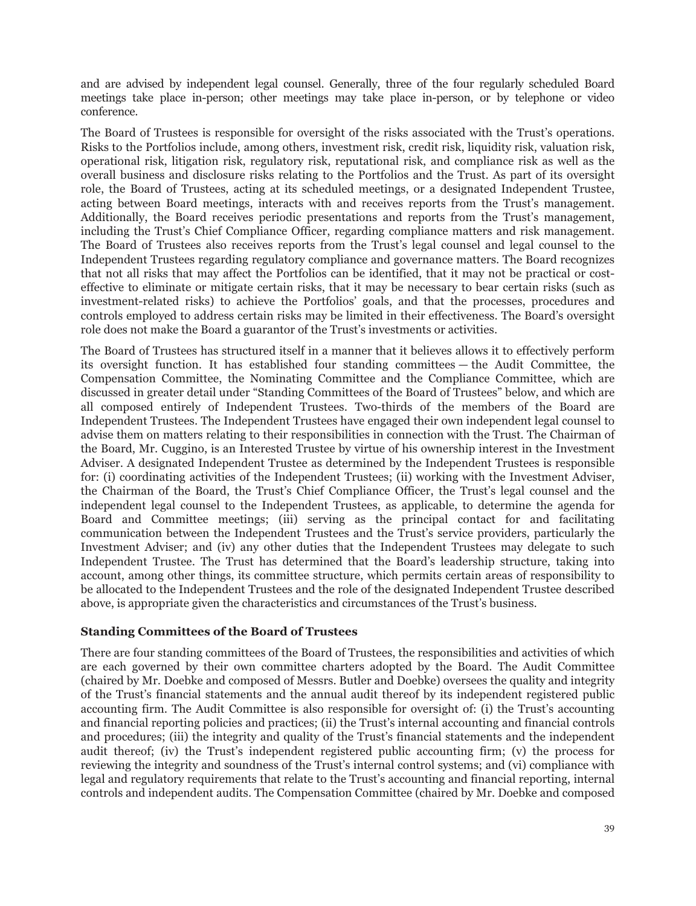and are advised by independent legal counsel. Generally, three of the four regularly scheduled Board meetings take place in-person; other meetings may take place in-person, or by telephone or video conference.

The Board of Trustees is responsible for oversight of the risks associated with the Trust's operations. Risks to the Portfolios include, among others, investment risk, credit risk, liquidity risk, valuation risk, operational risk, litigation risk, regulatory risk, reputational risk, and compliance risk as well as the overall business and disclosure risks relating to the Portfolios and the Trust. As part of its oversight role, the Board of Trustees, acting at its scheduled meetings, or a designated Independent Trustee, acting between Board meetings, interacts with and receives reports from the Trust's management. Additionally, the Board receives periodic presentations and reports from the Trust's management, including the Trust's Chief Compliance Officer, regarding compliance matters and risk management. The Board of Trustees also receives reports from the Trust's legal counsel and legal counsel to the Independent Trustees regarding regulatory compliance and governance matters. The Board recognizes that not all risks that may affect the Portfolios can be identified, that it may not be practical or costeffective to eliminate or mitigate certain risks, that it may be necessary to bear certain risks (such as investment-related risks) to achieve the Portfolios' goals, and that the processes, procedures and controls employed to address certain risks may be limited in their effectiveness. The Board's oversight role does not make the Board a guarantor of the Trust's investments or activities.

The Board of Trustees has structured itself in a manner that it believes allows it to effectively perform its oversight function. It has established four standing committees — the Audit Committee, the Compensation Committee, the Nominating Committee and the Compliance Committee, which are discussed in greater detail under "Standing Committees of the Board of Trustees" below, and which are all composed entirely of Independent Trustees. Two-thirds of the members of the Board are Independent Trustees. The Independent Trustees have engaged their own independent legal counsel to advise them on matters relating to their responsibilities in connection with the Trust. The Chairman of the Board, Mr. Cuggino, is an Interested Trustee by virtue of his ownership interest in the Investment Adviser. A designated Independent Trustee as determined by the Independent Trustees is responsible for: (i) coordinating activities of the Independent Trustees; (ii) working with the Investment Adviser, the Chairman of the Board, the Trust's Chief Compliance Officer, the Trust's legal counsel and the independent legal counsel to the Independent Trustees, as applicable, to determine the agenda for Board and Committee meetings; (iii) serving as the principal contact for and facilitating communication between the Independent Trustees and the Trust's service providers, particularly the Investment Adviser; and (iv) any other duties that the Independent Trustees may delegate to such Independent Trustee. The Trust has determined that the Board's leadership structure, taking into account, among other things, its committee structure, which permits certain areas of responsibility to be allocated to the Independent Trustees and the role of the designated Independent Trustee described above, is appropriate given the characteristics and circumstances of the Trust's business.

# **Standing Committees of the Board of Trustees**

There are four standing committees of the Board of Trustees, the responsibilities and activities of which are each governed by their own committee charters adopted by the Board. The Audit Committee (chaired by Mr. Doebke and composed of Messrs. Butler and Doebke) oversees the quality and integrity of the Trust's financial statements and the annual audit thereof by its independent registered public accounting firm. The Audit Committee is also responsible for oversight of: (i) the Trust's accounting and financial reporting policies and practices; (ii) the Trust's internal accounting and financial controls and procedures; (iii) the integrity and quality of the Trust's financial statements and the independent audit thereof; (iv) the Trust's independent registered public accounting firm; (v) the process for reviewing the integrity and soundness of the Trust's internal control systems; and (vi) compliance with legal and regulatory requirements that relate to the Trust's accounting and financial reporting, internal controls and independent audits. The Compensation Committee (chaired by Mr. Doebke and composed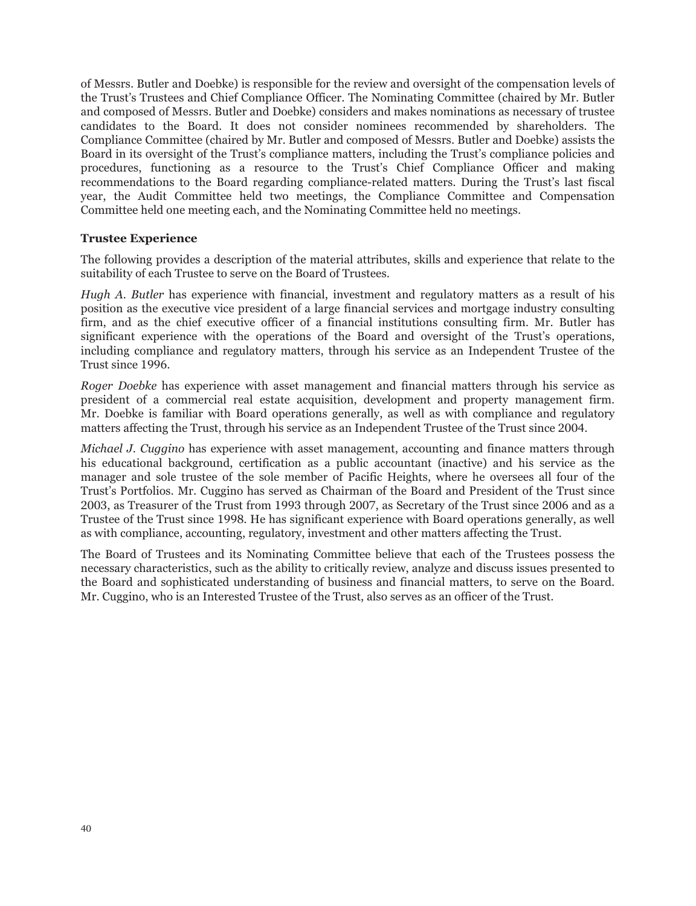of Messrs. Butler and Doebke) is responsible for the review and oversight of the compensation levels of the Trust's Trustees and Chief Compliance Officer. The Nominating Committee (chaired by Mr. Butler and composed of Messrs. Butler and Doebke) considers and makes nominations as necessary of trustee candidates to the Board. It does not consider nominees recommended by shareholders. The Compliance Committee (chaired by Mr. Butler and composed of Messrs. Butler and Doebke) assists the Board in its oversight of the Trust's compliance matters, including the Trust's compliance policies and procedures, functioning as a resource to the Trust's Chief Compliance Officer and making recommendations to the Board regarding compliance-related matters. During the Trust's last fiscal year, the Audit Committee held two meetings, the Compliance Committee and Compensation Committee held one meeting each, and the Nominating Committee held no meetings.

### **Trustee Experience**

The following provides a description of the material attributes, skills and experience that relate to the suitability of each Trustee to serve on the Board of Trustees.

*Hugh A. Butler* has experience with financial, investment and regulatory matters as a result of his position as the executive vice president of a large financial services and mortgage industry consulting firm, and as the chief executive officer of a financial institutions consulting firm. Mr. Butler has significant experience with the operations of the Board and oversight of the Trust's operations, including compliance and regulatory matters, through his service as an Independent Trustee of the Trust since 1996.

*Roger Doebke* has experience with asset management and financial matters through his service as president of a commercial real estate acquisition, development and property management firm. Mr. Doebke is familiar with Board operations generally, as well as with compliance and regulatory matters affecting the Trust, through his service as an Independent Trustee of the Trust since 2004.

*Michael J. Cuggino* has experience with asset management, accounting and finance matters through his educational background, certification as a public accountant (inactive) and his service as the manager and sole trustee of the sole member of Pacific Heights, where he oversees all four of the Trust's Portfolios. Mr. Cuggino has served as Chairman of the Board and President of the Trust since 2003, as Treasurer of the Trust from 1993 through 2007, as Secretary of the Trust since 2006 and as a Trustee of the Trust since 1998. He has significant experience with Board operations generally, as well as with compliance, accounting, regulatory, investment and other matters affecting the Trust.

The Board of Trustees and its Nominating Committee believe that each of the Trustees possess the necessary characteristics, such as the ability to critically review, analyze and discuss issues presented to the Board and sophisticated understanding of business and financial matters, to serve on the Board. Mr. Cuggino, who is an Interested Trustee of the Trust, also serves as an officer of the Trust.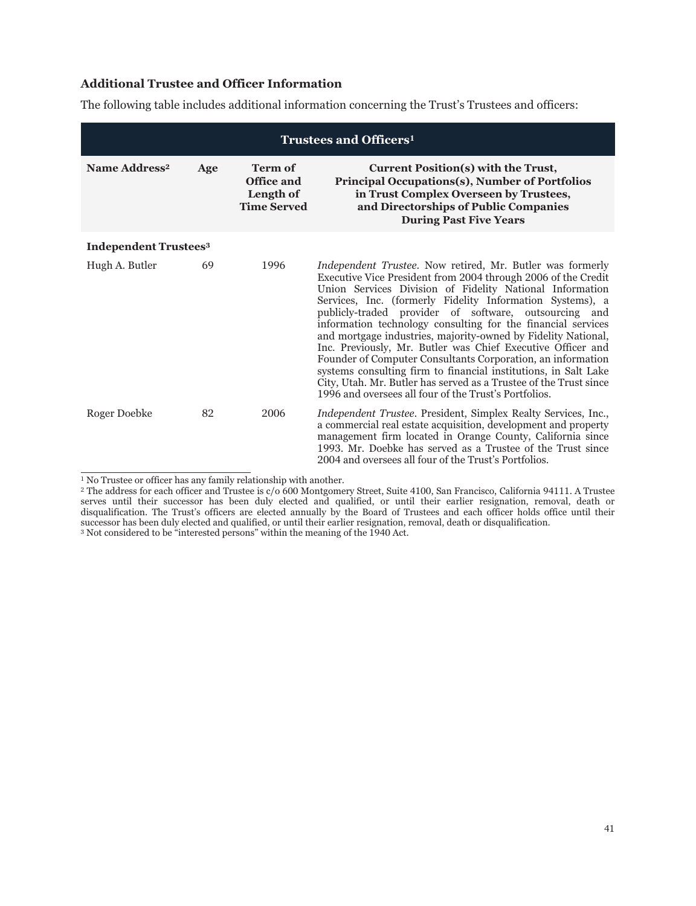# **Additional Trustee and Officer Information**

The following table includes additional information concerning the Trust's Trustees and officers:

| Trustees and Officers <sup>1</sup>      |     |                                                                        |                                                                                                                                                                                                                                                                                                                                                                                                                                                                                                                                                                                                                                                                                                                                                                                     |  |
|-----------------------------------------|-----|------------------------------------------------------------------------|-------------------------------------------------------------------------------------------------------------------------------------------------------------------------------------------------------------------------------------------------------------------------------------------------------------------------------------------------------------------------------------------------------------------------------------------------------------------------------------------------------------------------------------------------------------------------------------------------------------------------------------------------------------------------------------------------------------------------------------------------------------------------------------|--|
| Name Address <sup>2</sup>               | Age | <b>Term of</b><br><b>Office and</b><br>Length of<br><b>Time Served</b> | Current Position(s) with the Trust,<br><b>Principal Occupations(s), Number of Portfolios</b><br>in Trust Complex Overseen by Trustees,<br>and Directorships of Public Companies<br><b>During Past Five Years</b>                                                                                                                                                                                                                                                                                                                                                                                                                                                                                                                                                                    |  |
| <b>Independent Trustees<sup>3</sup></b> |     |                                                                        |                                                                                                                                                                                                                                                                                                                                                                                                                                                                                                                                                                                                                                                                                                                                                                                     |  |
| Hugh A. Butler                          | 69  | 1996                                                                   | <i>Independent Trustee.</i> Now retired, Mr. Butler was formerly<br>Executive Vice President from 2004 through 2006 of the Credit<br>Union Services Division of Fidelity National Information<br>Services, Inc. (formerly Fidelity Information Systems), a<br>publicly-traded provider of software, outsourcing and<br>information technology consulting for the financial services<br>and mortgage industries, majority-owned by Fidelity National,<br>Inc. Previously, Mr. Butler was Chief Executive Officer and<br>Founder of Computer Consultants Corporation, an information<br>systems consulting firm to financial institutions, in Salt Lake<br>City, Utah. Mr. Butler has served as a Trustee of the Trust since<br>1996 and oversees all four of the Trust's Portfolios. |  |
| Roger Doebke                            | 82  | 2006                                                                   | Independent Trustee. President, Simplex Realty Services, Inc.,<br>a commercial real estate acquisition, development and property<br>management firm located in Orange County, California since<br>1993. Mr. Doebke has served as a Trustee of the Trust since<br>2004 and oversees all four of the Trust's Portfolios.                                                                                                                                                                                                                                                                                                                                                                                                                                                              |  |

<sup>1</sup> No Trustee or officer has any family relationship with another.

<sup>2</sup> The address for each officer and Trustee is c/o 600 Montgomery Street, Suite 4100, San Francisco, California 94111. A Trustee serves until their successor has been duly elected and qualified, or until their earlier resignation, removal, death or disqualification. The Trust's officers are elected annually by the Board of Trustees and each officer holds office until their successor has been duly elected and qualified, or until their earlier resignation, removal, death or disqualification.

<sup>&</sup>lt;sup>3</sup> Not considered to be "interested persons" within the meaning of the 1940 Act.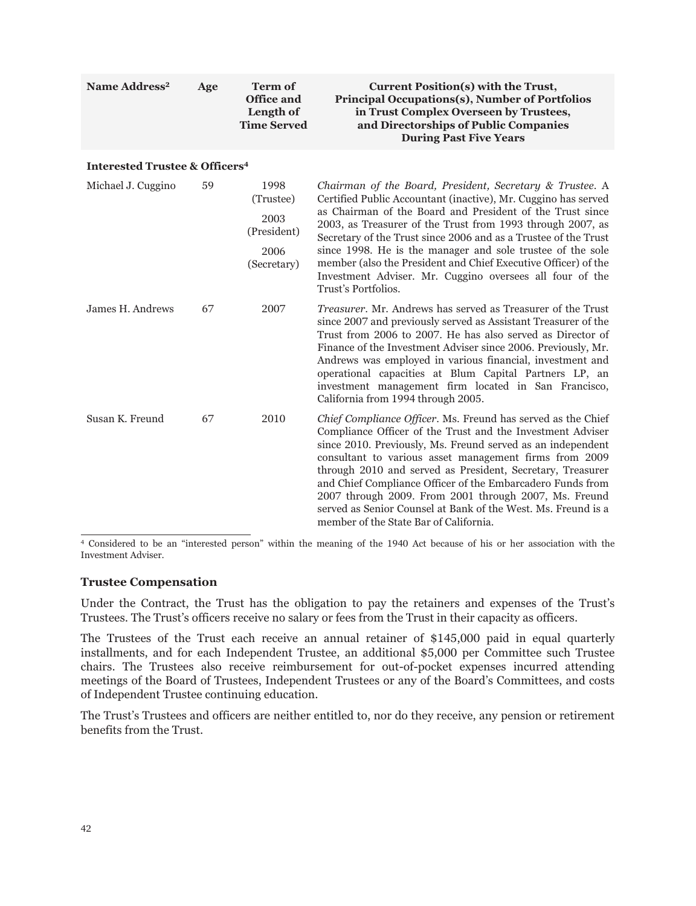| Name Address <sup>2</sup>                            | Age | <b>Term of</b><br><b>Office and</b><br>Length of<br><b>Time Served</b> | Current Position(s) with the Trust,<br><b>Principal Occupations(s), Number of Portfolios</b><br>in Trust Complex Overseen by Trustees,<br>and Directorships of Public Companies<br><b>During Past Five Years</b>                                                                                                                                                                                                                                                                                                                                    |
|------------------------------------------------------|-----|------------------------------------------------------------------------|-----------------------------------------------------------------------------------------------------------------------------------------------------------------------------------------------------------------------------------------------------------------------------------------------------------------------------------------------------------------------------------------------------------------------------------------------------------------------------------------------------------------------------------------------------|
| <b>Interested Trustee &amp; Officers<sup>4</sup></b> |     |                                                                        |                                                                                                                                                                                                                                                                                                                                                                                                                                                                                                                                                     |
| Michael J. Cuggino                                   | 59  | 1998<br>(Trustee)<br>2003<br>(President)<br>2006<br>(Secretary)        | Chairman of the Board, President, Secretary & Trustee. A<br>Certified Public Accountant (inactive), Mr. Cuggino has served<br>as Chairman of the Board and President of the Trust since<br>2003, as Treasurer of the Trust from 1993 through 2007, as<br>Secretary of the Trust since 2006 and as a Trustee of the Trust<br>since 1998. He is the manager and sole trustee of the sole<br>member (also the President and Chief Executive Officer) of the<br>Investment Adviser. Mr. Cuggino oversees all four of the<br>Trust's Portfolios.         |
| James H. Andrews                                     | 67  | 2007                                                                   | <i>Treasurer</i> , Mr. Andrews has served as Treasurer of the Trust<br>since 2007 and previously served as Assistant Treasurer of the<br>Trust from 2006 to 2007. He has also served as Director of<br>Finance of the Investment Adviser since 2006. Previously, Mr.<br>Andrews was employed in various financial, investment and<br>operational capacities at Blum Capital Partners LP, an<br>investment management firm located in San Francisco,<br>California from 1994 through 2005.                                                           |
| Susan K. Freund                                      | 67  | 2010                                                                   | Chief Compliance Officer. Ms. Freund has served as the Chief<br>Compliance Officer of the Trust and the Investment Adviser<br>since 2010. Previously, Ms. Freund served as an independent<br>consultant to various asset management firms from 2009<br>through 2010 and served as President, Secretary, Treasurer<br>and Chief Compliance Officer of the Embarcadero Funds from<br>2007 through 2009. From 2001 through 2007, Ms. Freund<br>served as Senior Counsel at Bank of the West. Ms. Freund is a<br>member of the State Bar of California. |

<sup>4</sup> Considered to be an "interested person" within the meaning of the 1940 Act because of his or her association with the Investment Adviser.

### **Trustee Compensation**

Under the Contract, the Trust has the obligation to pay the retainers and expenses of the Trust's Trustees. The Trust's officers receive no salary or fees from the Trust in their capacity as officers.

The Trustees of the Trust each receive an annual retainer of \$145,000 paid in equal quarterly installments, and for each Independent Trustee, an additional \$5,000 per Committee such Trustee chairs. The Trustees also receive reimbursement for out-of-pocket expenses incurred attending meetings of the Board of Trustees, Independent Trustees or any of the Board's Committees, and costs of Independent Trustee continuing education.

The Trust's Trustees and officers are neither entitled to, nor do they receive, any pension or retirement benefits from the Trust.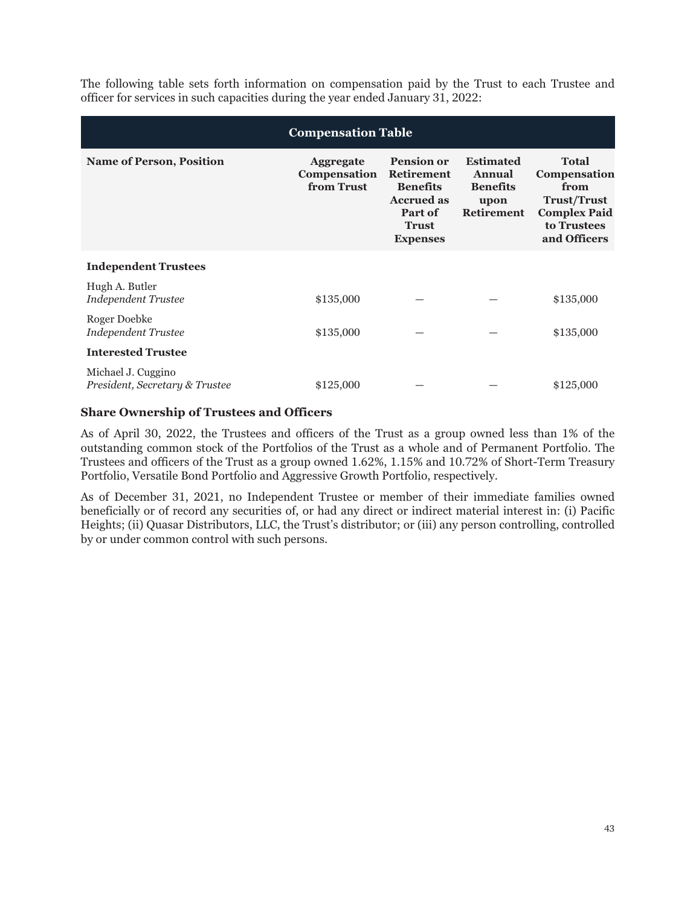The following table sets forth information on compensation paid by the Trust to each Trustee and officer for services in such capacities during the year ended January 31, 2022:

| <b>Compensation Table</b>                            |                                                |                                                                                                                              |                                                                            |                                                                                                                  |  |
|------------------------------------------------------|------------------------------------------------|------------------------------------------------------------------------------------------------------------------------------|----------------------------------------------------------------------------|------------------------------------------------------------------------------------------------------------------|--|
| <b>Name of Person, Position</b>                      | <b>Aggregate</b><br>Compensation<br>from Trust | <b>Pension or</b><br><b>Retirement</b><br><b>Benefits</b><br><b>Accrued as</b><br>Part of<br><b>Trust</b><br><b>Expenses</b> | <b>Estimated</b><br>Annual<br><b>Benefits</b><br>upon<br><b>Retirement</b> | <b>Total</b><br>Compensation<br>from<br><b>Trust/Trust</b><br><b>Complex Paid</b><br>to Trustees<br>and Officers |  |
| <b>Independent Trustees</b>                          |                                                |                                                                                                                              |                                                                            |                                                                                                                  |  |
| Hugh A. Butler<br><b>Independent Trustee</b>         | \$135,000                                      |                                                                                                                              |                                                                            | \$135,000                                                                                                        |  |
| Roger Doebke<br><b>Independent Trustee</b>           | \$135,000                                      |                                                                                                                              |                                                                            | \$135,000                                                                                                        |  |
| <b>Interested Trustee</b>                            |                                                |                                                                                                                              |                                                                            |                                                                                                                  |  |
| Michael J. Cuggino<br>President, Secretary & Trustee | \$125,000                                      |                                                                                                                              |                                                                            | \$125,000                                                                                                        |  |

### **Share Ownership of Trustees and Officers**

As of April 30, 2022, the Trustees and officers of the Trust as a group owned less than 1% of the outstanding common stock of the Portfolios of the Trust as a whole and of Permanent Portfolio. The Trustees and officers of the Trust as a group owned 1.62%, 1.15% and 10.72% of Short-Term Treasury Portfolio, Versatile Bond Portfolio and Aggressive Growth Portfolio, respectively.

As of December 31, 2021, no Independent Trustee or member of their immediate families owned beneficially or of record any securities of, or had any direct or indirect material interest in: (i) Pacific Heights; (ii) Quasar Distributors, LLC, the Trust's distributor; or (iii) any person controlling, controlled by or under common control with such persons.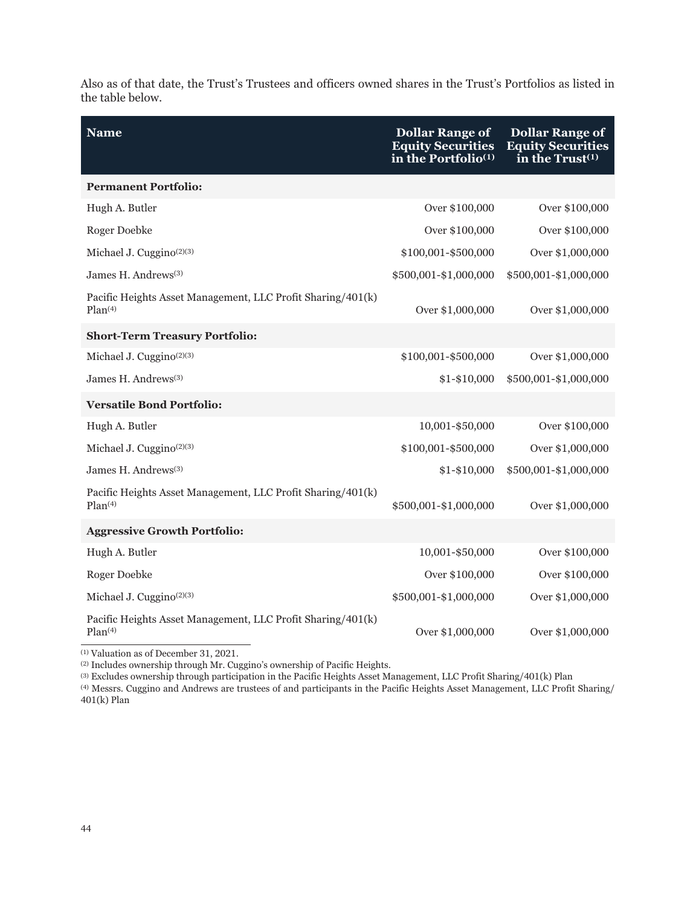Also as of that date, the Trust's Trustees and officers owned shares in the Trust's Portfolios as listed in the table below.

| <b>Name</b>                                                                        | <b>Dollar Range of</b><br><b>Equity Securities</b><br>in the Portfolio $(1)$ | <b>Dollar Range of</b><br><b>Equity Securities</b><br>in the $Trust(1)$ |
|------------------------------------------------------------------------------------|------------------------------------------------------------------------------|-------------------------------------------------------------------------|
| <b>Permanent Portfolio:</b>                                                        |                                                                              |                                                                         |
| Hugh A. Butler                                                                     | Over \$100,000                                                               | Over \$100,000                                                          |
| Roger Doebke                                                                       | Over \$100,000                                                               | Over \$100,000                                                          |
| Michael J. Cuggino <sup>(2)(3)</sup>                                               | \$100,001-\$500,000                                                          | Over \$1,000,000                                                        |
| James H. Andrews <sup>(3)</sup>                                                    | \$500,001-\$1,000,000                                                        | \$500,001-\$1,000,000                                                   |
| Pacific Heights Asset Management, LLC Profit Sharing/401(k)<br>Plan <sup>(4)</sup> | Over \$1,000,000                                                             | Over \$1,000,000                                                        |
| <b>Short-Term Treasury Portfolio:</b>                                              |                                                                              |                                                                         |
| Michael J. Cuggino $(2)(3)$                                                        | \$100,001-\$500,000                                                          | Over \$1,000,000                                                        |
| James H. Andrews <sup>(3)</sup>                                                    | $$1 - $10,000$                                                               | \$500,001-\$1,000,000                                                   |
| <b>Versatile Bond Portfolio:</b>                                                   |                                                                              |                                                                         |
| Hugh A. Butler                                                                     | 10,001-\$50,000                                                              | Over \$100,000                                                          |
| Michael J. Cuggino <sup>(2)(3)</sup>                                               | \$100,001-\$500,000                                                          | Over \$1,000,000                                                        |
| James H. Andrews <sup>(3)</sup>                                                    | $$1 - $10,000$                                                               | \$500,001-\$1,000,000                                                   |
| Pacific Heights Asset Management, LLC Profit Sharing/401(k)<br>Plan(4)             | \$500,001-\$1,000,000                                                        | Over \$1,000,000                                                        |
| <b>Aggressive Growth Portfolio:</b>                                                |                                                                              |                                                                         |
| Hugh A. Butler                                                                     | 10,001-\$50,000                                                              | Over \$100,000                                                          |
| Roger Doebke                                                                       | Over \$100,000                                                               | Over \$100,000                                                          |
| Michael J. Cuggino <sup>(2)(3)</sup>                                               | \$500,001-\$1,000,000                                                        | Over \$1,000,000                                                        |
| Pacific Heights Asset Management, LLC Profit Sharing/401(k)<br>Plan <sup>(4)</sup> | Over \$1,000,000                                                             | Over \$1,000,000                                                        |

(1) Valuation as of December 31, 2021.

(2) Includes ownership through Mr. Cuggino's ownership of Pacific Heights.

(3) Excludes ownership through participation in the Pacific Heights Asset Management, LLC Profit Sharing/401(k) Plan

(4) Messrs. Cuggino and Andrews are trustees of and participants in the Pacific Heights Asset Management, LLC Profit Sharing/ 401(k) Plan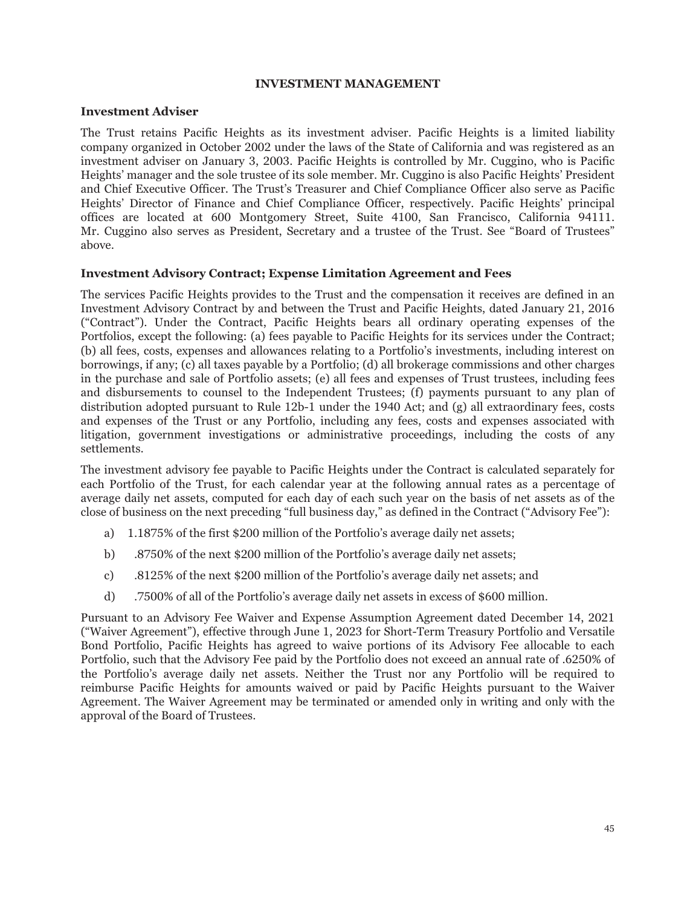### **INVESTMENT MANAGEMENT**

### **Investment Adviser**

The Trust retains Pacific Heights as its investment adviser. Pacific Heights is a limited liability company organized in October 2002 under the laws of the State of California and was registered as an investment adviser on January 3, 2003. Pacific Heights is controlled by Mr. Cuggino, who is Pacific Heights' manager and the sole trustee of its sole member. Mr. Cuggino is also Pacific Heights' President and Chief Executive Officer. The Trust's Treasurer and Chief Compliance Officer also serve as Pacific Heights' Director of Finance and Chief Compliance Officer, respectively. Pacific Heights' principal offices are located at 600 Montgomery Street, Suite 4100, San Francisco, California 94111. Mr. Cuggino also serves as President, Secretary and a trustee of the Trust. See "Board of Trustees" above.

### **Investment Advisory Contract; Expense Limitation Agreement and Fees**

The services Pacific Heights provides to the Trust and the compensation it receives are defined in an Investment Advisory Contract by and between the Trust and Pacific Heights, dated January 21, 2016 ("Contract"). Under the Contract, Pacific Heights bears all ordinary operating expenses of the Portfolios, except the following: (a) fees payable to Pacific Heights for its services under the Contract; (b) all fees, costs, expenses and allowances relating to a Portfolio's investments, including interest on borrowings, if any; (c) all taxes payable by a Portfolio; (d) all brokerage commissions and other charges in the purchase and sale of Portfolio assets; (e) all fees and expenses of Trust trustees, including fees and disbursements to counsel to the Independent Trustees; (f) payments pursuant to any plan of distribution adopted pursuant to Rule 12b-1 under the 1940 Act; and (g) all extraordinary fees, costs and expenses of the Trust or any Portfolio, including any fees, costs and expenses associated with litigation, government investigations or administrative proceedings, including the costs of any settlements.

The investment advisory fee payable to Pacific Heights under the Contract is calculated separately for each Portfolio of the Trust, for each calendar year at the following annual rates as a percentage of average daily net assets, computed for each day of each such year on the basis of net assets as of the close of business on the next preceding "full business day," as defined in the Contract ("Advisory Fee"):

- a) 1.1875% of the first \$200 million of the Portfolio's average daily net assets;
- b) .8750% of the next \$200 million of the Portfolio's average daily net assets;
- c) .8125% of the next \$200 million of the Portfolio's average daily net assets; and
- d) .7500% of all of the Portfolio's average daily net assets in excess of \$600 million.

Pursuant to an Advisory Fee Waiver and Expense Assumption Agreement dated December 14, 2021 ("Waiver Agreement"), effective through June 1, 2023 for Short-Term Treasury Portfolio and Versatile Bond Portfolio, Pacific Heights has agreed to waive portions of its Advisory Fee allocable to each Portfolio, such that the Advisory Fee paid by the Portfolio does not exceed an annual rate of .6250% of the Portfolio's average daily net assets. Neither the Trust nor any Portfolio will be required to reimburse Pacific Heights for amounts waived or paid by Pacific Heights pursuant to the Waiver Agreement. The Waiver Agreement may be terminated or amended only in writing and only with the approval of the Board of Trustees.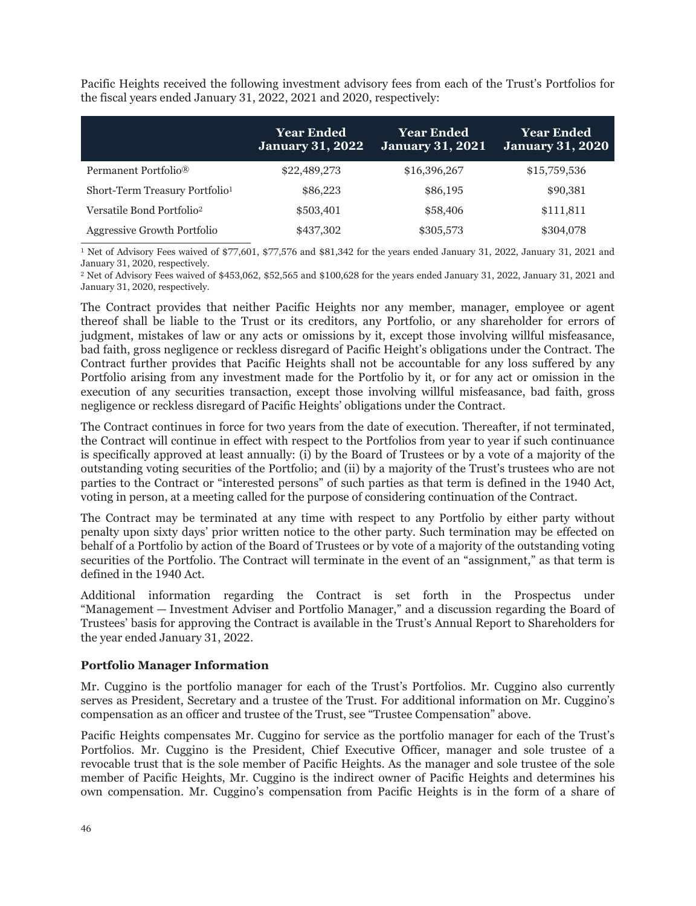Pacific Heights received the following investment advisory fees from each of the Trust's Portfolios for the fiscal years ended January 31, 2022, 2021 and 2020, respectively:

|                                            | <b>Year Ended</b><br><b>January 31, 2022</b> | <b>Year Ended</b><br><b>January 31, 2021</b> | <b>Year Ended</b><br><b>January 31, 2020</b> |
|--------------------------------------------|----------------------------------------------|----------------------------------------------|----------------------------------------------|
| Permanent Portfolio <sup>®</sup>           | \$22,489,273                                 | \$16,396,267                                 | \$15,759,536                                 |
| Short-Term Treasury Portfolio <sup>1</sup> | \$86,223                                     | \$86,195                                     | \$90,381                                     |
| Versatile Bond Portfolio <sup>2</sup>      | \$503,401                                    | \$58,406                                     | \$111,811                                    |
| Aggressive Growth Portfolio                | \$437,302                                    | \$305,573                                    | \$304,078                                    |

<sup>1</sup> Net of Advisory Fees waived of \$77,601, \$77,576 and \$81,342 for the years ended January 31, 2022, January 31, 2021 and January 31, 2020, respectively.

<sup>2</sup> Net of Advisory Fees waived of \$453,062, \$52,565 and \$100,628 for the years ended January 31, 2022, January 31, 2021 and January 31, 2020, respectively.

The Contract provides that neither Pacific Heights nor any member, manager, employee or agent thereof shall be liable to the Trust or its creditors, any Portfolio, or any shareholder for errors of judgment, mistakes of law or any acts or omissions by it, except those involving willful misfeasance, bad faith, gross negligence or reckless disregard of Pacific Height's obligations under the Contract. The Contract further provides that Pacific Heights shall not be accountable for any loss suffered by any Portfolio arising from any investment made for the Portfolio by it, or for any act or omission in the execution of any securities transaction, except those involving willful misfeasance, bad faith, gross negligence or reckless disregard of Pacific Heights' obligations under the Contract.

The Contract continues in force for two years from the date of execution. Thereafter, if not terminated, the Contract will continue in effect with respect to the Portfolios from year to year if such continuance is specifically approved at least annually: (i) by the Board of Trustees or by a vote of a majority of the outstanding voting securities of the Portfolio; and (ii) by a majority of the Trust's trustees who are not parties to the Contract or "interested persons" of such parties as that term is defined in the 1940 Act, voting in person, at a meeting called for the purpose of considering continuation of the Contract.

The Contract may be terminated at any time with respect to any Portfolio by either party without penalty upon sixty days' prior written notice to the other party. Such termination may be effected on behalf of a Portfolio by action of the Board of Trustees or by vote of a majority of the outstanding voting securities of the Portfolio. The Contract will terminate in the event of an "assignment," as that term is defined in the 1940 Act.

Additional information regarding the Contract is set forth in the Prospectus under "Management — Investment Adviser and Portfolio Manager," and a discussion regarding the Board of Trustees' basis for approving the Contract is available in the Trust's Annual Report to Shareholders for the year ended January 31, 2022.

# **Portfolio Manager Information**

Mr. Cuggino is the portfolio manager for each of the Trust's Portfolios. Mr. Cuggino also currently serves as President, Secretary and a trustee of the Trust. For additional information on Mr. Cuggino's compensation as an officer and trustee of the Trust, see "Trustee Compensation" above.

Pacific Heights compensates Mr. Cuggino for service as the portfolio manager for each of the Trust's Portfolios. Mr. Cuggino is the President, Chief Executive Officer, manager and sole trustee of a revocable trust that is the sole member of Pacific Heights. As the manager and sole trustee of the sole member of Pacific Heights, Mr. Cuggino is the indirect owner of Pacific Heights and determines his own compensation. Mr. Cuggino's compensation from Pacific Heights is in the form of a share of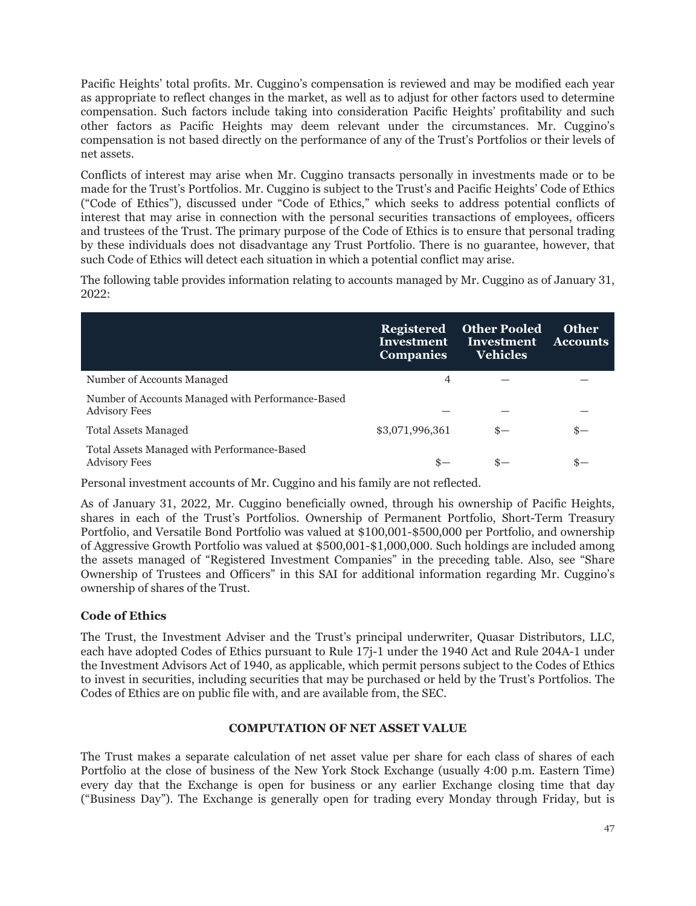Pacific Heights' total profits. Mr. Cuggino's compensation is reviewed and may be modified each year as appropriate to reflect changes in the market, as well as to adjust for other factors used to determine compensation. Such factors include taking into consideration Pacific Heights' profitability and such other factors as Pacific Heights may deem relevant under the circumstances. Mr. Cuggino's compensation is not based directly on the performance of any of the Trust's Portfolios or their levels of net assets.

Conflicts of interest may arise when Mr. Cuggino transacts personally in investments made or to be made for the Trust's Portfolios. Mr. Cuggino is subject to the Trust's and Pacific Heights' Code of Ethics ("Code of Ethics"), discussed under "Code of Ethics," which seeks to address potential conflicts of interest that may arise in connection with the personal securities transactions of employees, officers and trustees of the Trust. The primary purpose of the Code of Ethics is to ensure that personal trading by these individuals does not disadvantage any Trust Portfolio. There is no guarantee, however, that such Code of Ethics will detect each situation in which a potential conflict may arise.

The following table provides information relating to accounts managed by Mr. Cuggino as of January 31, 2022:

|                                                                           | <b>Registered</b><br>Investment<br><b>Companies</b> | <b>Other Pooled</b><br>Investment<br><b>Vehicles</b> | <b>Other</b><br><b>Accounts</b> |
|---------------------------------------------------------------------------|-----------------------------------------------------|------------------------------------------------------|---------------------------------|
| Number of Accounts Managed                                                | 4                                                   |                                                      |                                 |
| Number of Accounts Managed with Performance-Based<br><b>Advisory Fees</b> |                                                     |                                                      |                                 |
| <b>Total Assets Managed</b>                                               | \$3,071,996,361                                     | $s-$                                                 |                                 |
| Total Assets Managed with Performance-Based<br><b>Advisory Fees</b>       |                                                     |                                                      |                                 |

Personal investment accounts of Mr. Cuggino and his family are not reflected.

As of January 31, 2022, Mr. Cuggino beneficially owned, through his ownership of Pacific Heights, shares in each of the Trust's Portfolios. Ownership of Permanent Portfolio, Short-Term Treasury Portfolio, and Versatile Bond Portfolio was valued at \$100,001-\$500,000 per Portfolio, and ownership of Aggressive Growth Portfolio was valued at \$500,001-\$1,000,000. Such holdings are included among the assets managed of "Registered Investment Companies" in the preceding table. Also, see "Share Ownership of Trustees and Officers" in this SAI for additional information regarding Mr. Cuggino's ownership of shares of the Trust.

# **Code of Ethics**

The Trust, the Investment Adviser and the Trust's principal underwriter, Quasar Distributors, LLC, each have adopted Codes of Ethics pursuant to Rule 17j-1 under the 1940 Act and Rule 204A-1 under the Investment Advisors Act of 1940, as applicable, which permit persons subject to the Codes of Ethics to invest in securities, including securities that may be purchased or held by the Trust's Portfolios. The Codes of Ethics are on public file with, and are available from, the SEC.

# **COMPUTATION OF NET ASSET VALUE**

The Trust makes a separate calculation of net asset value per share for each class of shares of each Portfolio at the close of business of the New York Stock Exchange (usually 4:00 p.m. Eastern Time) every day that the Exchange is open for business or any earlier Exchange closing time that day ("Business Day"). The Exchange is generally open for trading every Monday through Friday, but is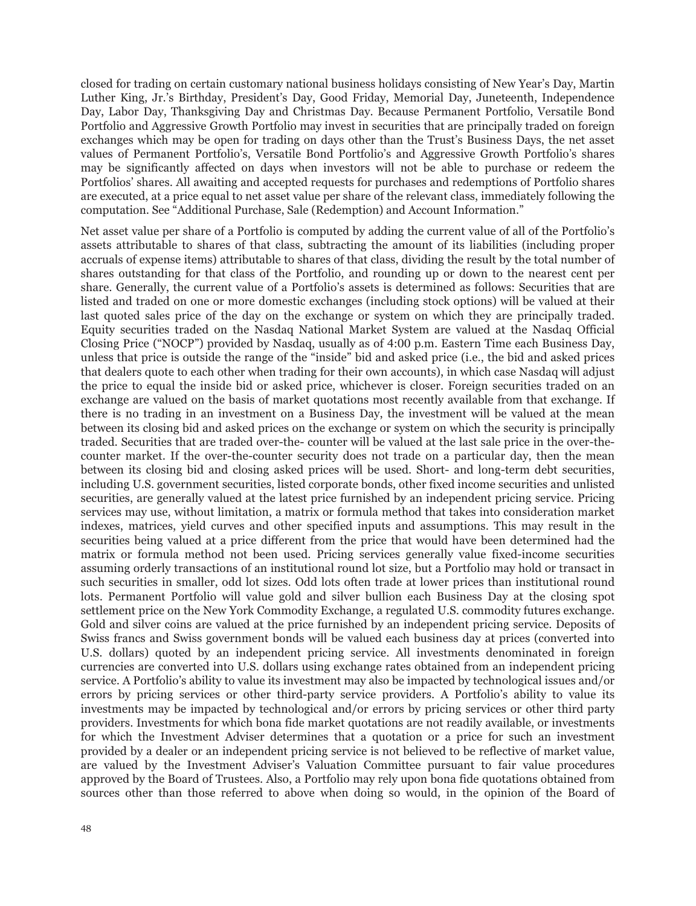closed for trading on certain customary national business holidays consisting of New Year's Day, Martin Luther King, Jr.'s Birthday, President's Day, Good Friday, Memorial Day, Juneteenth, Independence Day, Labor Day, Thanksgiving Day and Christmas Day. Because Permanent Portfolio, Versatile Bond Portfolio and Aggressive Growth Portfolio may invest in securities that are principally traded on foreign exchanges which may be open for trading on days other than the Trust's Business Days, the net asset values of Permanent Portfolio's, Versatile Bond Portfolio's and Aggressive Growth Portfolio's shares may be significantly affected on days when investors will not be able to purchase or redeem the Portfolios' shares. All awaiting and accepted requests for purchases and redemptions of Portfolio shares are executed, at a price equal to net asset value per share of the relevant class, immediately following the computation. See "Additional Purchase, Sale (Redemption) and Account Information."

Net asset value per share of a Portfolio is computed by adding the current value of all of the Portfolio's assets attributable to shares of that class, subtracting the amount of its liabilities (including proper accruals of expense items) attributable to shares of that class, dividing the result by the total number of shares outstanding for that class of the Portfolio, and rounding up or down to the nearest cent per share. Generally, the current value of a Portfolio's assets is determined as follows: Securities that are listed and traded on one or more domestic exchanges (including stock options) will be valued at their last quoted sales price of the day on the exchange or system on which they are principally traded. Equity securities traded on the Nasdaq National Market System are valued at the Nasdaq Official Closing Price ("NOCP") provided by Nasdaq, usually as of 4:00 p.m. Eastern Time each Business Day, unless that price is outside the range of the "inside" bid and asked price (i.e., the bid and asked prices that dealers quote to each other when trading for their own accounts), in which case Nasdaq will adjust the price to equal the inside bid or asked price, whichever is closer. Foreign securities traded on an exchange are valued on the basis of market quotations most recently available from that exchange. If there is no trading in an investment on a Business Day, the investment will be valued at the mean between its closing bid and asked prices on the exchange or system on which the security is principally traded. Securities that are traded over-the- counter will be valued at the last sale price in the over-thecounter market. If the over-the-counter security does not trade on a particular day, then the mean between its closing bid and closing asked prices will be used. Short- and long-term debt securities, including U.S. government securities, listed corporate bonds, other fixed income securities and unlisted securities, are generally valued at the latest price furnished by an independent pricing service. Pricing services may use, without limitation, a matrix or formula method that takes into consideration market indexes, matrices, yield curves and other specified inputs and assumptions. This may result in the securities being valued at a price different from the price that would have been determined had the matrix or formula method not been used. Pricing services generally value fixed-income securities assuming orderly transactions of an institutional round lot size, but a Portfolio may hold or transact in such securities in smaller, odd lot sizes. Odd lots often trade at lower prices than institutional round lots. Permanent Portfolio will value gold and silver bullion each Business Day at the closing spot settlement price on the New York Commodity Exchange, a regulated U.S. commodity futures exchange. Gold and silver coins are valued at the price furnished by an independent pricing service. Deposits of Swiss francs and Swiss government bonds will be valued each business day at prices (converted into U.S. dollars) quoted by an independent pricing service. All investments denominated in foreign currencies are converted into U.S. dollars using exchange rates obtained from an independent pricing service. A Portfolio's ability to value its investment may also be impacted by technological issues and/or errors by pricing services or other third-party service providers. A Portfolio's ability to value its investments may be impacted by technological and/or errors by pricing services or other third party providers. Investments for which bona fide market quotations are not readily available, or investments for which the Investment Adviser determines that a quotation or a price for such an investment provided by a dealer or an independent pricing service is not believed to be reflective of market value, are valued by the Investment Adviser's Valuation Committee pursuant to fair value procedures approved by the Board of Trustees. Also, a Portfolio may rely upon bona fide quotations obtained from sources other than those referred to above when doing so would, in the opinion of the Board of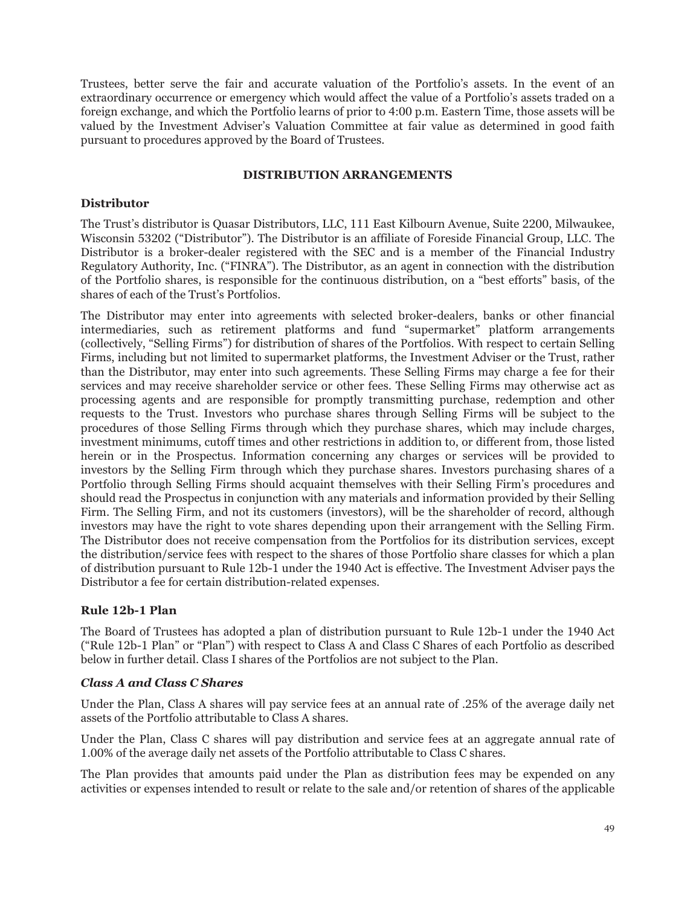Trustees, better serve the fair and accurate valuation of the Portfolio's assets. In the event of an extraordinary occurrence or emergency which would affect the value of a Portfolio's assets traded on a foreign exchange, and which the Portfolio learns of prior to 4:00 p.m. Eastern Time, those assets will be valued by the Investment Adviser's Valuation Committee at fair value as determined in good faith pursuant to procedures approved by the Board of Trustees.

## **DISTRIBUTION ARRANGEMENTS**

## **Distributor**

The Trust's distributor is Quasar Distributors, LLC, 111 East Kilbourn Avenue, Suite 2200, Milwaukee, Wisconsin 53202 ("Distributor"). The Distributor is an affiliate of Foreside Financial Group, LLC. The Distributor is a broker-dealer registered with the SEC and is a member of the Financial Industry Regulatory Authority, Inc. ("FINRA"). The Distributor, as an agent in connection with the distribution of the Portfolio shares, is responsible for the continuous distribution, on a "best efforts" basis, of the shares of each of the Trust's Portfolios.

The Distributor may enter into agreements with selected broker-dealers, banks or other financial intermediaries, such as retirement platforms and fund "supermarket" platform arrangements (collectively, "Selling Firms") for distribution of shares of the Portfolios. With respect to certain Selling Firms, including but not limited to supermarket platforms, the Investment Adviser or the Trust, rather than the Distributor, may enter into such agreements. These Selling Firms may charge a fee for their services and may receive shareholder service or other fees. These Selling Firms may otherwise act as processing agents and are responsible for promptly transmitting purchase, redemption and other requests to the Trust. Investors who purchase shares through Selling Firms will be subject to the procedures of those Selling Firms through which they purchase shares, which may include charges, investment minimums, cutoff times and other restrictions in addition to, or different from, those listed herein or in the Prospectus. Information concerning any charges or services will be provided to investors by the Selling Firm through which they purchase shares. Investors purchasing shares of a Portfolio through Selling Firms should acquaint themselves with their Selling Firm's procedures and should read the Prospectus in conjunction with any materials and information provided by their Selling Firm. The Selling Firm, and not its customers (investors), will be the shareholder of record, although investors may have the right to vote shares depending upon their arrangement with the Selling Firm. The Distributor does not receive compensation from the Portfolios for its distribution services, except the distribution/service fees with respect to the shares of those Portfolio share classes for which a plan of distribution pursuant to Rule 12b-1 under the 1940 Act is effective. The Investment Adviser pays the Distributor a fee for certain distribution-related expenses.

# **Rule 12b-1 Plan**

The Board of Trustees has adopted a plan of distribution pursuant to Rule 12b-1 under the 1940 Act ("Rule 12b-1 Plan" or "Plan") with respect to Class A and Class C Shares of each Portfolio as described below in further detail. Class I shares of the Portfolios are not subject to the Plan.

# *Class A and Class C Shares*

Under the Plan, Class A shares will pay service fees at an annual rate of .25% of the average daily net assets of the Portfolio attributable to Class A shares.

Under the Plan, Class C shares will pay distribution and service fees at an aggregate annual rate of 1.00% of the average daily net assets of the Portfolio attributable to Class C shares.

The Plan provides that amounts paid under the Plan as distribution fees may be expended on any activities or expenses intended to result or relate to the sale and/or retention of shares of the applicable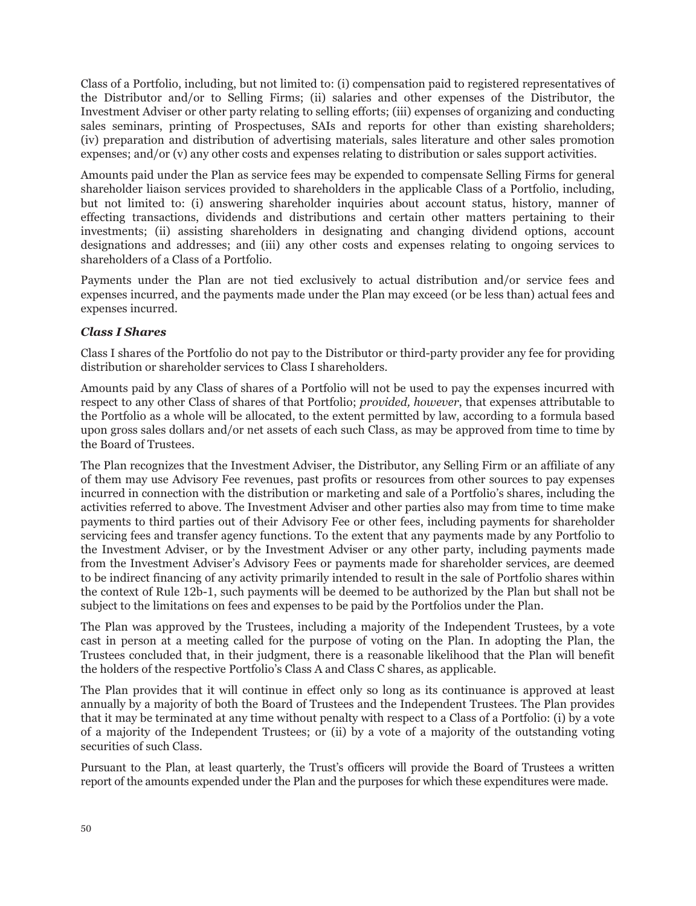Class of a Portfolio, including, but not limited to: (i) compensation paid to registered representatives of the Distributor and/or to Selling Firms; (ii) salaries and other expenses of the Distributor, the Investment Adviser or other party relating to selling efforts; (iii) expenses of organizing and conducting sales seminars, printing of Prospectuses, SAIs and reports for other than existing shareholders; (iv) preparation and distribution of advertising materials, sales literature and other sales promotion expenses; and/or (v) any other costs and expenses relating to distribution or sales support activities.

Amounts paid under the Plan as service fees may be expended to compensate Selling Firms for general shareholder liaison services provided to shareholders in the applicable Class of a Portfolio, including, but not limited to: (i) answering shareholder inquiries about account status, history, manner of effecting transactions, dividends and distributions and certain other matters pertaining to their investments; (ii) assisting shareholders in designating and changing dividend options, account designations and addresses; and (iii) any other costs and expenses relating to ongoing services to shareholders of a Class of a Portfolio.

Payments under the Plan are not tied exclusively to actual distribution and/or service fees and expenses incurred, and the payments made under the Plan may exceed (or be less than) actual fees and expenses incurred.

# *Class I Shares*

Class I shares of the Portfolio do not pay to the Distributor or third-party provider any fee for providing distribution or shareholder services to Class I shareholders.

Amounts paid by any Class of shares of a Portfolio will not be used to pay the expenses incurred with respect to any other Class of shares of that Portfolio; *provided, however*, that expenses attributable to the Portfolio as a whole will be allocated, to the extent permitted by law, according to a formula based upon gross sales dollars and/or net assets of each such Class, as may be approved from time to time by the Board of Trustees.

The Plan recognizes that the Investment Adviser, the Distributor, any Selling Firm or an affiliate of any of them may use Advisory Fee revenues, past profits or resources from other sources to pay expenses incurred in connection with the distribution or marketing and sale of a Portfolio's shares, including the activities referred to above. The Investment Adviser and other parties also may from time to time make payments to third parties out of their Advisory Fee or other fees, including payments for shareholder servicing fees and transfer agency functions. To the extent that any payments made by any Portfolio to the Investment Adviser, or by the Investment Adviser or any other party, including payments made from the Investment Adviser's Advisory Fees or payments made for shareholder services, are deemed to be indirect financing of any activity primarily intended to result in the sale of Portfolio shares within the context of Rule 12b-1, such payments will be deemed to be authorized by the Plan but shall not be subject to the limitations on fees and expenses to be paid by the Portfolios under the Plan.

The Plan was approved by the Trustees, including a majority of the Independent Trustees, by a vote cast in person at a meeting called for the purpose of voting on the Plan. In adopting the Plan, the Trustees concluded that, in their judgment, there is a reasonable likelihood that the Plan will benefit the holders of the respective Portfolio's Class A and Class C shares, as applicable.

The Plan provides that it will continue in effect only so long as its continuance is approved at least annually by a majority of both the Board of Trustees and the Independent Trustees. The Plan provides that it may be terminated at any time without penalty with respect to a Class of a Portfolio: (i) by a vote of a majority of the Independent Trustees; or (ii) by a vote of a majority of the outstanding voting securities of such Class.

Pursuant to the Plan, at least quarterly, the Trust's officers will provide the Board of Trustees a written report of the amounts expended under the Plan and the purposes for which these expenditures were made.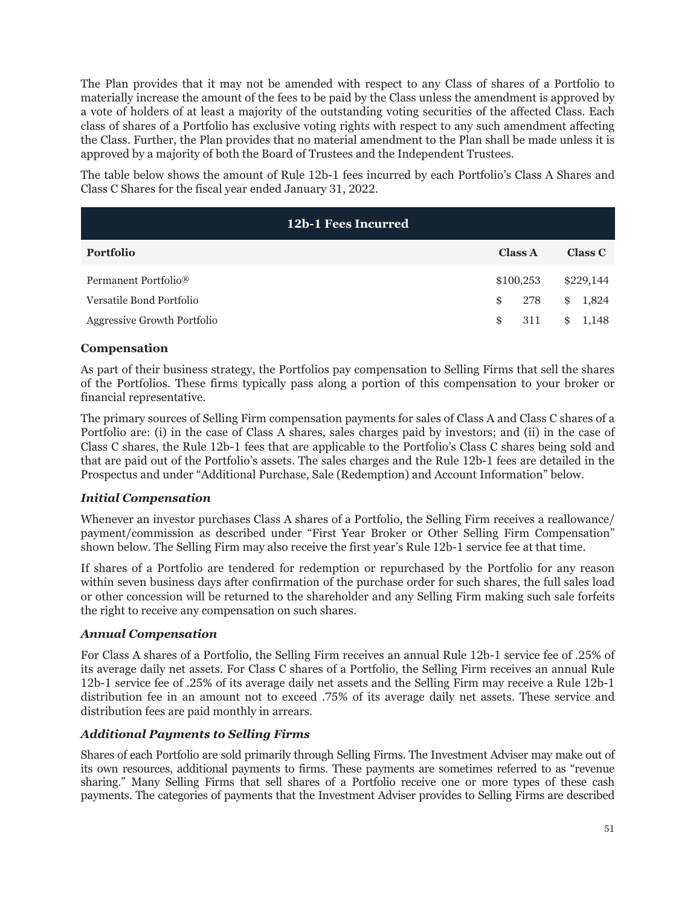The Plan provides that it may not be amended with respect to any Class of shares of a Portfolio to materially increase the amount of the fees to be paid by the Class unless the amendment is approved by a vote of holders of at least a majority of the outstanding voting securities of the affected Class. Each class of shares of a Portfolio has exclusive voting rights with respect to any such amendment affecting the Class. Further, the Plan provides that no material amendment to the Plan shall be made unless it is approved by a majority of both the Board of Trustees and the Independent Trustees.

The table below shows the amount of Rule 12b-1 fees incurred by each Portfolio's Class A Shares and Class C Shares for the fiscal year ended January 31, 2022.

| 12b-1 Fees Incurred              |                |             |
|----------------------------------|----------------|-------------|
| Portfolio                        | <b>Class A</b> | Class C     |
| Permanent Portfolio <sup>®</sup> | \$100,253      | \$229,144   |
| Versatile Bond Portfolio         | \$<br>278      | \$<br>1,824 |
| Aggressive Growth Portfolio      | \$<br>311      | \$<br>1,148 |

# **Compensation**

As part of their business strategy, the Portfolios pay compensation to Selling Firms that sell the shares of the Portfolios. These firms typically pass along a portion of this compensation to your broker or financial representative.

The primary sources of Selling Firm compensation payments for sales of Class A and Class C shares of a Portfolio are: (i) in the case of Class A shares, sales charges paid by investors; and (ii) in the case of Class C shares, the Rule 12b-1 fees that are applicable to the Portfolio's Class C shares being sold and that are paid out of the Portfolio's assets. The sales charges and the Rule 12b-1 fees are detailed in the Prospectus and under "Additional Purchase, Sale (Redemption) and Account Information" below.

# *Initial Compensation*

Whenever an investor purchases Class A shares of a Portfolio, the Selling Firm receives a reallowance/ payment/commission as described under "First Year Broker or Other Selling Firm Compensation" shown below. The Selling Firm may also receive the first year's Rule 12b-1 service fee at that time.

If shares of a Portfolio are tendered for redemption or repurchased by the Portfolio for any reason within seven business days after confirmation of the purchase order for such shares, the full sales load or other concession will be returned to the shareholder and any Selling Firm making such sale forfeits the right to receive any compensation on such shares.

# *Annual Compensation*

For Class A shares of a Portfolio, the Selling Firm receives an annual Rule 12b-1 service fee of .25% of its average daily net assets. For Class C shares of a Portfolio, the Selling Firm receives an annual Rule 12b-1 service fee of .25% of its average daily net assets and the Selling Firm may receive a Rule 12b-1 distribution fee in an amount not to exceed .75% of its average daily net assets. These service and distribution fees are paid monthly in arrears.

# *Additional Payments to Selling Firms*

Shares of each Portfolio are sold primarily through Selling Firms. The Investment Adviser may make out of its own resources, additional payments to firms. These payments are sometimes referred to as "revenue sharing." Many Selling Firms that sell shares of a Portfolio receive one or more types of these cash payments. The categories of payments that the Investment Adviser provides to Selling Firms are described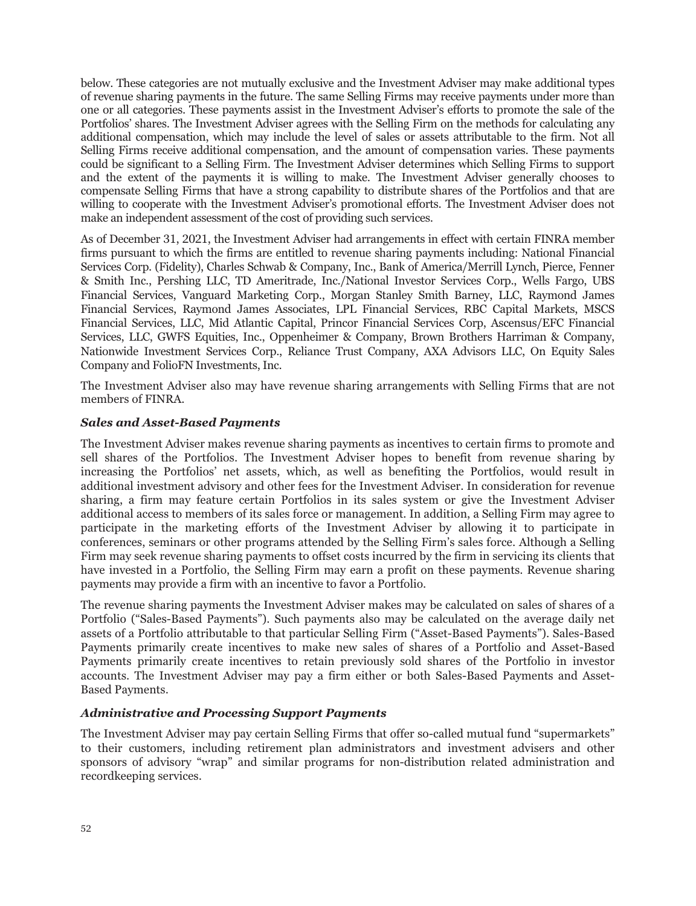below. These categories are not mutually exclusive and the Investment Adviser may make additional types of revenue sharing payments in the future. The same Selling Firms may receive payments under more than one or all categories. These payments assist in the Investment Adviser's efforts to promote the sale of the Portfolios' shares. The Investment Adviser agrees with the Selling Firm on the methods for calculating any additional compensation, which may include the level of sales or assets attributable to the firm. Not all Selling Firms receive additional compensation, and the amount of compensation varies. These payments could be significant to a Selling Firm. The Investment Adviser determines which Selling Firms to support and the extent of the payments it is willing to make. The Investment Adviser generally chooses to compensate Selling Firms that have a strong capability to distribute shares of the Portfolios and that are willing to cooperate with the Investment Adviser's promotional efforts. The Investment Adviser does not make an independent assessment of the cost of providing such services.

As of December 31, 2021, the Investment Adviser had arrangements in effect with certain FINRA member firms pursuant to which the firms are entitled to revenue sharing payments including: National Financial Services Corp. (Fidelity), Charles Schwab & Company, Inc., Bank of America/Merrill Lynch, Pierce, Fenner & Smith Inc., Pershing LLC, TD Ameritrade, Inc./National Investor Services Corp., Wells Fargo, UBS Financial Services, Vanguard Marketing Corp., Morgan Stanley Smith Barney, LLC, Raymond James Financial Services, Raymond James Associates, LPL Financial Services, RBC Capital Markets, MSCS Financial Services, LLC, Mid Atlantic Capital, Princor Financial Services Corp, Ascensus/EFC Financial Services, LLC, GWFS Equities, Inc., Oppenheimer & Company, Brown Brothers Harriman & Company, Nationwide Investment Services Corp., Reliance Trust Company, AXA Advisors LLC, On Equity Sales Company and FolioFN Investments, Inc.

The Investment Adviser also may have revenue sharing arrangements with Selling Firms that are not members of FINRA.

### *Sales and Asset-Based Payments*

The Investment Adviser makes revenue sharing payments as incentives to certain firms to promote and sell shares of the Portfolios. The Investment Adviser hopes to benefit from revenue sharing by increasing the Portfolios' net assets, which, as well as benefiting the Portfolios, would result in additional investment advisory and other fees for the Investment Adviser. In consideration for revenue sharing, a firm may feature certain Portfolios in its sales system or give the Investment Adviser additional access to members of its sales force or management. In addition, a Selling Firm may agree to participate in the marketing efforts of the Investment Adviser by allowing it to participate in conferences, seminars or other programs attended by the Selling Firm's sales force. Although a Selling Firm may seek revenue sharing payments to offset costs incurred by the firm in servicing its clients that have invested in a Portfolio, the Selling Firm may earn a profit on these payments. Revenue sharing payments may provide a firm with an incentive to favor a Portfolio.

The revenue sharing payments the Investment Adviser makes may be calculated on sales of shares of a Portfolio ("Sales-Based Payments"). Such payments also may be calculated on the average daily net assets of a Portfolio attributable to that particular Selling Firm ("Asset-Based Payments"). Sales-Based Payments primarily create incentives to make new sales of shares of a Portfolio and Asset-Based Payments primarily create incentives to retain previously sold shares of the Portfolio in investor accounts. The Investment Adviser may pay a firm either or both Sales-Based Payments and Asset-Based Payments.

### *Administrative and Processing Support Payments*

The Investment Adviser may pay certain Selling Firms that offer so-called mutual fund "supermarkets" to their customers, including retirement plan administrators and investment advisers and other sponsors of advisory "wrap" and similar programs for non-distribution related administration and recordkeeping services.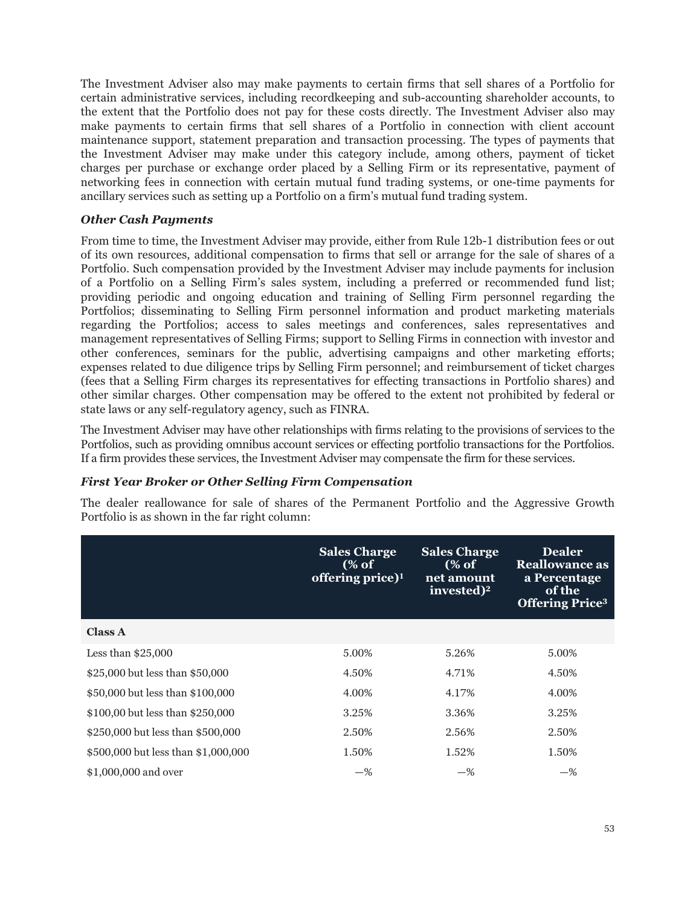The Investment Adviser also may make payments to certain firms that sell shares of a Portfolio for certain administrative services, including recordkeeping and sub-accounting shareholder accounts, to the extent that the Portfolio does not pay for these costs directly. The Investment Adviser also may make payments to certain firms that sell shares of a Portfolio in connection with client account maintenance support, statement preparation and transaction processing. The types of payments that the Investment Adviser may make under this category include, among others, payment of ticket charges per purchase or exchange order placed by a Selling Firm or its representative, payment of networking fees in connection with certain mutual fund trading systems, or one-time payments for ancillary services such as setting up a Portfolio on a firm's mutual fund trading system.

# *Other Cash Payments*

From time to time, the Investment Adviser may provide, either from Rule 12b-1 distribution fees or out of its own resources, additional compensation to firms that sell or arrange for the sale of shares of a Portfolio. Such compensation provided by the Investment Adviser may include payments for inclusion of a Portfolio on a Selling Firm's sales system, including a preferred or recommended fund list; providing periodic and ongoing education and training of Selling Firm personnel regarding the Portfolios; disseminating to Selling Firm personnel information and product marketing materials regarding the Portfolios; access to sales meetings and conferences, sales representatives and management representatives of Selling Firms; support to Selling Firms in connection with investor and other conferences, seminars for the public, advertising campaigns and other marketing efforts; expenses related to due diligence trips by Selling Firm personnel; and reimbursement of ticket charges (fees that a Selling Firm charges its representatives for effecting transactions in Portfolio shares) and other similar charges. Other compensation may be offered to the extent not prohibited by federal or state laws or any self-regulatory agency, such as FINRA.

The Investment Adviser may have other relationships with firms relating to the provisions of services to the Portfolios, such as providing omnibus account services or effecting portfolio transactions for the Portfolios. If a firm provides these services, the Investment Adviser may compensate the firm for these services.

# *First Year Broker or Other Selling Firm Compensation*

The dealer reallowance for sale of shares of the Permanent Portfolio and the Aggressive Growth Portfolio is as shown in the far right column:

|                                     | <b>Sales Charge</b><br>(% of<br>offering price) <sup>1</sup> | <b>Sales Charge</b><br>(% of<br>net amount<br>invested) <sup>2</sup> | <b>Dealer</b><br><b>Reallowance as</b><br>a Percentage<br>of the<br><b>Offering Price</b> <sup>3</sup> |
|-------------------------------------|--------------------------------------------------------------|----------------------------------------------------------------------|--------------------------------------------------------------------------------------------------------|
| <b>Class A</b>                      |                                                              |                                                                      |                                                                                                        |
| Less than $$25,000$                 | 5.00%                                                        | 5.26%                                                                | 5.00%                                                                                                  |
| \$25,000 but less than \$50,000     | 4.50%                                                        | 4.71%                                                                | 4.50%                                                                                                  |
| \$50,000 but less than \$100,000    | 4.00%                                                        | 4.17%                                                                | 4.00%                                                                                                  |
| \$100,00 but less than \$250,000    | 3.25%                                                        | 3.36%                                                                | 3.25%                                                                                                  |
| \$250,000 but less than \$500,000   | 2.50%                                                        | 2.56%                                                                | 2.50%                                                                                                  |
| \$500,000 but less than \$1,000,000 | 1.50%                                                        | 1.52%                                                                | 1.50%                                                                                                  |
| \$1,000,000 and over                | $-$ %                                                        | $-$ %                                                                | $-$ %                                                                                                  |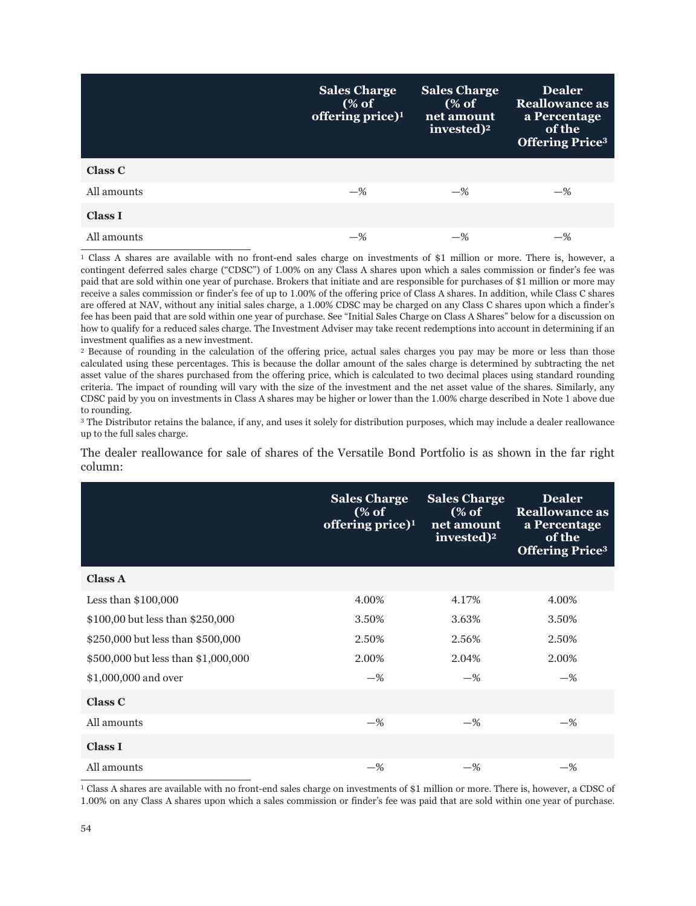|                | <b>Sales Charge</b><br>(% of<br>offering price) $1$ | <b>Sales Charge</b><br>(% of<br>net amount<br>invested) <sup>2</sup> | <b>Dealer</b><br><b>Reallowance as</b><br>a Percentage<br>of the<br><b>Offering Price3</b> |
|----------------|-----------------------------------------------------|----------------------------------------------------------------------|--------------------------------------------------------------------------------------------|
| <b>Class C</b> |                                                     |                                                                      |                                                                                            |
| All amounts    | $-$ %                                               | $-$ %                                                                | $-$ %                                                                                      |
| <b>Class I</b> |                                                     |                                                                      |                                                                                            |
| All amounts    | $-$ %                                               | -%                                                                   | $-$ %                                                                                      |

<sup>1</sup> Class A shares are available with no front-end sales charge on investments of \$1 million or more. There is, however, a contingent deferred sales charge ("CDSC") of 1.00% on any Class A shares upon which a sales commission or finder's fee was paid that are sold within one year of purchase. Brokers that initiate and are responsible for purchases of \$1 million or more may receive a sales commission or finder's fee of up to 1.00% of the offering price of Class A shares. In addition, while Class C shares are offered at NAV, without any initial sales charge, a 1.00% CDSC may be charged on any Class C shares upon which a finder's fee has been paid that are sold within one year of purchase. See "Initial Sales Charge on Class A Shares" below for a discussion on how to qualify for a reduced sales charge. The Investment Adviser may take recent redemptions into account in determining if an investment qualifies as a new investment.

<sup>2</sup> Because of rounding in the calculation of the offering price, actual sales charges you pay may be more or less than those calculated using these percentages. This is because the dollar amount of the sales charge is determined by subtracting the net asset value of the shares purchased from the offering price, which is calculated to two decimal places using standard rounding criteria. The impact of rounding will vary with the size of the investment and the net asset value of the shares. Similarly, any CDSC paid by you on investments in Class A shares may be higher or lower than the 1.00% charge described in Note 1 above due to rounding.

<sup>3</sup> The Distributor retains the balance, if any, and uses it solely for distribution purposes, which may include a dealer reallowance up to the full sales charge.

The dealer reallowance for sale of shares of the Versatile Bond Portfolio is as shown in the far right column:

|                                     | <b>Sales Charge</b><br>(% of<br>offering price) $1$ | <b>Sales Charge</b><br>(% of<br>net amount<br>invested) <sup>2</sup> | <b>Dealer</b><br><b>Reallowance</b> as<br>a Percentage<br>of the<br><b>Offering Price3</b> |
|-------------------------------------|-----------------------------------------------------|----------------------------------------------------------------------|--------------------------------------------------------------------------------------------|
| <b>Class A</b>                      |                                                     |                                                                      |                                                                                            |
| Less than $$100,000$                | 4.00%                                               | 4.17%                                                                | 4.00%                                                                                      |
| \$100,00 but less than \$250,000    | 3.50%                                               | 3.63%                                                                | 3.50%                                                                                      |
| \$250,000 but less than \$500,000   | 2.50%                                               | 2.56%                                                                | 2.50%                                                                                      |
| \$500,000 but less than \$1,000,000 | 2.00%                                               | 2.04%                                                                | 2.00%                                                                                      |
| \$1,000,000 and over                | $-$ %                                               | $-$ %                                                                | $-$ %                                                                                      |
| <b>Class C</b>                      |                                                     |                                                                      |                                                                                            |
| All amounts                         | $-$ %                                               | $-$ %                                                                | $-$ %                                                                                      |
| <b>Class I</b>                      |                                                     |                                                                      |                                                                                            |
| All amounts                         | $-$ %                                               | $-$ %                                                                | $-$ %                                                                                      |

<sup>1</sup> Class A shares are available with no front-end sales charge on investments of \$1 million or more. There is, however, a CDSC of 1.00% on any Class A shares upon which a sales commission or finder's fee was paid that are sold within one year of purchase.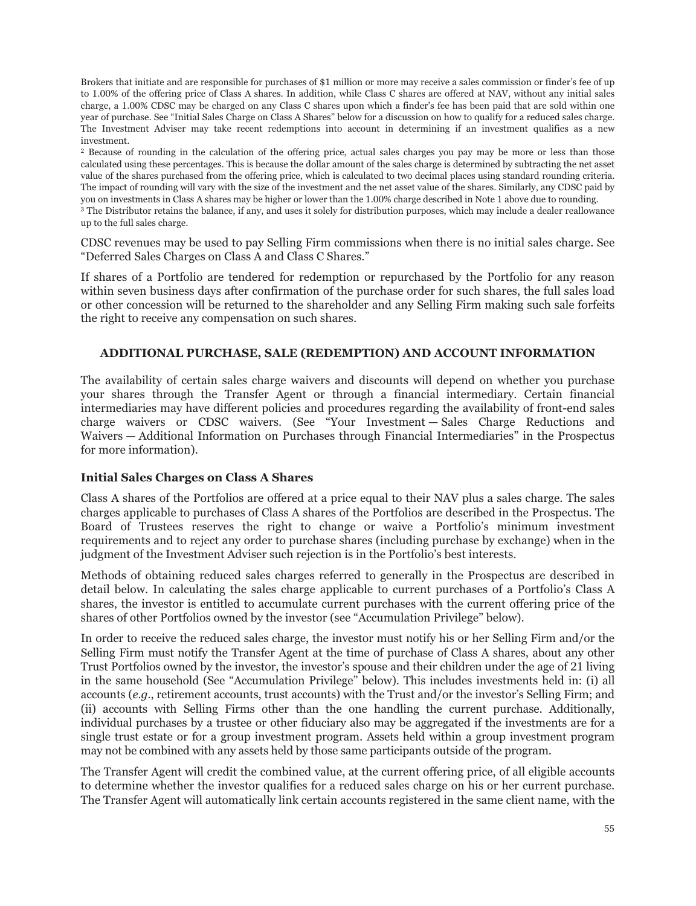Brokers that initiate and are responsible for purchases of \$1 million or more may receive a sales commission or finder's fee of up to 1.00% of the offering price of Class A shares. In addition, while Class C shares are offered at NAV, without any initial sales charge, a 1.00% CDSC may be charged on any Class C shares upon which a finder's fee has been paid that are sold within one year of purchase. See "Initial Sales Charge on Class A Shares" below for a discussion on how to qualify for a reduced sales charge. The Investment Adviser may take recent redemptions into account in determining if an investment qualifies as a new investment.

<sup>2</sup> Because of rounding in the calculation of the offering price, actual sales charges you pay may be more or less than those calculated using these percentages. This is because the dollar amount of the sales charge is determined by subtracting the net asset value of the shares purchased from the offering price, which is calculated to two decimal places using standard rounding criteria. The impact of rounding will vary with the size of the investment and the net asset value of the shares. Similarly, any CDSC paid by you on investments in Class A shares may be higher or lower than the 1.00% charge described in Note 1 above due to rounding. <sup>3</sup> The Distributor retains the balance, if any, and uses it solely for distribution purposes, which may include a dealer reallowance up to the full sales charge.

CDSC revenues may be used to pay Selling Firm commissions when there is no initial sales charge. See "Deferred Sales Charges on Class A and Class C Shares."

If shares of a Portfolio are tendered for redemption or repurchased by the Portfolio for any reason within seven business days after confirmation of the purchase order for such shares, the full sales load or other concession will be returned to the shareholder and any Selling Firm making such sale forfeits the right to receive any compensation on such shares.

### **ADDITIONAL PURCHASE, SALE (REDEMPTION) AND ACCOUNT INFORMATION**

The availability of certain sales charge waivers and discounts will depend on whether you purchase your shares through the Transfer Agent or through a financial intermediary. Certain financial intermediaries may have different policies and procedures regarding the availability of front-end sales charge waivers or CDSC waivers. (See "Your Investment — Sales Charge Reductions and Waivers — Additional Information on Purchases through Financial Intermediaries" in the Prospectus for more information).

### **Initial Sales Charges on Class A Shares**

Class A shares of the Portfolios are offered at a price equal to their NAV plus a sales charge. The sales charges applicable to purchases of Class A shares of the Portfolios are described in the Prospectus. The Board of Trustees reserves the right to change or waive a Portfolio's minimum investment requirements and to reject any order to purchase shares (including purchase by exchange) when in the judgment of the Investment Adviser such rejection is in the Portfolio's best interests.

Methods of obtaining reduced sales charges referred to generally in the Prospectus are described in detail below. In calculating the sales charge applicable to current purchases of a Portfolio's Class A shares, the investor is entitled to accumulate current purchases with the current offering price of the shares of other Portfolios owned by the investor (see "Accumulation Privilege" below).

In order to receive the reduced sales charge, the investor must notify his or her Selling Firm and/or the Selling Firm must notify the Transfer Agent at the time of purchase of Class A shares, about any other Trust Portfolios owned by the investor, the investor's spouse and their children under the age of 21 living in the same household (See "Accumulation Privilege" below). This includes investments held in: (i) all accounts (*e.g.*, retirement accounts, trust accounts) with the Trust and/or the investor's Selling Firm; and (ii) accounts with Selling Firms other than the one handling the current purchase. Additionally, individual purchases by a trustee or other fiduciary also may be aggregated if the investments are for a single trust estate or for a group investment program. Assets held within a group investment program may not be combined with any assets held by those same participants outside of the program.

The Transfer Agent will credit the combined value, at the current offering price, of all eligible accounts to determine whether the investor qualifies for a reduced sales charge on his or her current purchase. The Transfer Agent will automatically link certain accounts registered in the same client name, with the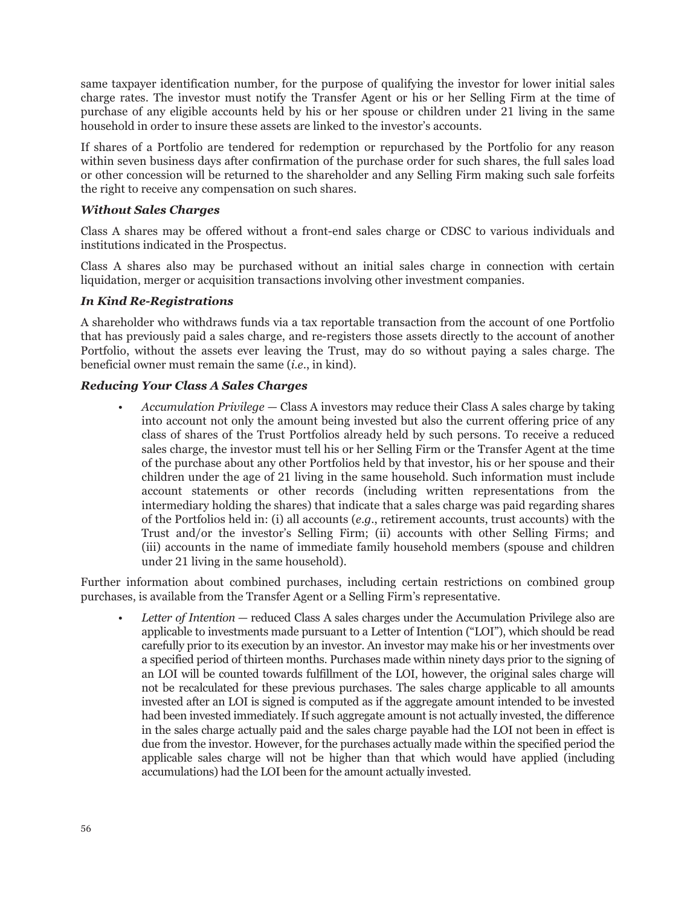same taxpayer identification number, for the purpose of qualifying the investor for lower initial sales charge rates. The investor must notify the Transfer Agent or his or her Selling Firm at the time of purchase of any eligible accounts held by his or her spouse or children under 21 living in the same household in order to insure these assets are linked to the investor's accounts.

If shares of a Portfolio are tendered for redemption or repurchased by the Portfolio for any reason within seven business days after confirmation of the purchase order for such shares, the full sales load or other concession will be returned to the shareholder and any Selling Firm making such sale forfeits the right to receive any compensation on such shares.

# *Without Sales Charges*

Class A shares may be offered without a front-end sales charge or CDSC to various individuals and institutions indicated in the Prospectus.

Class A shares also may be purchased without an initial sales charge in connection with certain liquidation, merger or acquisition transactions involving other investment companies.

# *In Kind Re-Registrations*

A shareholder who withdraws funds via a tax reportable transaction from the account of one Portfolio that has previously paid a sales charge, and re-registers those assets directly to the account of another Portfolio, without the assets ever leaving the Trust, may do so without paying a sales charge. The beneficial owner must remain the same (*i*.*e*., in kind).

### *Reducing Your Class A Sales Charges*

• *Accumulation Privilege* — Class A investors may reduce their Class A sales charge by taking into account not only the amount being invested but also the current offering price of any class of shares of the Trust Portfolios already held by such persons. To receive a reduced sales charge, the investor must tell his or her Selling Firm or the Transfer Agent at the time of the purchase about any other Portfolios held by that investor, his or her spouse and their children under the age of 21 living in the same household. Such information must include account statements or other records (including written representations from the intermediary holding the shares) that indicate that a sales charge was paid regarding shares of the Portfolios held in: (i) all accounts (*e*.*g*., retirement accounts, trust accounts) with the Trust and/or the investor's Selling Firm; (ii) accounts with other Selling Firms; and (iii) accounts in the name of immediate family household members (spouse and children under 21 living in the same household).

Further information about combined purchases, including certain restrictions on combined group purchases, is available from the Transfer Agent or a Selling Firm's representative.

• *Letter of Intention* — reduced Class A sales charges under the Accumulation Privilege also are applicable to investments made pursuant to a Letter of Intention ("LOI"), which should be read carefully prior to its execution by an investor. An investor may make his or her investments over a specified period of thirteen months. Purchases made within ninety days prior to the signing of an LOI will be counted towards fulfillment of the LOI, however, the original sales charge will not be recalculated for these previous purchases. The sales charge applicable to all amounts invested after an LOI is signed is computed as if the aggregate amount intended to be invested had been invested immediately. If such aggregate amount is not actually invested, the difference in the sales charge actually paid and the sales charge payable had the LOI not been in effect is due from the investor. However, for the purchases actually made within the specified period the applicable sales charge will not be higher than that which would have applied (including accumulations) had the LOI been for the amount actually invested.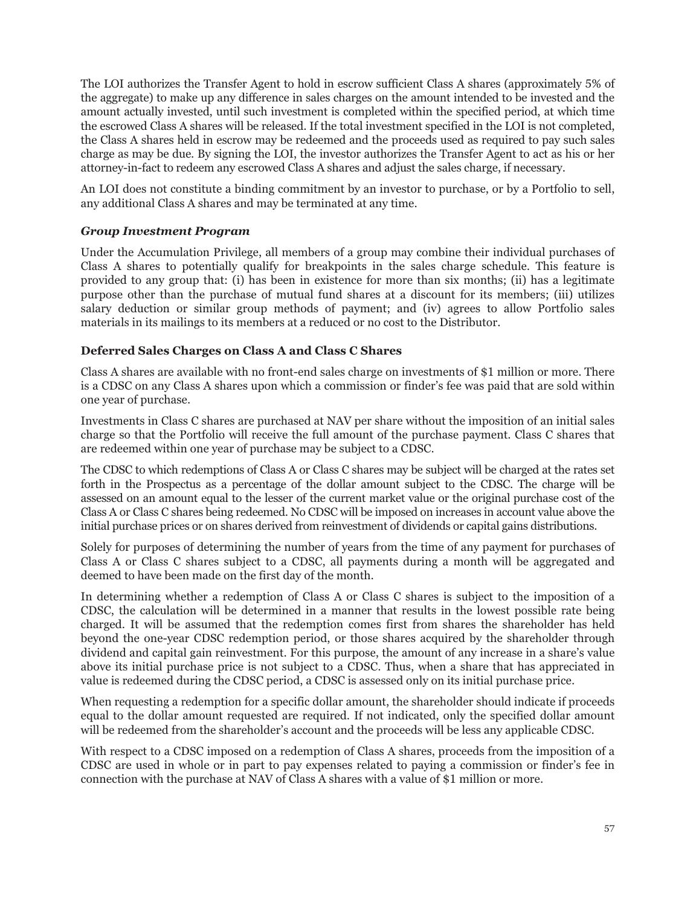The LOI authorizes the Transfer Agent to hold in escrow sufficient Class A shares (approximately 5% of the aggregate) to make up any difference in sales charges on the amount intended to be invested and the amount actually invested, until such investment is completed within the specified period, at which time the escrowed Class A shares will be released. If the total investment specified in the LOI is not completed, the Class A shares held in escrow may be redeemed and the proceeds used as required to pay such sales charge as may be due. By signing the LOI, the investor authorizes the Transfer Agent to act as his or her attorney-in-fact to redeem any escrowed Class A shares and adjust the sales charge, if necessary.

An LOI does not constitute a binding commitment by an investor to purchase, or by a Portfolio to sell, any additional Class A shares and may be terminated at any time.

# *Group Investment Program*

Under the Accumulation Privilege, all members of a group may combine their individual purchases of Class A shares to potentially qualify for breakpoints in the sales charge schedule. This feature is provided to any group that: (i) has been in existence for more than six months; (ii) has a legitimate purpose other than the purchase of mutual fund shares at a discount for its members; (iii) utilizes salary deduction or similar group methods of payment; and (iv) agrees to allow Portfolio sales materials in its mailings to its members at a reduced or no cost to the Distributor.

# **Deferred Sales Charges on Class A and Class C Shares**

Class A shares are available with no front-end sales charge on investments of \$1 million or more. There is a CDSC on any Class A shares upon which a commission or finder's fee was paid that are sold within one year of purchase.

Investments in Class C shares are purchased at NAV per share without the imposition of an initial sales charge so that the Portfolio will receive the full amount of the purchase payment. Class C shares that are redeemed within one year of purchase may be subject to a CDSC.

The CDSC to which redemptions of Class A or Class C shares may be subject will be charged at the rates set forth in the Prospectus as a percentage of the dollar amount subject to the CDSC. The charge will be assessed on an amount equal to the lesser of the current market value or the original purchase cost of the Class A or Class C shares being redeemed. No CDSC will be imposed on increases in account value above the initial purchase prices or on shares derived from reinvestment of dividends or capital gains distributions.

Solely for purposes of determining the number of years from the time of any payment for purchases of Class A or Class C shares subject to a CDSC, all payments during a month will be aggregated and deemed to have been made on the first day of the month.

In determining whether a redemption of Class A or Class C shares is subject to the imposition of a CDSC, the calculation will be determined in a manner that results in the lowest possible rate being charged. It will be assumed that the redemption comes first from shares the shareholder has held beyond the one-year CDSC redemption period, or those shares acquired by the shareholder through dividend and capital gain reinvestment. For this purpose, the amount of any increase in a share's value above its initial purchase price is not subject to a CDSC. Thus, when a share that has appreciated in value is redeemed during the CDSC period, a CDSC is assessed only on its initial purchase price.

When requesting a redemption for a specific dollar amount, the shareholder should indicate if proceeds equal to the dollar amount requested are required. If not indicated, only the specified dollar amount will be redeemed from the shareholder's account and the proceeds will be less any applicable CDSC.

With respect to a CDSC imposed on a redemption of Class A shares, proceeds from the imposition of a CDSC are used in whole or in part to pay expenses related to paying a commission or finder's fee in connection with the purchase at NAV of Class A shares with a value of \$1 million or more.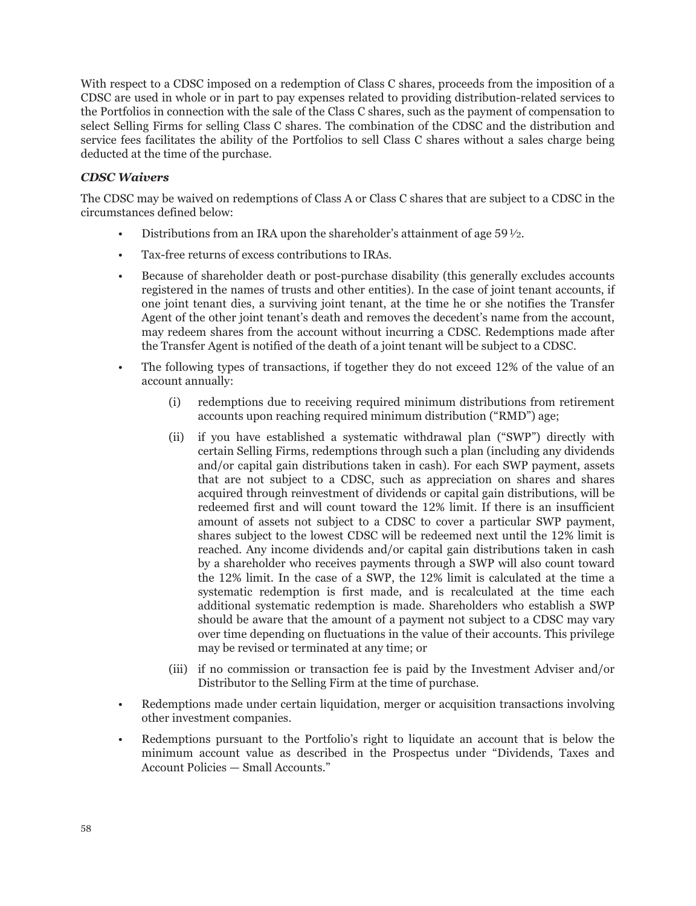With respect to a CDSC imposed on a redemption of Class C shares, proceeds from the imposition of a CDSC are used in whole or in part to pay expenses related to providing distribution-related services to the Portfolios in connection with the sale of the Class C shares, such as the payment of compensation to select Selling Firms for selling Class C shares. The combination of the CDSC and the distribution and service fees facilitates the ability of the Portfolios to sell Class C shares without a sales charge being deducted at the time of the purchase.

# *CDSC Waivers*

The CDSC may be waived on redemptions of Class A or Class C shares that are subject to a CDSC in the circumstances defined below:

- Distributions from an IRA upon the shareholder's attainment of age  $59\frac{1}{2}$ .
- Tax-free returns of excess contributions to IRAs.
- Because of shareholder death or post-purchase disability (this generally excludes accounts registered in the names of trusts and other entities). In the case of joint tenant accounts, if one joint tenant dies, a surviving joint tenant, at the time he or she notifies the Transfer Agent of the other joint tenant's death and removes the decedent's name from the account, may redeem shares from the account without incurring a CDSC. Redemptions made after the Transfer Agent is notified of the death of a joint tenant will be subject to a CDSC.
- The following types of transactions, if together they do not exceed 12% of the value of an account annually:
	- (i) redemptions due to receiving required minimum distributions from retirement accounts upon reaching required minimum distribution ("RMD") age;
	- (ii) if you have established a systematic withdrawal plan ("SWP") directly with certain Selling Firms, redemptions through such a plan (including any dividends and/or capital gain distributions taken in cash). For each SWP payment, assets that are not subject to a CDSC, such as appreciation on shares and shares acquired through reinvestment of dividends or capital gain distributions, will be redeemed first and will count toward the 12% limit. If there is an insufficient amount of assets not subject to a CDSC to cover a particular SWP payment, shares subject to the lowest CDSC will be redeemed next until the 12% limit is reached. Any income dividends and/or capital gain distributions taken in cash by a shareholder who receives payments through a SWP will also count toward the 12% limit. In the case of a SWP, the 12% limit is calculated at the time a systematic redemption is first made, and is recalculated at the time each additional systematic redemption is made. Shareholders who establish a SWP should be aware that the amount of a payment not subject to a CDSC may vary over time depending on fluctuations in the value of their accounts. This privilege may be revised or terminated at any time; or
	- (iii) if no commission or transaction fee is paid by the Investment Adviser and/or Distributor to the Selling Firm at the time of purchase.
- Redemptions made under certain liquidation, merger or acquisition transactions involving other investment companies.
- Redemptions pursuant to the Portfolio's right to liquidate an account that is below the minimum account value as described in the Prospectus under "Dividends, Taxes and Account Policies — Small Accounts."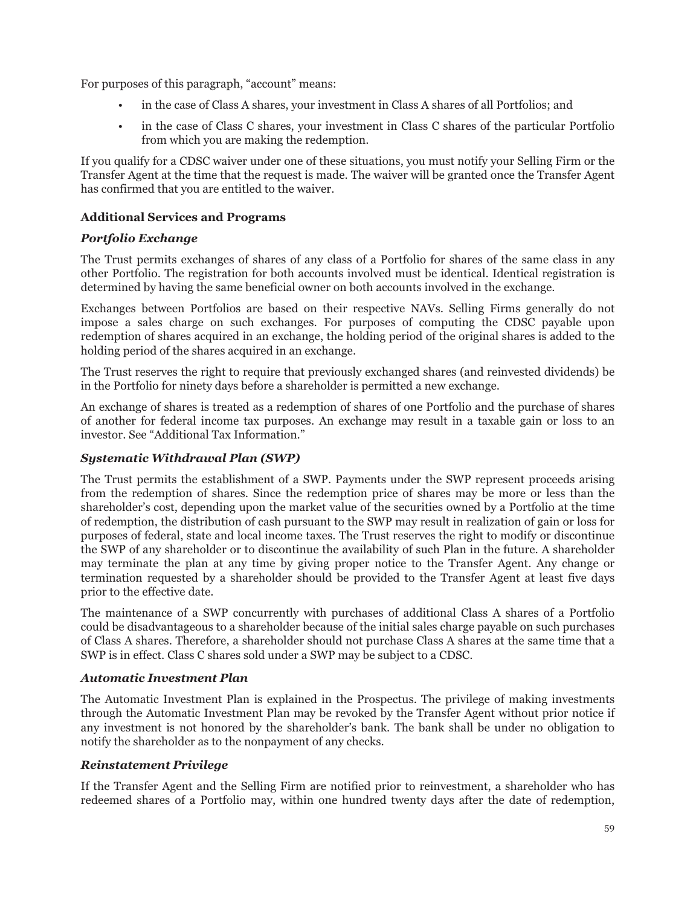For purposes of this paragraph, "account" means:

- in the case of Class A shares, your investment in Class A shares of all Portfolios; and
- in the case of Class C shares, your investment in Class C shares of the particular Portfolio from which you are making the redemption.

If you qualify for a CDSC waiver under one of these situations, you must notify your Selling Firm or the Transfer Agent at the time that the request is made. The waiver will be granted once the Transfer Agent has confirmed that you are entitled to the waiver.

# **Additional Services and Programs**

# *Portfolio Exchange*

The Trust permits exchanges of shares of any class of a Portfolio for shares of the same class in any other Portfolio. The registration for both accounts involved must be identical. Identical registration is determined by having the same beneficial owner on both accounts involved in the exchange.

Exchanges between Portfolios are based on their respective NAVs. Selling Firms generally do not impose a sales charge on such exchanges. For purposes of computing the CDSC payable upon redemption of shares acquired in an exchange, the holding period of the original shares is added to the holding period of the shares acquired in an exchange.

The Trust reserves the right to require that previously exchanged shares (and reinvested dividends) be in the Portfolio for ninety days before a shareholder is permitted a new exchange.

An exchange of shares is treated as a redemption of shares of one Portfolio and the purchase of shares of another for federal income tax purposes. An exchange may result in a taxable gain or loss to an investor. See "Additional Tax Information."

# *Systematic Withdrawal Plan (SWP)*

The Trust permits the establishment of a SWP. Payments under the SWP represent proceeds arising from the redemption of shares. Since the redemption price of shares may be more or less than the shareholder's cost, depending upon the market value of the securities owned by a Portfolio at the time of redemption, the distribution of cash pursuant to the SWP may result in realization of gain or loss for purposes of federal, state and local income taxes. The Trust reserves the right to modify or discontinue the SWP of any shareholder or to discontinue the availability of such Plan in the future. A shareholder may terminate the plan at any time by giving proper notice to the Transfer Agent. Any change or termination requested by a shareholder should be provided to the Transfer Agent at least five days prior to the effective date.

The maintenance of a SWP concurrently with purchases of additional Class A shares of a Portfolio could be disadvantageous to a shareholder because of the initial sales charge payable on such purchases of Class A shares. Therefore, a shareholder should not purchase Class A shares at the same time that a SWP is in effect. Class C shares sold under a SWP may be subject to a CDSC.

### *Automatic Investment Plan*

The Automatic Investment Plan is explained in the Prospectus. The privilege of making investments through the Automatic Investment Plan may be revoked by the Transfer Agent without prior notice if any investment is not honored by the shareholder's bank. The bank shall be under no obligation to notify the shareholder as to the nonpayment of any checks.

# *Reinstatement Privilege*

If the Transfer Agent and the Selling Firm are notified prior to reinvestment, a shareholder who has redeemed shares of a Portfolio may, within one hundred twenty days after the date of redemption,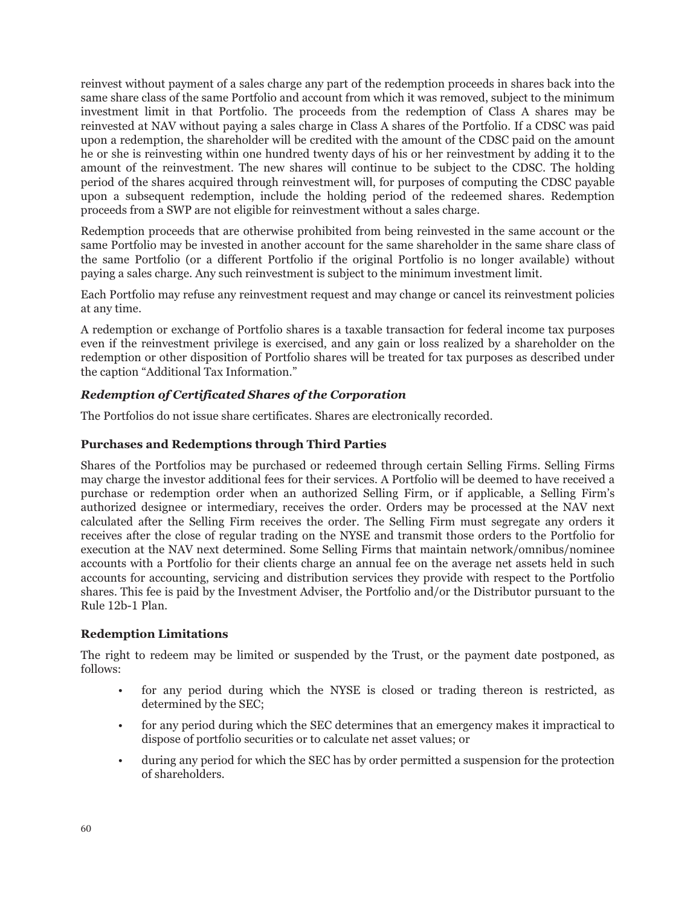reinvest without payment of a sales charge any part of the redemption proceeds in shares back into the same share class of the same Portfolio and account from which it was removed, subject to the minimum investment limit in that Portfolio. The proceeds from the redemption of Class A shares may be reinvested at NAV without paying a sales charge in Class A shares of the Portfolio. If a CDSC was paid upon a redemption, the shareholder will be credited with the amount of the CDSC paid on the amount he or she is reinvesting within one hundred twenty days of his or her reinvestment by adding it to the amount of the reinvestment. The new shares will continue to be subject to the CDSC. The holding period of the shares acquired through reinvestment will, for purposes of computing the CDSC payable upon a subsequent redemption, include the holding period of the redeemed shares. Redemption proceeds from a SWP are not eligible for reinvestment without a sales charge.

Redemption proceeds that are otherwise prohibited from being reinvested in the same account or the same Portfolio may be invested in another account for the same shareholder in the same share class of the same Portfolio (or a different Portfolio if the original Portfolio is no longer available) without paying a sales charge. Any such reinvestment is subject to the minimum investment limit.

Each Portfolio may refuse any reinvestment request and may change or cancel its reinvestment policies at any time.

A redemption or exchange of Portfolio shares is a taxable transaction for federal income tax purposes even if the reinvestment privilege is exercised, and any gain or loss realized by a shareholder on the redemption or other disposition of Portfolio shares will be treated for tax purposes as described under the caption "Additional Tax Information."

# *Redemption of Certificated Shares of the Corporation*

The Portfolios do not issue share certificates. Shares are electronically recorded.

# **Purchases and Redemptions through Third Parties**

Shares of the Portfolios may be purchased or redeemed through certain Selling Firms. Selling Firms may charge the investor additional fees for their services. A Portfolio will be deemed to have received a purchase or redemption order when an authorized Selling Firm, or if applicable, a Selling Firm's authorized designee or intermediary, receives the order. Orders may be processed at the NAV next calculated after the Selling Firm receives the order. The Selling Firm must segregate any orders it receives after the close of regular trading on the NYSE and transmit those orders to the Portfolio for execution at the NAV next determined. Some Selling Firms that maintain network/omnibus/nominee accounts with a Portfolio for their clients charge an annual fee on the average net assets held in such accounts for accounting, servicing and distribution services they provide with respect to the Portfolio shares. This fee is paid by the Investment Adviser, the Portfolio and/or the Distributor pursuant to the Rule 12b-1 Plan.

### **Redemption Limitations**

The right to redeem may be limited or suspended by the Trust, or the payment date postponed, as follows:

- for any period during which the NYSE is closed or trading thereon is restricted, as determined by the SEC;
- for any period during which the SEC determines that an emergency makes it impractical to dispose of portfolio securities or to calculate net asset values; or
- during any period for which the SEC has by order permitted a suspension for the protection of shareholders.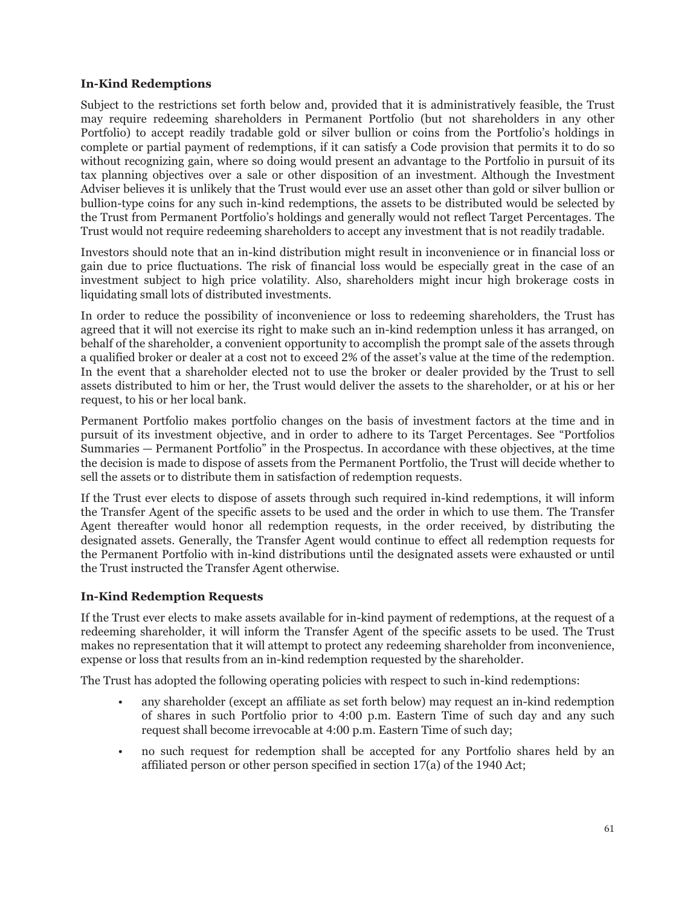# **In-Kind Redemptions**

Subject to the restrictions set forth below and, provided that it is administratively feasible, the Trust may require redeeming shareholders in Permanent Portfolio (but not shareholders in any other Portfolio) to accept readily tradable gold or silver bullion or coins from the Portfolio's holdings in complete or partial payment of redemptions, if it can satisfy a Code provision that permits it to do so without recognizing gain, where so doing would present an advantage to the Portfolio in pursuit of its tax planning objectives over a sale or other disposition of an investment. Although the Investment Adviser believes it is unlikely that the Trust would ever use an asset other than gold or silver bullion or bullion-type coins for any such in-kind redemptions, the assets to be distributed would be selected by the Trust from Permanent Portfolio's holdings and generally would not reflect Target Percentages. The Trust would not require redeeming shareholders to accept any investment that is not readily tradable.

Investors should note that an in-kind distribution might result in inconvenience or in financial loss or gain due to price fluctuations. The risk of financial loss would be especially great in the case of an investment subject to high price volatility. Also, shareholders might incur high brokerage costs in liquidating small lots of distributed investments.

In order to reduce the possibility of inconvenience or loss to redeeming shareholders, the Trust has agreed that it will not exercise its right to make such an in-kind redemption unless it has arranged, on behalf of the shareholder, a convenient opportunity to accomplish the prompt sale of the assets through a qualified broker or dealer at a cost not to exceed 2% of the asset's value at the time of the redemption. In the event that a shareholder elected not to use the broker or dealer provided by the Trust to sell assets distributed to him or her, the Trust would deliver the assets to the shareholder, or at his or her request, to his or her local bank.

Permanent Portfolio makes portfolio changes on the basis of investment factors at the time and in pursuit of its investment objective, and in order to adhere to its Target Percentages. See "Portfolios Summaries — Permanent Portfolio" in the Prospectus. In accordance with these objectives, at the time the decision is made to dispose of assets from the Permanent Portfolio, the Trust will decide whether to sell the assets or to distribute them in satisfaction of redemption requests.

If the Trust ever elects to dispose of assets through such required in-kind redemptions, it will inform the Transfer Agent of the specific assets to be used and the order in which to use them. The Transfer Agent thereafter would honor all redemption requests, in the order received, by distributing the designated assets. Generally, the Transfer Agent would continue to effect all redemption requests for the Permanent Portfolio with in-kind distributions until the designated assets were exhausted or until the Trust instructed the Transfer Agent otherwise.

# **In-Kind Redemption Requests**

If the Trust ever elects to make assets available for in-kind payment of redemptions, at the request of a redeeming shareholder, it will inform the Transfer Agent of the specific assets to be used. The Trust makes no representation that it will attempt to protect any redeeming shareholder from inconvenience, expense or loss that results from an in-kind redemption requested by the shareholder.

The Trust has adopted the following operating policies with respect to such in-kind redemptions:

- any shareholder (except an affiliate as set forth below) may request an in-kind redemption of shares in such Portfolio prior to 4:00 p.m. Eastern Time of such day and any such request shall become irrevocable at 4:00 p.m. Eastern Time of such day;
- no such request for redemption shall be accepted for any Portfolio shares held by an affiliated person or other person specified in section 17(a) of the 1940 Act;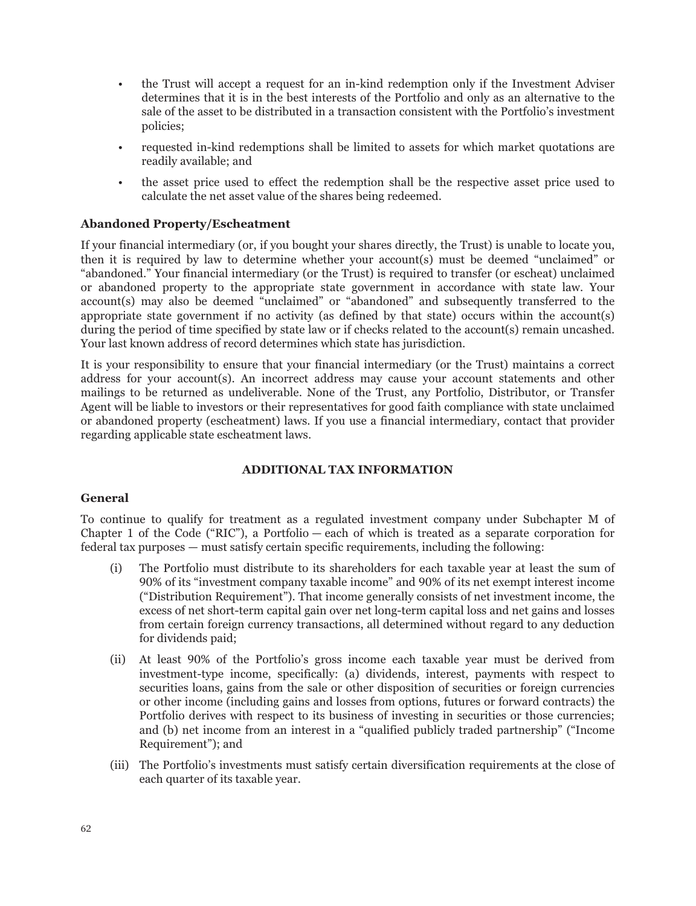- the Trust will accept a request for an in-kind redemption only if the Investment Adviser determines that it is in the best interests of the Portfolio and only as an alternative to the sale of the asset to be distributed in a transaction consistent with the Portfolio's investment policies;
- requested in-kind redemptions shall be limited to assets for which market quotations are readily available; and
- the asset price used to effect the redemption shall be the respective asset price used to calculate the net asset value of the shares being redeemed.

## **Abandoned Property/Escheatment**

If your financial intermediary (or, if you bought your shares directly, the Trust) is unable to locate you, then it is required by law to determine whether your account(s) must be deemed "unclaimed" or "abandoned." Your financial intermediary (or the Trust) is required to transfer (or escheat) unclaimed or abandoned property to the appropriate state government in accordance with state law. Your account(s) may also be deemed "unclaimed" or "abandoned" and subsequently transferred to the appropriate state government if no activity (as defined by that state) occurs within the account(s) during the period of time specified by state law or if checks related to the account(s) remain uncashed. Your last known address of record determines which state has jurisdiction.

It is your responsibility to ensure that your financial intermediary (or the Trust) maintains a correct address for your account(s). An incorrect address may cause your account statements and other mailings to be returned as undeliverable. None of the Trust, any Portfolio, Distributor, or Transfer Agent will be liable to investors or their representatives for good faith compliance with state unclaimed or abandoned property (escheatment) laws. If you use a financial intermediary, contact that provider regarding applicable state escheatment laws.

# **ADDITIONAL TAX INFORMATION**

### **General**

To continue to qualify for treatment as a regulated investment company under Subchapter M of Chapter 1 of the Code ("RIC"), a Portfolio — each of which is treated as a separate corporation for federal tax purposes — must satisfy certain specific requirements, including the following:

- (i) The Portfolio must distribute to its shareholders for each taxable year at least the sum of 90% of its "investment company taxable income" and 90% of its net exempt interest income ("Distribution Requirement"). That income generally consists of net investment income, the excess of net short-term capital gain over net long-term capital loss and net gains and losses from certain foreign currency transactions, all determined without regard to any deduction for dividends paid;
- (ii) At least 90% of the Portfolio's gross income each taxable year must be derived from investment-type income, specifically: (a) dividends, interest, payments with respect to securities loans, gains from the sale or other disposition of securities or foreign currencies or other income (including gains and losses from options, futures or forward contracts) the Portfolio derives with respect to its business of investing in securities or those currencies; and (b) net income from an interest in a "qualified publicly traded partnership" ("Income Requirement"); and
- (iii) The Portfolio's investments must satisfy certain diversification requirements at the close of each quarter of its taxable year.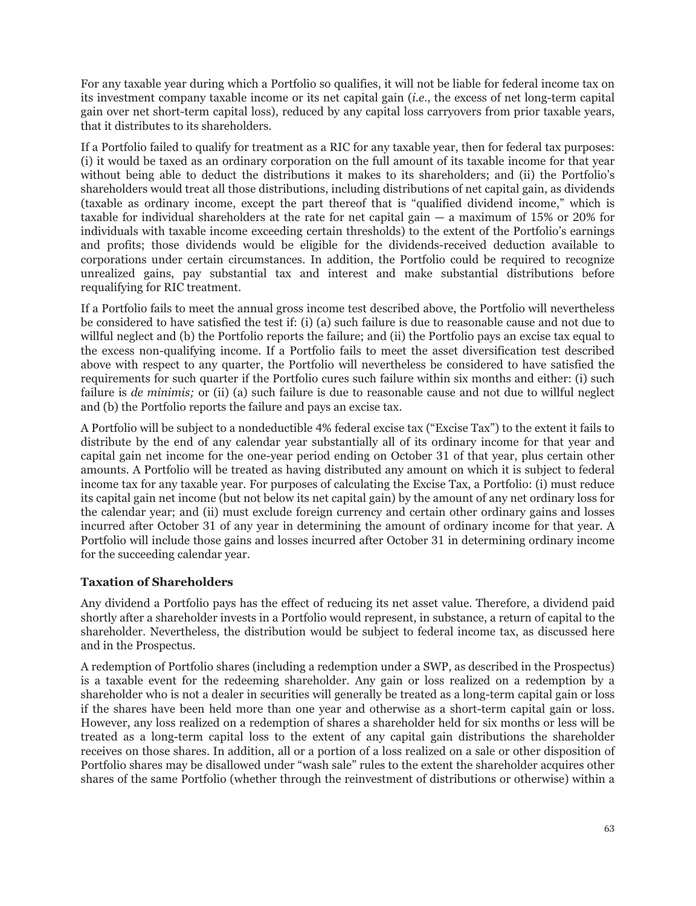For any taxable year during which a Portfolio so qualifies, it will not be liable for federal income tax on its investment company taxable income or its net capital gain (*i.e.*, the excess of net long-term capital gain over net short-term capital loss), reduced by any capital loss carryovers from prior taxable years, that it distributes to its shareholders.

If a Portfolio failed to qualify for treatment as a RIC for any taxable year, then for federal tax purposes: (i) it would be taxed as an ordinary corporation on the full amount of its taxable income for that year without being able to deduct the distributions it makes to its shareholders; and (ii) the Portfolio's shareholders would treat all those distributions, including distributions of net capital gain, as dividends (taxable as ordinary income, except the part thereof that is "qualified dividend income," which is taxable for individual shareholders at the rate for net capital gain — a maximum of 15% or 20% for individuals with taxable income exceeding certain thresholds) to the extent of the Portfolio's earnings and profits; those dividends would be eligible for the dividends-received deduction available to corporations under certain circumstances. In addition, the Portfolio could be required to recognize unrealized gains, pay substantial tax and interest and make substantial distributions before requalifying for RIC treatment.

If a Portfolio fails to meet the annual gross income test described above, the Portfolio will nevertheless be considered to have satisfied the test if: (i) (a) such failure is due to reasonable cause and not due to willful neglect and (b) the Portfolio reports the failure; and (ii) the Portfolio pays an excise tax equal to the excess non-qualifying income. If a Portfolio fails to meet the asset diversification test described above with respect to any quarter, the Portfolio will nevertheless be considered to have satisfied the requirements for such quarter if the Portfolio cures such failure within six months and either: (i) such failure is *de minimis*; or (ii) (a) such failure is due to reasonable cause and not due to willful neglect and (b) the Portfolio reports the failure and pays an excise tax.

A Portfolio will be subject to a nondeductible 4% federal excise tax ("Excise Tax") to the extent it fails to distribute by the end of any calendar year substantially all of its ordinary income for that year and capital gain net income for the one-year period ending on October 31 of that year, plus certain other amounts. A Portfolio will be treated as having distributed any amount on which it is subject to federal income tax for any taxable year. For purposes of calculating the Excise Tax, a Portfolio: (i) must reduce its capital gain net income (but not below its net capital gain) by the amount of any net ordinary loss for the calendar year; and (ii) must exclude foreign currency and certain other ordinary gains and losses incurred after October 31 of any year in determining the amount of ordinary income for that year. A Portfolio will include those gains and losses incurred after October 31 in determining ordinary income for the succeeding calendar year.

# **Taxation of Shareholders**

Any dividend a Portfolio pays has the effect of reducing its net asset value. Therefore, a dividend paid shortly after a shareholder invests in a Portfolio would represent, in substance, a return of capital to the shareholder. Nevertheless, the distribution would be subject to federal income tax, as discussed here and in the Prospectus.

A redemption of Portfolio shares (including a redemption under a SWP, as described in the Prospectus) is a taxable event for the redeeming shareholder. Any gain or loss realized on a redemption by a shareholder who is not a dealer in securities will generally be treated as a long-term capital gain or loss if the shares have been held more than one year and otherwise as a short-term capital gain or loss. However, any loss realized on a redemption of shares a shareholder held for six months or less will be treated as a long-term capital loss to the extent of any capital gain distributions the shareholder receives on those shares. In addition, all or a portion of a loss realized on a sale or other disposition of Portfolio shares may be disallowed under "wash sale" rules to the extent the shareholder acquires other shares of the same Portfolio (whether through the reinvestment of distributions or otherwise) within a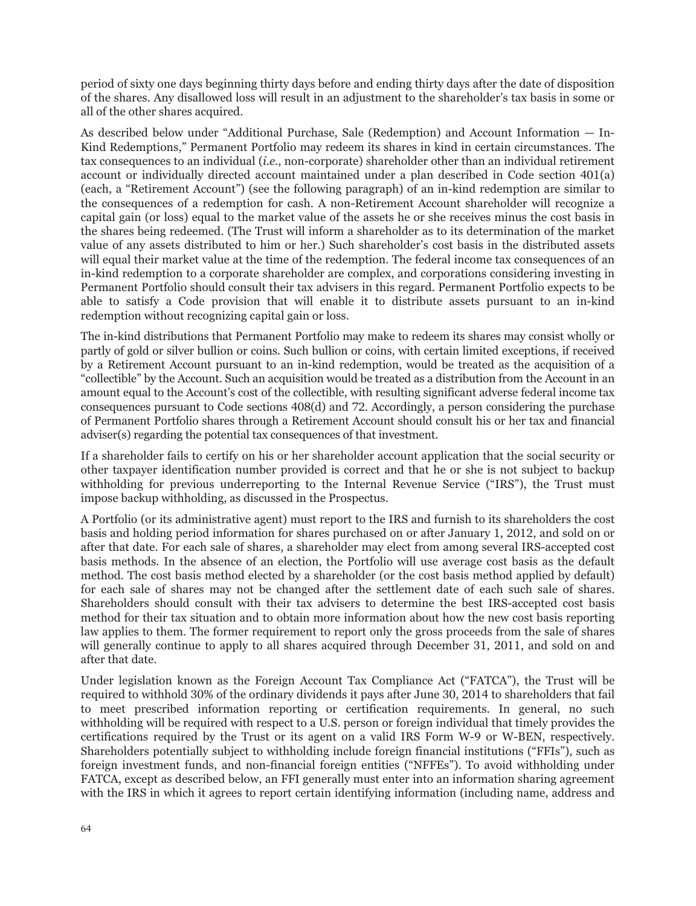period of sixty one days beginning thirty days before and ending thirty days after the date of disposition of the shares. Any disallowed loss will result in an adjustment to the shareholder's tax basis in some or all of the other shares acquired.

As described below under "Additional Purchase, Sale (Redemption) and Account Information — In-Kind Redemptions," Permanent Portfolio may redeem its shares in kind in certain circumstances. The tax consequences to an individual (*i.e.*, non-corporate) shareholder other than an individual retirement account or individually directed account maintained under a plan described in Code section 401(a) (each, a "Retirement Account") (see the following paragraph) of an in-kind redemption are similar to the consequences of a redemption for cash. A non-Retirement Account shareholder will recognize a capital gain (or loss) equal to the market value of the assets he or she receives minus the cost basis in the shares being redeemed. (The Trust will inform a shareholder as to its determination of the market value of any assets distributed to him or her.) Such shareholder's cost basis in the distributed assets will equal their market value at the time of the redemption. The federal income tax consequences of an in-kind redemption to a corporate shareholder are complex, and corporations considering investing in Permanent Portfolio should consult their tax advisers in this regard. Permanent Portfolio expects to be able to satisfy a Code provision that will enable it to distribute assets pursuant to an in-kind redemption without recognizing capital gain or loss.

The in-kind distributions that Permanent Portfolio may make to redeem its shares may consist wholly or partly of gold or silver bullion or coins. Such bullion or coins, with certain limited exceptions, if received by a Retirement Account pursuant to an in-kind redemption, would be treated as the acquisition of a "collectible" by the Account. Such an acquisition would be treated as a distribution from the Account in an amount equal to the Account's cost of the collectible, with resulting significant adverse federal income tax consequences pursuant to Code sections 408(d) and 72. Accordingly, a person considering the purchase of Permanent Portfolio shares through a Retirement Account should consult his or her tax and financial adviser(s) regarding the potential tax consequences of that investment.

If a shareholder fails to certify on his or her shareholder account application that the social security or other taxpayer identification number provided is correct and that he or she is not subject to backup withholding for previous underreporting to the Internal Revenue Service ("IRS"), the Trust must impose backup withholding, as discussed in the Prospectus.

A Portfolio (or its administrative agent) must report to the IRS and furnish to its shareholders the cost basis and holding period information for shares purchased on or after January 1, 2012, and sold on or after that date. For each sale of shares, a shareholder may elect from among several IRS-accepted cost basis methods. In the absence of an election, the Portfolio will use average cost basis as the default method. The cost basis method elected by a shareholder (or the cost basis method applied by default) for each sale of shares may not be changed after the settlement date of each such sale of shares. Shareholders should consult with their tax advisers to determine the best IRS-accepted cost basis method for their tax situation and to obtain more information about how the new cost basis reporting law applies to them. The former requirement to report only the gross proceeds from the sale of shares will generally continue to apply to all shares acquired through December 31, 2011, and sold on and after that date.

Under legislation known as the Foreign Account Tax Compliance Act ("FATCA"), the Trust will be required to withhold 30% of the ordinary dividends it pays after June 30, 2014 to shareholders that fail to meet prescribed information reporting or certification requirements. In general, no such withholding will be required with respect to a U.S. person or foreign individual that timely provides the certifications required by the Trust or its agent on a valid IRS Form W-9 or W-BEN, respectively. Shareholders potentially subject to withholding include foreign financial institutions ("FFIs"), such as foreign investment funds, and non-financial foreign entities ("NFFEs"). To avoid withholding under FATCA, except as described below, an FFI generally must enter into an information sharing agreement with the IRS in which it agrees to report certain identifying information (including name, address and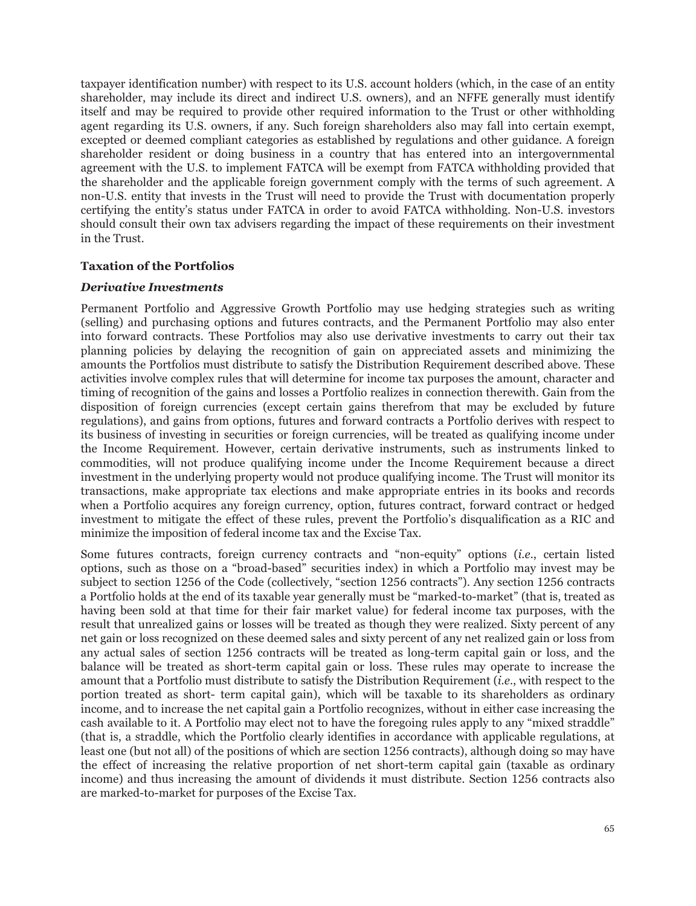taxpayer identification number) with respect to its U.S. account holders (which, in the case of an entity shareholder, may include its direct and indirect U.S. owners), and an NFFE generally must identify itself and may be required to provide other required information to the Trust or other withholding agent regarding its U.S. owners, if any. Such foreign shareholders also may fall into certain exempt, excepted or deemed compliant categories as established by regulations and other guidance. A foreign shareholder resident or doing business in a country that has entered into an intergovernmental agreement with the U.S. to implement FATCA will be exempt from FATCA withholding provided that the shareholder and the applicable foreign government comply with the terms of such agreement. A non-U.S. entity that invests in the Trust will need to provide the Trust with documentation properly certifying the entity's status under FATCA in order to avoid FATCA withholding. Non-U.S. investors should consult their own tax advisers regarding the impact of these requirements on their investment in the Trust.

### **Taxation of the Portfolios**

### *Derivative Investments*

Permanent Portfolio and Aggressive Growth Portfolio may use hedging strategies such as writing (selling) and purchasing options and futures contracts, and the Permanent Portfolio may also enter into forward contracts. These Portfolios may also use derivative investments to carry out their tax planning policies by delaying the recognition of gain on appreciated assets and minimizing the amounts the Portfolios must distribute to satisfy the Distribution Requirement described above. These activities involve complex rules that will determine for income tax purposes the amount, character and timing of recognition of the gains and losses a Portfolio realizes in connection therewith. Gain from the disposition of foreign currencies (except certain gains therefrom that may be excluded by future regulations), and gains from options, futures and forward contracts a Portfolio derives with respect to its business of investing in securities or foreign currencies, will be treated as qualifying income under the Income Requirement. However, certain derivative instruments, such as instruments linked to commodities, will not produce qualifying income under the Income Requirement because a direct investment in the underlying property would not produce qualifying income. The Trust will monitor its transactions, make appropriate tax elections and make appropriate entries in its books and records when a Portfolio acquires any foreign currency, option, futures contract, forward contract or hedged investment to mitigate the effect of these rules, prevent the Portfolio's disqualification as a RIC and minimize the imposition of federal income tax and the Excise Tax.

Some futures contracts, foreign currency contracts and "non-equity" options (*i.e.*, certain listed options, such as those on a "broad-based" securities index) in which a Portfolio may invest may be subject to section 1256 of the Code (collectively, "section 1256 contracts"). Any section 1256 contracts a Portfolio holds at the end of its taxable year generally must be "marked-to-market" (that is, treated as having been sold at that time for their fair market value) for federal income tax purposes, with the result that unrealized gains or losses will be treated as though they were realized. Sixty percent of any net gain or loss recognized on these deemed sales and sixty percent of any net realized gain or loss from any actual sales of section 1256 contracts will be treated as long-term capital gain or loss, and the balance will be treated as short-term capital gain or loss. These rules may operate to increase the amount that a Portfolio must distribute to satisfy the Distribution Requirement (*i.e.*, with respect to the portion treated as short- term capital gain), which will be taxable to its shareholders as ordinary income, and to increase the net capital gain a Portfolio recognizes, without in either case increasing the cash available to it. A Portfolio may elect not to have the foregoing rules apply to any "mixed straddle" (that is, a straddle, which the Portfolio clearly identifies in accordance with applicable regulations, at least one (but not all) of the positions of which are section 1256 contracts), although doing so may have the effect of increasing the relative proportion of net short-term capital gain (taxable as ordinary income) and thus increasing the amount of dividends it must distribute. Section 1256 contracts also are marked-to-market for purposes of the Excise Tax.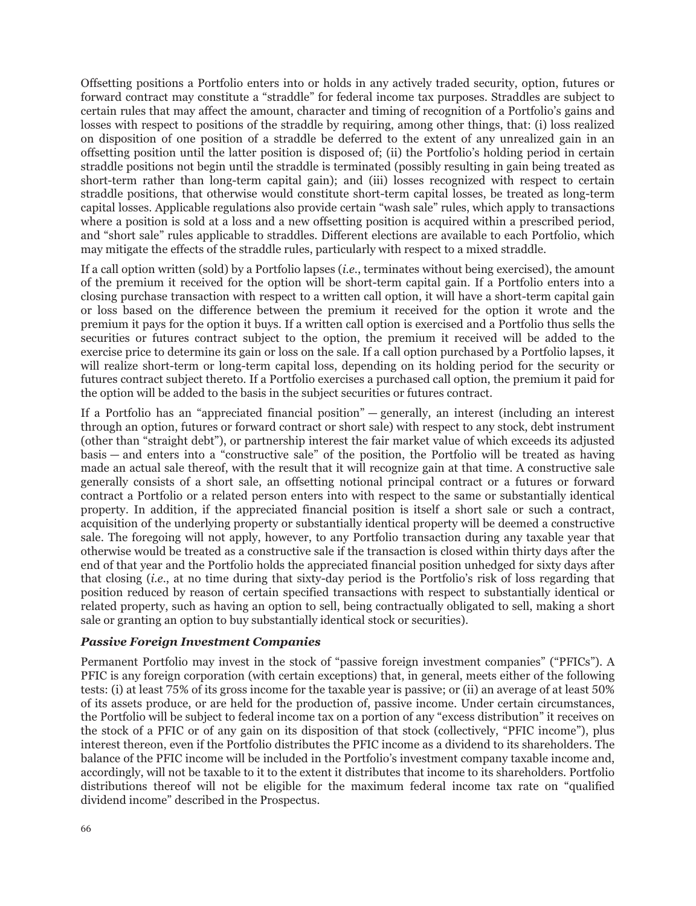Offsetting positions a Portfolio enters into or holds in any actively traded security, option, futures or forward contract may constitute a "straddle" for federal income tax purposes. Straddles are subject to certain rules that may affect the amount, character and timing of recognition of a Portfolio's gains and losses with respect to positions of the straddle by requiring, among other things, that: (i) loss realized on disposition of one position of a straddle be deferred to the extent of any unrealized gain in an offsetting position until the latter position is disposed of; (ii) the Portfolio's holding period in certain straddle positions not begin until the straddle is terminated (possibly resulting in gain being treated as short-term rather than long-term capital gain); and (iii) losses recognized with respect to certain straddle positions, that otherwise would constitute short-term capital losses, be treated as long-term capital losses. Applicable regulations also provide certain "wash sale" rules, which apply to transactions where a position is sold at a loss and a new offsetting position is acquired within a prescribed period, and "short sale" rules applicable to straddles. Different elections are available to each Portfolio, which may mitigate the effects of the straddle rules, particularly with respect to a mixed straddle.

If a call option written (sold) by a Portfolio lapses (*i.e.*, terminates without being exercised), the amount of the premium it received for the option will be short-term capital gain. If a Portfolio enters into a closing purchase transaction with respect to a written call option, it will have a short-term capital gain or loss based on the difference between the premium it received for the option it wrote and the premium it pays for the option it buys. If a written call option is exercised and a Portfolio thus sells the securities or futures contract subject to the option, the premium it received will be added to the exercise price to determine its gain or loss on the sale. If a call option purchased by a Portfolio lapses, it will realize short-term or long-term capital loss, depending on its holding period for the security or futures contract subject thereto. If a Portfolio exercises a purchased call option, the premium it paid for the option will be added to the basis in the subject securities or futures contract.

If a Portfolio has an "appreciated financial position" — generally, an interest (including an interest through an option, futures or forward contract or short sale) with respect to any stock, debt instrument (other than "straight debt"), or partnership interest the fair market value of which exceeds its adjusted basis — and enters into a "constructive sale" of the position, the Portfolio will be treated as having made an actual sale thereof, with the result that it will recognize gain at that time. A constructive sale generally consists of a short sale, an offsetting notional principal contract or a futures or forward contract a Portfolio or a related person enters into with respect to the same or substantially identical property. In addition, if the appreciated financial position is itself a short sale or such a contract, acquisition of the underlying property or substantially identical property will be deemed a constructive sale. The foregoing will not apply, however, to any Portfolio transaction during any taxable year that otherwise would be treated as a constructive sale if the transaction is closed within thirty days after the end of that year and the Portfolio holds the appreciated financial position unhedged for sixty days after that closing (*i.e.*, at no time during that sixty-day period is the Portfolio's risk of loss regarding that position reduced by reason of certain specified transactions with respect to substantially identical or related property, such as having an option to sell, being contractually obligated to sell, making a short sale or granting an option to buy substantially identical stock or securities).

# *Passive Foreign Investment Companies*

Permanent Portfolio may invest in the stock of "passive foreign investment companies" ("PFICs"). A PFIC is any foreign corporation (with certain exceptions) that, in general, meets either of the following tests: (i) at least 75% of its gross income for the taxable year is passive; or (ii) an average of at least 50% of its assets produce, or are held for the production of, passive income. Under certain circumstances, the Portfolio will be subject to federal income tax on a portion of any "excess distribution" it receives on the stock of a PFIC or of any gain on its disposition of that stock (collectively, "PFIC income"), plus interest thereon, even if the Portfolio distributes the PFIC income as a dividend to its shareholders. The balance of the PFIC income will be included in the Portfolio's investment company taxable income and, accordingly, will not be taxable to it to the extent it distributes that income to its shareholders. Portfolio distributions thereof will not be eligible for the maximum federal income tax rate on "qualified dividend income" described in the Prospectus.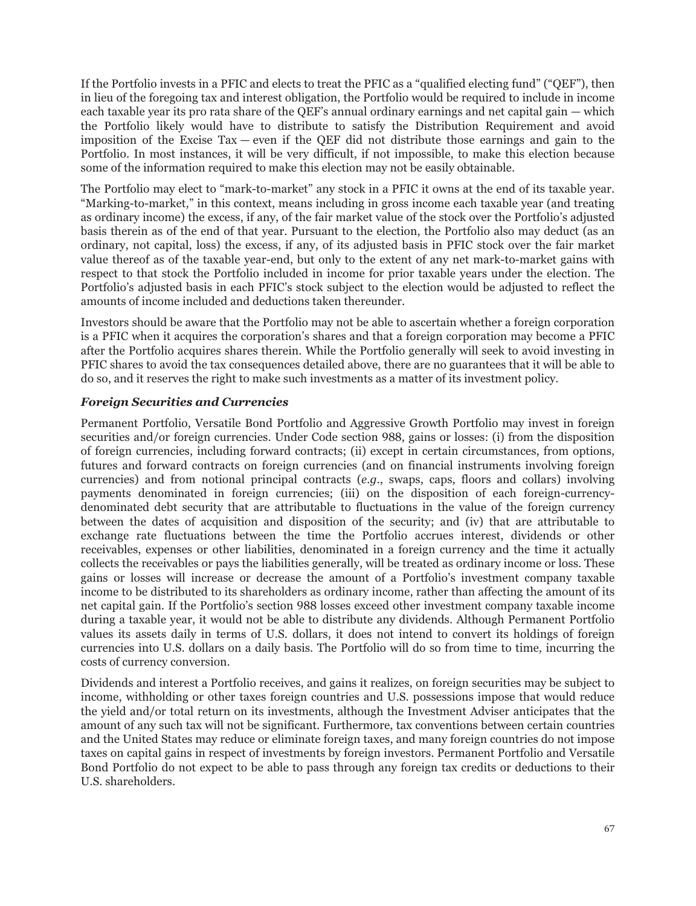If the Portfolio invests in a PFIC and elects to treat the PFIC as a "qualified electing fund" ("QEF"), then in lieu of the foregoing tax and interest obligation, the Portfolio would be required to include in income each taxable year its pro rata share of the QEF's annual ordinary earnings and net capital gain — which the Portfolio likely would have to distribute to satisfy the Distribution Requirement and avoid imposition of the Excise Tax — even if the QEF did not distribute those earnings and gain to the Portfolio. In most instances, it will be very difficult, if not impossible, to make this election because some of the information required to make this election may not be easily obtainable.

The Portfolio may elect to "mark-to-market" any stock in a PFIC it owns at the end of its taxable year. "Marking-to-market," in this context, means including in gross income each taxable year (and treating as ordinary income) the excess, if any, of the fair market value of the stock over the Portfolio's adjusted basis therein as of the end of that year. Pursuant to the election, the Portfolio also may deduct (as an ordinary, not capital, loss) the excess, if any, of its adjusted basis in PFIC stock over the fair market value thereof as of the taxable year-end, but only to the extent of any net mark-to-market gains with respect to that stock the Portfolio included in income for prior taxable years under the election. The Portfolio's adjusted basis in each PFIC's stock subject to the election would be adjusted to reflect the amounts of income included and deductions taken thereunder.

Investors should be aware that the Portfolio may not be able to ascertain whether a foreign corporation is a PFIC when it acquires the corporation's shares and that a foreign corporation may become a PFIC after the Portfolio acquires shares therein. While the Portfolio generally will seek to avoid investing in PFIC shares to avoid the tax consequences detailed above, there are no guarantees that it will be able to do so, and it reserves the right to make such investments as a matter of its investment policy.

# *Foreign Securities and Currencies*

Permanent Portfolio, Versatile Bond Portfolio and Aggressive Growth Portfolio may invest in foreign securities and/or foreign currencies. Under Code section 988, gains or losses: (i) from the disposition of foreign currencies, including forward contracts; (ii) except in certain circumstances, from options, futures and forward contracts on foreign currencies (and on financial instruments involving foreign currencies) and from notional principal contracts (*e.g*., swaps, caps, floors and collars) involving payments denominated in foreign currencies; (iii) on the disposition of each foreign-currencydenominated debt security that are attributable to fluctuations in the value of the foreign currency between the dates of acquisition and disposition of the security; and (iv) that are attributable to exchange rate fluctuations between the time the Portfolio accrues interest, dividends or other receivables, expenses or other liabilities, denominated in a foreign currency and the time it actually collects the receivables or pays the liabilities generally, will be treated as ordinary income or loss. These gains or losses will increase or decrease the amount of a Portfolio's investment company taxable income to be distributed to its shareholders as ordinary income, rather than affecting the amount of its net capital gain. If the Portfolio's section 988 losses exceed other investment company taxable income during a taxable year, it would not be able to distribute any dividends. Although Permanent Portfolio values its assets daily in terms of U.S. dollars, it does not intend to convert its holdings of foreign currencies into U.S. dollars on a daily basis. The Portfolio will do so from time to time, incurring the costs of currency conversion.

Dividends and interest a Portfolio receives, and gains it realizes, on foreign securities may be subject to income, withholding or other taxes foreign countries and U.S. possessions impose that would reduce the yield and/or total return on its investments, although the Investment Adviser anticipates that the amount of any such tax will not be significant. Furthermore, tax conventions between certain countries and the United States may reduce or eliminate foreign taxes, and many foreign countries do not impose taxes on capital gains in respect of investments by foreign investors. Permanent Portfolio and Versatile Bond Portfolio do not expect to be able to pass through any foreign tax credits or deductions to their U.S. shareholders.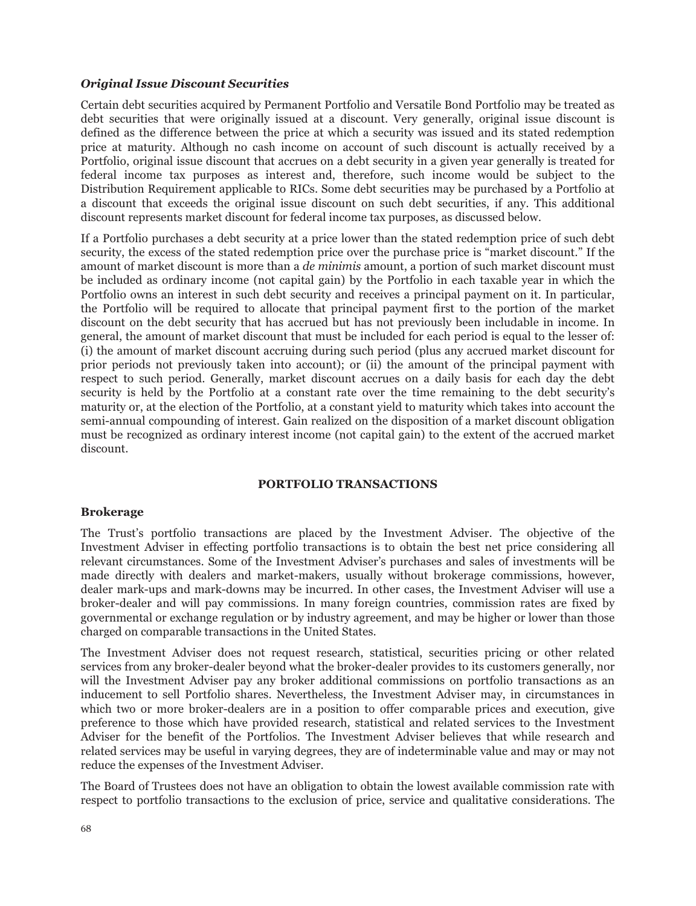### *Original Issue Discount Securities*

Certain debt securities acquired by Permanent Portfolio and Versatile Bond Portfolio may be treated as debt securities that were originally issued at a discount. Very generally, original issue discount is defined as the difference between the price at which a security was issued and its stated redemption price at maturity. Although no cash income on account of such discount is actually received by a Portfolio, original issue discount that accrues on a debt security in a given year generally is treated for federal income tax purposes as interest and, therefore, such income would be subject to the Distribution Requirement applicable to RICs. Some debt securities may be purchased by a Portfolio at a discount that exceeds the original issue discount on such debt securities, if any. This additional discount represents market discount for federal income tax purposes, as discussed below.

If a Portfolio purchases a debt security at a price lower than the stated redemption price of such debt security, the excess of the stated redemption price over the purchase price is "market discount." If the amount of market discount is more than a *de minimis* amount, a portion of such market discount must be included as ordinary income (not capital gain) by the Portfolio in each taxable year in which the Portfolio owns an interest in such debt security and receives a principal payment on it. In particular, the Portfolio will be required to allocate that principal payment first to the portion of the market discount on the debt security that has accrued but has not previously been includable in income. In general, the amount of market discount that must be included for each period is equal to the lesser of: (i) the amount of market discount accruing during such period (plus any accrued market discount for prior periods not previously taken into account); or (ii) the amount of the principal payment with respect to such period. Generally, market discount accrues on a daily basis for each day the debt security is held by the Portfolio at a constant rate over the time remaining to the debt security's maturity or, at the election of the Portfolio, at a constant yield to maturity which takes into account the semi-annual compounding of interest. Gain realized on the disposition of a market discount obligation must be recognized as ordinary interest income (not capital gain) to the extent of the accrued market discount.

# **PORTFOLIO TRANSACTIONS**

### **Brokerage**

The Trust's portfolio transactions are placed by the Investment Adviser. The objective of the Investment Adviser in effecting portfolio transactions is to obtain the best net price considering all relevant circumstances. Some of the Investment Adviser's purchases and sales of investments will be made directly with dealers and market-makers, usually without brokerage commissions, however, dealer mark-ups and mark-downs may be incurred. In other cases, the Investment Adviser will use a broker-dealer and will pay commissions. In many foreign countries, commission rates are fixed by governmental or exchange regulation or by industry agreement, and may be higher or lower than those charged on comparable transactions in the United States.

The Investment Adviser does not request research, statistical, securities pricing or other related services from any broker-dealer beyond what the broker-dealer provides to its customers generally, nor will the Investment Adviser pay any broker additional commissions on portfolio transactions as an inducement to sell Portfolio shares. Nevertheless, the Investment Adviser may, in circumstances in which two or more broker-dealers are in a position to offer comparable prices and execution, give preference to those which have provided research, statistical and related services to the Investment Adviser for the benefit of the Portfolios. The Investment Adviser believes that while research and related services may be useful in varying degrees, they are of indeterminable value and may or may not reduce the expenses of the Investment Adviser.

The Board of Trustees does not have an obligation to obtain the lowest available commission rate with respect to portfolio transactions to the exclusion of price, service and qualitative considerations. The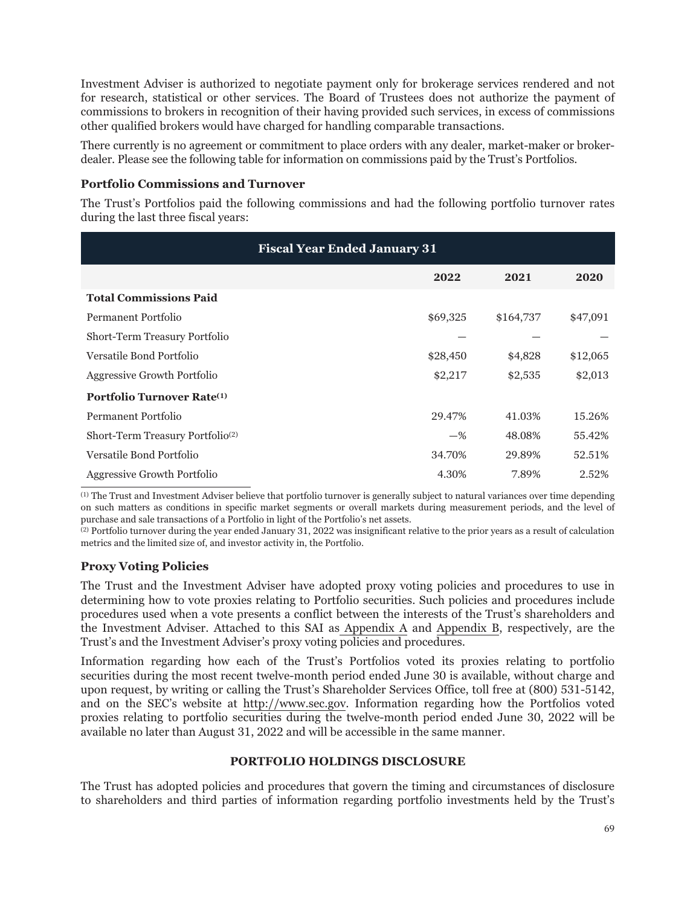Investment Adviser is authorized to negotiate payment only for brokerage services rendered and not for research, statistical or other services. The Board of Trustees does not authorize the payment of commissions to brokers in recognition of their having provided such services, in excess of commissions other qualified brokers would have charged for handling comparable transactions.

There currently is no agreement or commitment to place orders with any dealer, market-maker or brokerdealer. Please see the following table for information on commissions paid by the Trust's Portfolios.

## **Portfolio Commissions and Turnover**

The Trust's Portfolios paid the following commissions and had the following portfolio turnover rates during the last three fiscal years:

| <b>Fiscal Year Ended January 31</b>           |          |           |          |  |  |
|-----------------------------------------------|----------|-----------|----------|--|--|
|                                               | 2022     | 2021      | 2020     |  |  |
| <b>Total Commissions Paid</b>                 |          |           |          |  |  |
| Permanent Portfolio                           | \$69,325 | \$164,737 | \$47,091 |  |  |
| Short-Term Treasury Portfolio                 |          |           |          |  |  |
| Versatile Bond Portfolio                      | \$28,450 | \$4,828   | \$12,065 |  |  |
| Aggressive Growth Portfolio                   | \$2,217  | \$2,535   | \$2,013  |  |  |
| <b>Portfolio Turnover Rate</b> <sup>(1)</sup> |          |           |          |  |  |
| Permanent Portfolio                           | 29.47%   | 41.03%    | 15.26%   |  |  |
| Short-Term Treasury Portfolio <sup>(2)</sup>  | $-$ %    | 48.08%    | 55.42%   |  |  |
| Versatile Bond Portfolio                      | 34.70%   | 29.89%    | 52.51%   |  |  |
| Aggressive Growth Portfolio                   | 4.30%    | 7.89%     | 2.52%    |  |  |

(1) The Trust and Investment Adviser believe that portfolio turnover is generally subject to natural variances over time depending on such matters as conditions in specific market segments or overall markets during measurement periods, and the level of purchase and sale transactions of a Portfolio in light of the Portfolio's net assets.

(2) Portfolio turnover during the year ended January 31, 2022 was insignificant relative to the prior years as a result of calculation metrics and the limited size of, and investor activity in, the Portfolio.

# **Proxy Voting Policies**

The Trust and the Investment Adviser have adopted proxy voting policies and procedures to use in determining how to vote proxies relating to Portfolio securities. Such policies and procedures include procedures used when a vote presents a conflict between the interests of the Trust's shareholders and the Investment Adviser. Attached to this SAI as Appendix A and Appendix B, respectively, are the Trust's and the Investment Adviser's proxy voting policies and procedures.

Information regarding how each of the Trust's Portfolios voted its proxies relating to portfolio securities during the most recent twelve-month period ended June 30 is available, without charge and upon request, by writing or calling the Trust's Shareholder Services Office, toll free at (800) 531-5142, and on the SEC's website at http://www.sec.gov. Information regarding how the Portfolios voted proxies relating to portfolio securities during the twelve-month period ended June 30, 2022 will be available no later than August 31, 2022 and will be accessible in the same manner.

# **PORTFOLIO HOLDINGS DISCLOSURE**

The Trust has adopted policies and procedures that govern the timing and circumstances of disclosure to shareholders and third parties of information regarding portfolio investments held by the Trust's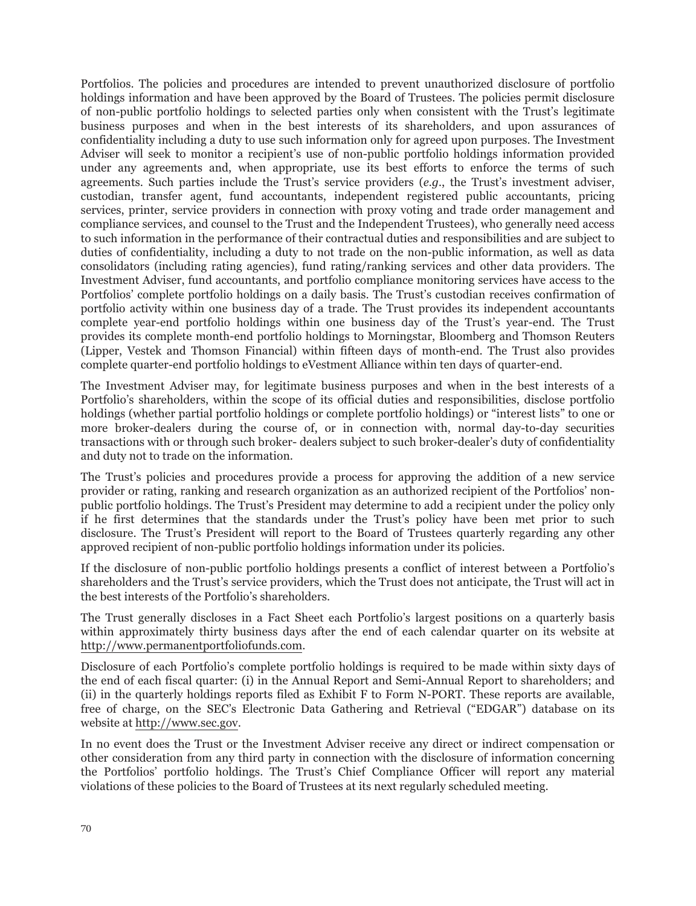Portfolios. The policies and procedures are intended to prevent unauthorized disclosure of portfolio holdings information and have been approved by the Board of Trustees. The policies permit disclosure of non-public portfolio holdings to selected parties only when consistent with the Trust's legitimate business purposes and when in the best interests of its shareholders, and upon assurances of confidentiality including a duty to use such information only for agreed upon purposes. The Investment Adviser will seek to monitor a recipient's use of non-public portfolio holdings information provided under any agreements and, when appropriate, use its best efforts to enforce the terms of such agreements. Such parties include the Trust's service providers (*e.g.*, the Trust's investment adviser, custodian, transfer agent, fund accountants, independent registered public accountants, pricing services, printer, service providers in connection with proxy voting and trade order management and compliance services, and counsel to the Trust and the Independent Trustees), who generally need access to such information in the performance of their contractual duties and responsibilities and are subject to duties of confidentiality, including a duty to not trade on the non-public information, as well as data consolidators (including rating agencies), fund rating/ranking services and other data providers. The Investment Adviser, fund accountants, and portfolio compliance monitoring services have access to the Portfolios' complete portfolio holdings on a daily basis. The Trust's custodian receives confirmation of portfolio activity within one business day of a trade. The Trust provides its independent accountants complete year-end portfolio holdings within one business day of the Trust's year-end. The Trust provides its complete month-end portfolio holdings to Morningstar, Bloomberg and Thomson Reuters (Lipper, Vestek and Thomson Financial) within fifteen days of month-end. The Trust also provides complete quarter-end portfolio holdings to eVestment Alliance within ten days of quarter-end.

The Investment Adviser may, for legitimate business purposes and when in the best interests of a Portfolio's shareholders, within the scope of its official duties and responsibilities, disclose portfolio holdings (whether partial portfolio holdings or complete portfolio holdings) or "interest lists" to one or more broker-dealers during the course of, or in connection with, normal day-to-day securities transactions with or through such broker- dealers subject to such broker-dealer's duty of confidentiality and duty not to trade on the information.

The Trust's policies and procedures provide a process for approving the addition of a new service provider or rating, ranking and research organization as an authorized recipient of the Portfolios' nonpublic portfolio holdings. The Trust's President may determine to add a recipient under the policy only if he first determines that the standards under the Trust's policy have been met prior to such disclosure. The Trust's President will report to the Board of Trustees quarterly regarding any other approved recipient of non-public portfolio holdings information under its policies.

If the disclosure of non-public portfolio holdings presents a conflict of interest between a Portfolio's shareholders and the Trust's service providers, which the Trust does not anticipate, the Trust will act in the best interests of the Portfolio's shareholders.

The Trust generally discloses in a Fact Sheet each Portfolio's largest positions on a quarterly basis within approximately thirty business days after the end of each calendar quarter on its website at http://www.permanentportfoliofunds.com.

Disclosure of each Portfolio's complete portfolio holdings is required to be made within sixty days of the end of each fiscal quarter: (i) in the Annual Report and Semi-Annual Report to shareholders; and (ii) in the quarterly holdings reports filed as Exhibit F to Form N-PORT. These reports are available, free of charge, on the SEC's Electronic Data Gathering and Retrieval ("EDGAR") database on its website at http://www.sec.gov.

In no event does the Trust or the Investment Adviser receive any direct or indirect compensation or other consideration from any third party in connection with the disclosure of information concerning the Portfolios' portfolio holdings. The Trust's Chief Compliance Officer will report any material violations of these policies to the Board of Trustees at its next regularly scheduled meeting.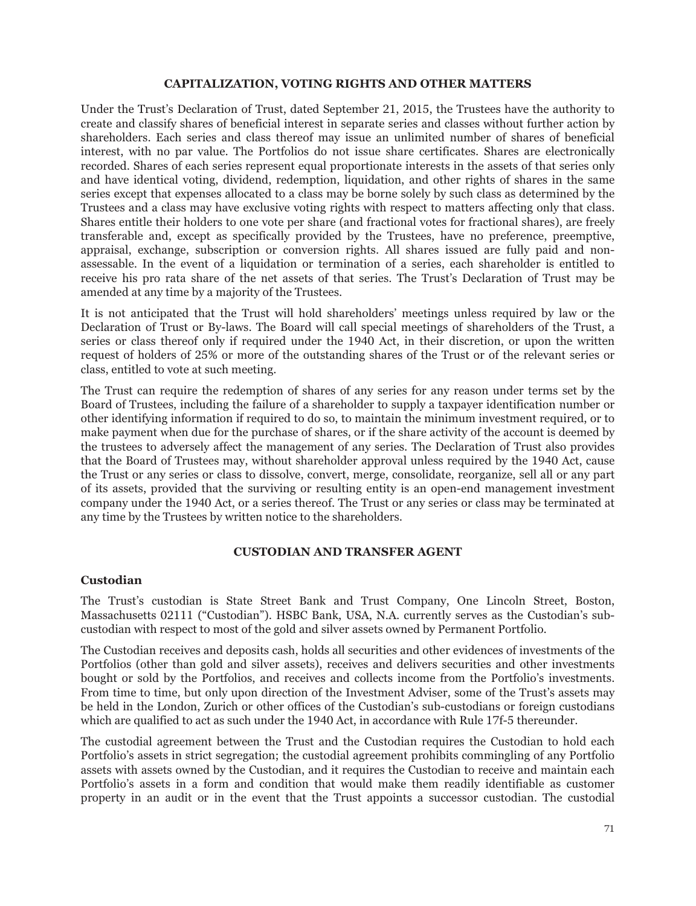### **CAPITALIZATION, VOTING RIGHTS AND OTHER MATTERS**

Under the Trust's Declaration of Trust, dated September 21, 2015, the Trustees have the authority to create and classify shares of beneficial interest in separate series and classes without further action by shareholders. Each series and class thereof may issue an unlimited number of shares of beneficial interest, with no par value. The Portfolios do not issue share certificates. Shares are electronically recorded. Shares of each series represent equal proportionate interests in the assets of that series only and have identical voting, dividend, redemption, liquidation, and other rights of shares in the same series except that expenses allocated to a class may be borne solely by such class as determined by the Trustees and a class may have exclusive voting rights with respect to matters affecting only that class. Shares entitle their holders to one vote per share (and fractional votes for fractional shares), are freely transferable and, except as specifically provided by the Trustees, have no preference, preemptive, appraisal, exchange, subscription or conversion rights. All shares issued are fully paid and nonassessable. In the event of a liquidation or termination of a series, each shareholder is entitled to receive his pro rata share of the net assets of that series. The Trust's Declaration of Trust may be amended at any time by a majority of the Trustees.

It is not anticipated that the Trust will hold shareholders' meetings unless required by law or the Declaration of Trust or By-laws. The Board will call special meetings of shareholders of the Trust, a series or class thereof only if required under the 1940 Act, in their discretion, or upon the written request of holders of 25% or more of the outstanding shares of the Trust or of the relevant series or class, entitled to vote at such meeting.

The Trust can require the redemption of shares of any series for any reason under terms set by the Board of Trustees, including the failure of a shareholder to supply a taxpayer identification number or other identifying information if required to do so, to maintain the minimum investment required, or to make payment when due for the purchase of shares, or if the share activity of the account is deemed by the trustees to adversely affect the management of any series. The Declaration of Trust also provides that the Board of Trustees may, without shareholder approval unless required by the 1940 Act, cause the Trust or any series or class to dissolve, convert, merge, consolidate, reorganize, sell all or any part of its assets, provided that the surviving or resulting entity is an open-end management investment company under the 1940 Act, or a series thereof. The Trust or any series or class may be terminated at any time by the Trustees by written notice to the shareholders.

#### **CUSTODIAN AND TRANSFER AGENT**

### **Custodian**

The Trust's custodian is State Street Bank and Trust Company, One Lincoln Street, Boston, Massachusetts 02111 ("Custodian"). HSBC Bank, USA, N.A. currently serves as the Custodian's subcustodian with respect to most of the gold and silver assets owned by Permanent Portfolio.

The Custodian receives and deposits cash, holds all securities and other evidences of investments of the Portfolios (other than gold and silver assets), receives and delivers securities and other investments bought or sold by the Portfolios, and receives and collects income from the Portfolio's investments. From time to time, but only upon direction of the Investment Adviser, some of the Trust's assets may be held in the London, Zurich or other offices of the Custodian's sub-custodians or foreign custodians which are qualified to act as such under the 1940 Act, in accordance with Rule 17f-5 thereunder.

The custodial agreement between the Trust and the Custodian requires the Custodian to hold each Portfolio's assets in strict segregation; the custodial agreement prohibits commingling of any Portfolio assets with assets owned by the Custodian, and it requires the Custodian to receive and maintain each Portfolio's assets in a form and condition that would make them readily identifiable as customer property in an audit or in the event that the Trust appoints a successor custodian. The custodial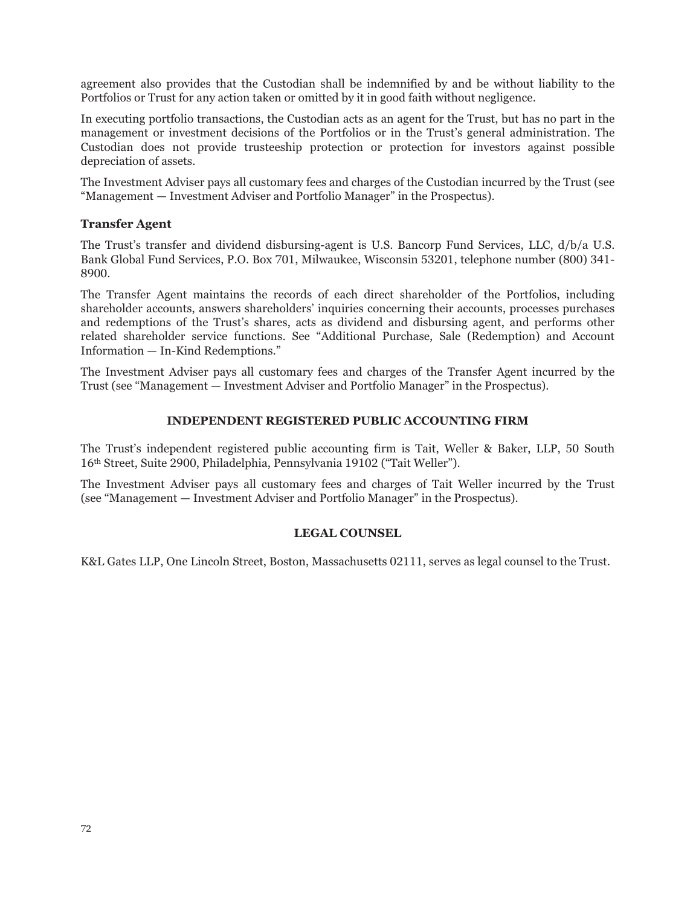agreement also provides that the Custodian shall be indemnified by and be without liability to the Portfolios or Trust for any action taken or omitted by it in good faith without negligence.

In executing portfolio transactions, the Custodian acts as an agent for the Trust, but has no part in the management or investment decisions of the Portfolios or in the Trust's general administration. The Custodian does not provide trusteeship protection or protection for investors against possible depreciation of assets.

The Investment Adviser pays all customary fees and charges of the Custodian incurred by the Trust (see "Management — Investment Adviser and Portfolio Manager" in the Prospectus).

### **Transfer Agent**

The Trust's transfer and dividend disbursing-agent is U.S. Bancorp Fund Services, LLC, d/b/a U.S. Bank Global Fund Services, P.O. Box 701, Milwaukee, Wisconsin 53201, telephone number (800) 341- 8900.

The Transfer Agent maintains the records of each direct shareholder of the Portfolios, including shareholder accounts, answers shareholders' inquiries concerning their accounts, processes purchases and redemptions of the Trust's shares, acts as dividend and disbursing agent, and performs other related shareholder service functions. See "Additional Purchase, Sale (Redemption) and Account Information — In-Kind Redemptions."

The Investment Adviser pays all customary fees and charges of the Transfer Agent incurred by the Trust (see "Management — Investment Adviser and Portfolio Manager" in the Prospectus).

### **INDEPENDENT REGISTERED PUBLIC ACCOUNTING FIRM**

The Trust's independent registered public accounting firm is Tait, Weller & Baker, LLP, 50 South 16th Street, Suite 2900, Philadelphia, Pennsylvania 19102 ("Tait Weller").

The Investment Adviser pays all customary fees and charges of Tait Weller incurred by the Trust (see "Management — Investment Adviser and Portfolio Manager" in the Prospectus).

### **LEGAL COUNSEL**

K&L Gates LLP, One Lincoln Street, Boston, Massachusetts 02111, serves as legal counsel to the Trust.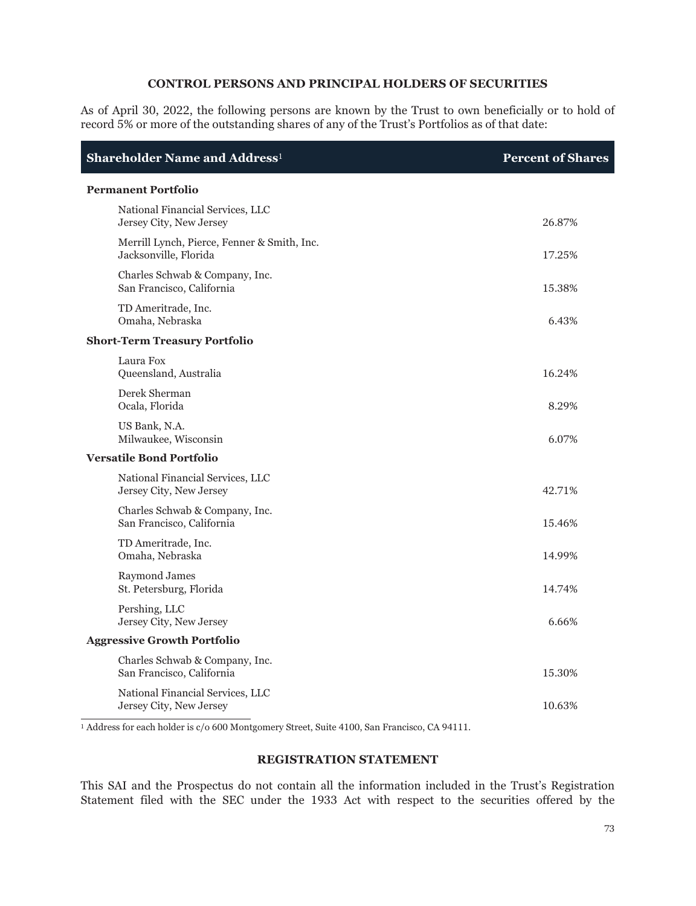### **CONTROL PERSONS AND PRINCIPAL HOLDERS OF SECURITIES**

As of April 30, 2022, the following persons are known by the Trust to own beneficially or to hold of record 5% or more of the outstanding shares of any of the Trust's Portfolios as of that date:

| Shareholder Name and Address <sup>1</sup>                            | <b>Percent of Shares</b> |
|----------------------------------------------------------------------|--------------------------|
| <b>Permanent Portfolio</b>                                           |                          |
| National Financial Services, LLC<br>Jersey City, New Jersey          | 26.87%                   |
| Merrill Lynch, Pierce, Fenner & Smith, Inc.<br>Jacksonville, Florida | 17.25%                   |
| Charles Schwab & Company, Inc.<br>San Francisco, California          | 15.38%                   |
| TD Ameritrade, Inc.<br>Omaha, Nebraska                               | 6.43%                    |
| <b>Short-Term Treasury Portfolio</b>                                 |                          |
| Laura Fox<br>Queensland, Australia                                   | 16.24%                   |
| Derek Sherman<br>Ocala, Florida                                      | 8.29%                    |
| US Bank, N.A.<br>Milwaukee, Wisconsin                                | 6.07%                    |
| <b>Versatile Bond Portfolio</b>                                      |                          |
| National Financial Services, LLC<br>Jersey City, New Jersey          | 42.71%                   |
| Charles Schwab & Company, Inc.<br>San Francisco, California          | 15.46%                   |
| TD Ameritrade, Inc.<br>Omaha, Nebraska                               | 14.99%                   |
| Raymond James<br>St. Petersburg, Florida                             | 14.74%                   |
| Pershing, LLC<br>Jersey City, New Jersey                             | 6.66%                    |
| <b>Aggressive Growth Portfolio</b>                                   |                          |
| Charles Schwab & Company, Inc.<br>San Francisco, California          | 15.30%                   |
| National Financial Services, LLC<br>Jersey City, New Jersey          | 10.63%                   |

<sup>1</sup> Address for each holder is c/o 600 Montgomery Street, Suite 4100, San Francisco, CA 94111.

### **REGISTRATION STATEMENT**

This SAI and the Prospectus do not contain all the information included in the Trust's Registration Statement filed with the SEC under the 1933 Act with respect to the securities offered by the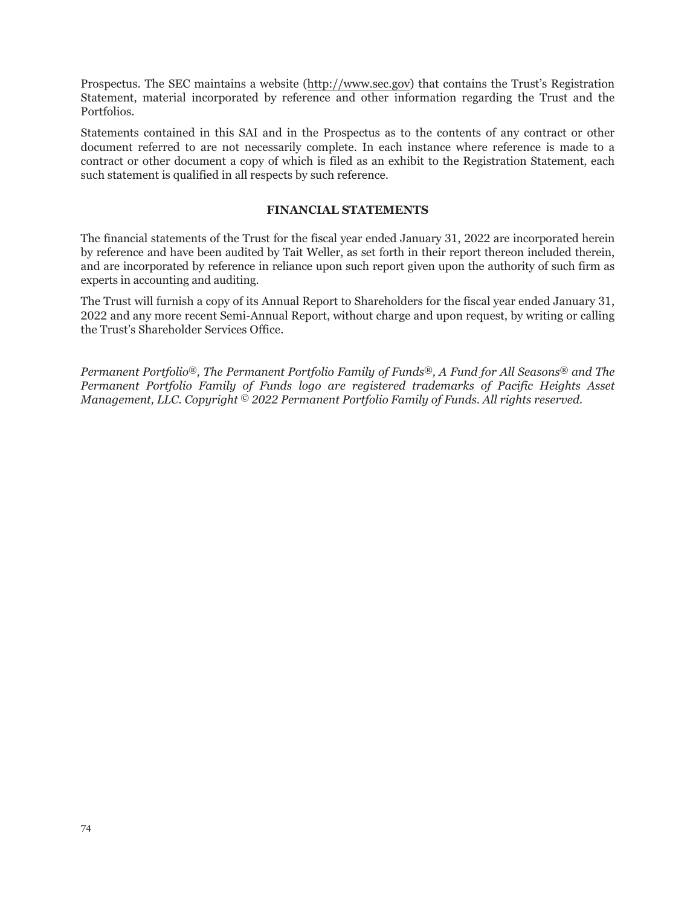Prospectus. The SEC maintains a website (http://www.sec.gov) that contains the Trust's Registration Statement, material incorporated by reference and other information regarding the Trust and the Portfolios.

Statements contained in this SAI and in the Prospectus as to the contents of any contract or other document referred to are not necessarily complete. In each instance where reference is made to a contract or other document a copy of which is filed as an exhibit to the Registration Statement, each such statement is qualified in all respects by such reference.

### **FINANCIAL STATEMENTS**

The financial statements of the Trust for the fiscal year ended January 31, 2022 are incorporated herein by reference and have been audited by Tait Weller, as set forth in their report thereon included therein, and are incorporated by reference in reliance upon such report given upon the authority of such firm as experts in accounting and auditing.

The Trust will furnish a copy of its Annual Report to Shareholders for the fiscal year ended January 31, 2022 and any more recent Semi-Annual Report, without charge and upon request, by writing or calling the Trust's Shareholder Services Office.

*Permanent Portfolio®, The Permanent Portfolio Family of Funds®, A Fund for All Seasons® and The Permanent Portfolio Family of Funds logo are registered trademarks of Pacific Heights Asset Management, LLC. Copyright © 2022 Permanent Portfolio Family of Funds. All rights reserved.*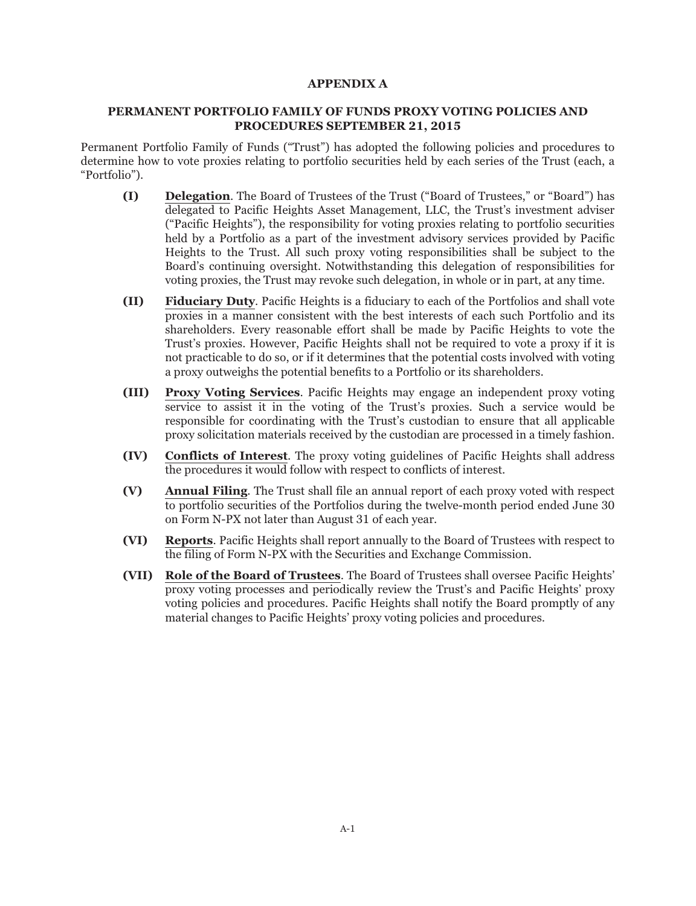#### **APPENDIX A**

#### **PERMANENT PORTFOLIO FAMILY OF FUNDS PROXY VOTING POLICIES AND PROCEDURES SEPTEMBER 21, 2015**

Permanent Portfolio Family of Funds ("Trust") has adopted the following policies and procedures to determine how to vote proxies relating to portfolio securities held by each series of the Trust (each, a "Portfolio").

- **(I) Delegation**. The Board of Trustees of the Trust ("Board of Trustees," or "Board") has delegated to Pacific Heights Asset Management, LLC, the Trust's investment adviser ("Pacific Heights"), the responsibility for voting proxies relating to portfolio securities held by a Portfolio as a part of the investment advisory services provided by Pacific Heights to the Trust. All such proxy voting responsibilities shall be subject to the Board's continuing oversight. Notwithstanding this delegation of responsibilities for voting proxies, the Trust may revoke such delegation, in whole or in part, at any time.
- **(II) Fiduciary Duty**. Pacific Heights is a fiduciary to each of the Portfolios and shall vote proxies in a manner consistent with the best interests of each such Portfolio and its shareholders. Every reasonable effort shall be made by Pacific Heights to vote the Trust's proxies. However, Pacific Heights shall not be required to vote a proxy if it is not practicable to do so, or if it determines that the potential costs involved with voting a proxy outweighs the potential benefits to a Portfolio or its shareholders.
- **(III) Proxy Voting Services**. Pacific Heights may engage an independent proxy voting service to assist it in the voting of the Trust's proxies. Such a service would be responsible for coordinating with the Trust's custodian to ensure that all applicable proxy solicitation materials received by the custodian are processed in a timely fashion.
- **(IV) Conflicts of Interest**. The proxy voting guidelines of Pacific Heights shall address the procedures it would follow with respect to conflicts of interest.
- **(V) Annual Filing**. The Trust shall file an annual report of each proxy voted with respect to portfolio securities of the Portfolios during the twelve-month period ended June 30 on Form N-PX not later than August 31 of each year.
- **(VI) Reports**. Pacific Heights shall report annually to the Board of Trustees with respect to the filing of Form N-PX with the Securities and Exchange Commission.
- **(VII) Role of the Board of Trustees**. The Board of Trustees shall oversee Pacific Heights' proxy voting processes and periodically review the Trust's and Pacific Heights' proxy voting policies and procedures. Pacific Heights shall notify the Board promptly of any material changes to Pacific Heights' proxy voting policies and procedures.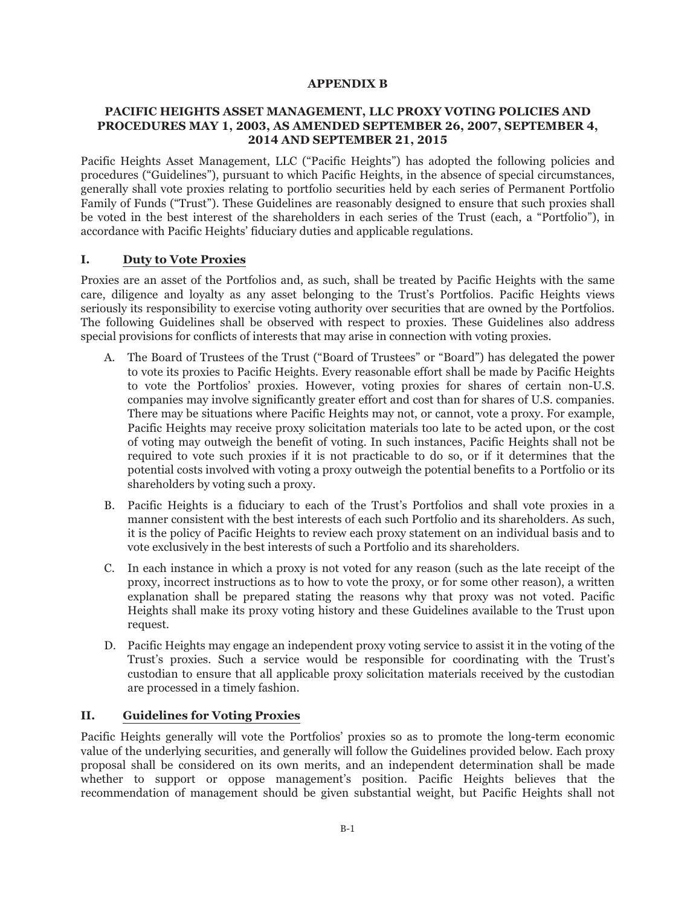### **APPENDIX B**

### **PACIFIC HEIGHTS ASSET MANAGEMENT, LLC PROXY VOTING POLICIES AND PROCEDURES MAY 1, 2003, AS AMENDED SEPTEMBER 26, 2007, SEPTEMBER 4, 2014 AND SEPTEMBER 21, 2015**

Pacific Heights Asset Management, LLC ("Pacific Heights") has adopted the following policies and procedures ("Guidelines"), pursuant to which Pacific Heights, in the absence of special circumstances, generally shall vote proxies relating to portfolio securities held by each series of Permanent Portfolio Family of Funds ("Trust"). These Guidelines are reasonably designed to ensure that such proxies shall be voted in the best interest of the shareholders in each series of the Trust (each, a "Portfolio"), in accordance with Pacific Heights' fiduciary duties and applicable regulations.

## **I. Duty to Vote Proxies**

Proxies are an asset of the Portfolios and, as such, shall be treated by Pacific Heights with the same care, diligence and loyalty as any asset belonging to the Trust's Portfolios. Pacific Heights views seriously its responsibility to exercise voting authority over securities that are owned by the Portfolios. The following Guidelines shall be observed with respect to proxies. These Guidelines also address special provisions for conflicts of interests that may arise in connection with voting proxies.

- A. The Board of Trustees of the Trust ("Board of Trustees" or "Board") has delegated the power to vote its proxies to Pacific Heights. Every reasonable effort shall be made by Pacific Heights to vote the Portfolios' proxies. However, voting proxies for shares of certain non-U.S. companies may involve significantly greater effort and cost than for shares of U.S. companies. There may be situations where Pacific Heights may not, or cannot, vote a proxy. For example, Pacific Heights may receive proxy solicitation materials too late to be acted upon, or the cost of voting may outweigh the benefit of voting. In such instances, Pacific Heights shall not be required to vote such proxies if it is not practicable to do so, or if it determines that the potential costs involved with voting a proxy outweigh the potential benefits to a Portfolio or its shareholders by voting such a proxy.
- B. Pacific Heights is a fiduciary to each of the Trust's Portfolios and shall vote proxies in a manner consistent with the best interests of each such Portfolio and its shareholders. As such, it is the policy of Pacific Heights to review each proxy statement on an individual basis and to vote exclusively in the best interests of such a Portfolio and its shareholders.
- C. In each instance in which a proxy is not voted for any reason (such as the late receipt of the proxy, incorrect instructions as to how to vote the proxy, or for some other reason), a written explanation shall be prepared stating the reasons why that proxy was not voted. Pacific Heights shall make its proxy voting history and these Guidelines available to the Trust upon request.
- D. Pacific Heights may engage an independent proxy voting service to assist it in the voting of the Trust's proxies. Such a service would be responsible for coordinating with the Trust's custodian to ensure that all applicable proxy solicitation materials received by the custodian are processed in a timely fashion.

## **II. Guidelines for Voting Proxies**

Pacific Heights generally will vote the Portfolios' proxies so as to promote the long-term economic value of the underlying securities, and generally will follow the Guidelines provided below. Each proxy proposal shall be considered on its own merits, and an independent determination shall be made whether to support or oppose management's position. Pacific Heights believes that the recommendation of management should be given substantial weight, but Pacific Heights shall not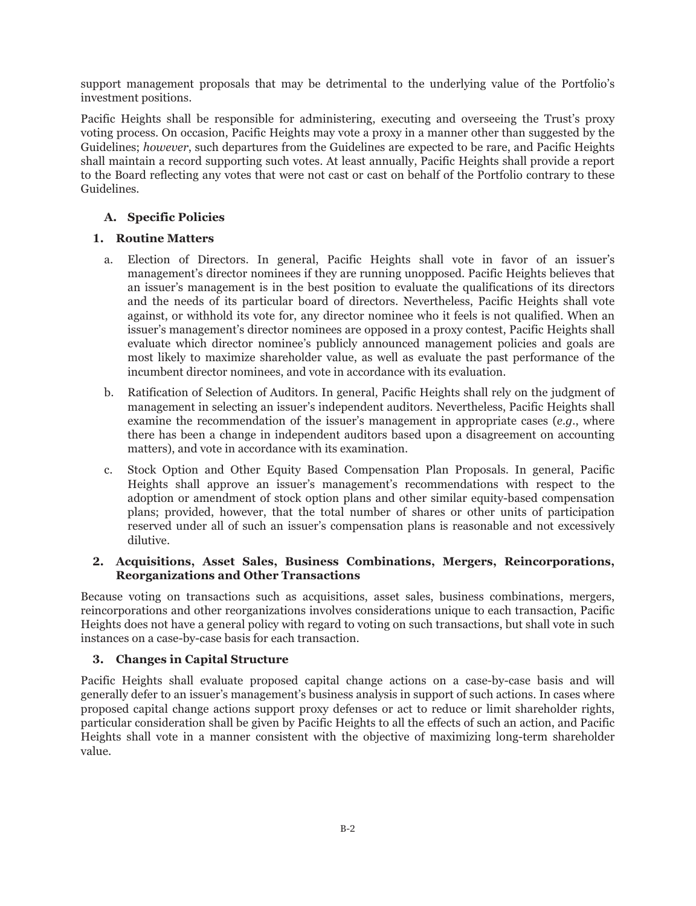support management proposals that may be detrimental to the underlying value of the Portfolio's investment positions.

Pacific Heights shall be responsible for administering, executing and overseeing the Trust's proxy voting process. On occasion, Pacific Heights may vote a proxy in a manner other than suggested by the Guidelines; *however*, such departures from the Guidelines are expected to be rare, and Pacific Heights shall maintain a record supporting such votes. At least annually, Pacific Heights shall provide a report to the Board reflecting any votes that were not cast or cast on behalf of the Portfolio contrary to these Guidelines.

# **A. Specific Policies**

## **1. Routine Matters**

- a. Election of Directors. In general, Pacific Heights shall vote in favor of an issuer's management's director nominees if they are running unopposed. Pacific Heights believes that an issuer's management is in the best position to evaluate the qualifications of its directors and the needs of its particular board of directors. Nevertheless, Pacific Heights shall vote against, or withhold its vote for, any director nominee who it feels is not qualified. When an issuer's management's director nominees are opposed in a proxy contest, Pacific Heights shall evaluate which director nominee's publicly announced management policies and goals are most likely to maximize shareholder value, as well as evaluate the past performance of the incumbent director nominees, and vote in accordance with its evaluation.
- b. Ratification of Selection of Auditors. In general, Pacific Heights shall rely on the judgment of management in selecting an issuer's independent auditors. Nevertheless, Pacific Heights shall examine the recommendation of the issuer's management in appropriate cases (*e.g*., where there has been a change in independent auditors based upon a disagreement on accounting matters), and vote in accordance with its examination.
- c. Stock Option and Other Equity Based Compensation Plan Proposals. In general, Pacific Heights shall approve an issuer's management's recommendations with respect to the adoption or amendment of stock option plans and other similar equity-based compensation plans; provided, however, that the total number of shares or other units of participation reserved under all of such an issuer's compensation plans is reasonable and not excessively dilutive.

## **2. Acquisitions, Asset Sales, Business Combinations, Mergers, Reincorporations, Reorganizations and Other Transactions**

Because voting on transactions such as acquisitions, asset sales, business combinations, mergers, reincorporations and other reorganizations involves considerations unique to each transaction, Pacific Heights does not have a general policy with regard to voting on such transactions, but shall vote in such instances on a case-by-case basis for each transaction.

## **3. Changes in Capital Structure**

Pacific Heights shall evaluate proposed capital change actions on a case-by-case basis and will generally defer to an issuer's management's business analysis in support of such actions. In cases where proposed capital change actions support proxy defenses or act to reduce or limit shareholder rights, particular consideration shall be given by Pacific Heights to all the effects of such an action, and Pacific Heights shall vote in a manner consistent with the objective of maximizing long-term shareholder value.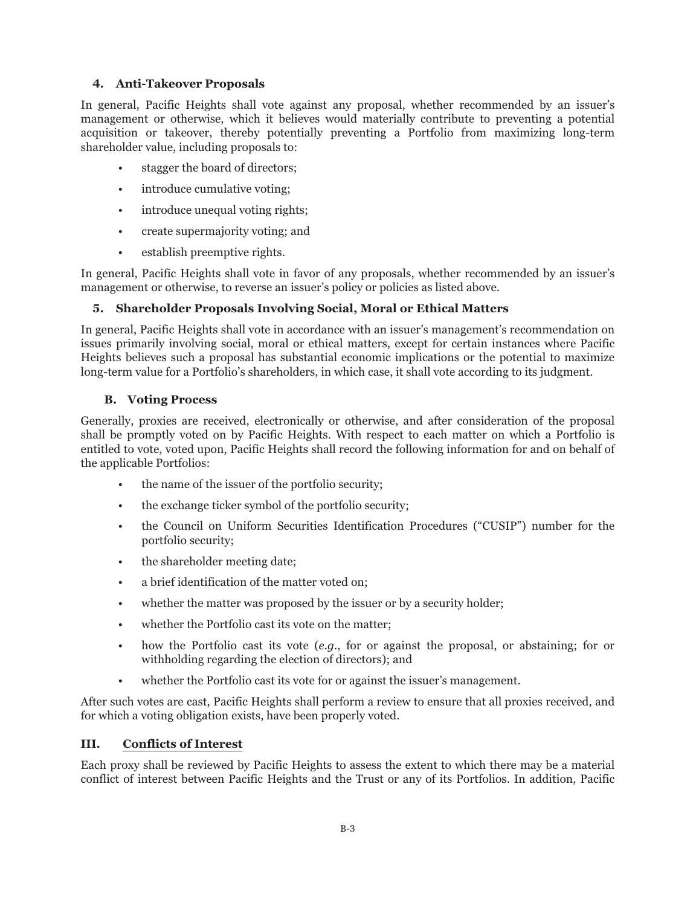### **4. Anti-Takeover Proposals**

In general, Pacific Heights shall vote against any proposal, whether recommended by an issuer's management or otherwise, which it believes would materially contribute to preventing a potential acquisition or takeover, thereby potentially preventing a Portfolio from maximizing long-term shareholder value, including proposals to:

- stagger the board of directors;
- introduce cumulative voting;
- introduce unequal voting rights;
- create supermajority voting; and
- establish preemptive rights.

In general, Pacific Heights shall vote in favor of any proposals, whether recommended by an issuer's management or otherwise, to reverse an issuer's policy or policies as listed above.

### **5. Shareholder Proposals Involving Social, Moral or Ethical Matters**

In general, Pacific Heights shall vote in accordance with an issuer's management's recommendation on issues primarily involving social, moral or ethical matters, except for certain instances where Pacific Heights believes such a proposal has substantial economic implications or the potential to maximize long-term value for a Portfolio's shareholders, in which case, it shall vote according to its judgment.

#### **B. Voting Process**

Generally, proxies are received, electronically or otherwise, and after consideration of the proposal shall be promptly voted on by Pacific Heights. With respect to each matter on which a Portfolio is entitled to vote, voted upon, Pacific Heights shall record the following information for and on behalf of the applicable Portfolios:

- the name of the issuer of the portfolio security;
- the exchange ticker symbol of the portfolio security;
- the Council on Uniform Securities Identification Procedures ("CUSIP") number for the portfolio security;
- the shareholder meeting date;
- a brief identification of the matter voted on;
- whether the matter was proposed by the issuer or by a security holder;
- whether the Portfolio cast its vote on the matter;
- how the Portfolio cast its vote (*e.g*., for or against the proposal, or abstaining; for or withholding regarding the election of directors); and
- whether the Portfolio cast its vote for or against the issuer's management.

After such votes are cast, Pacific Heights shall perform a review to ensure that all proxies received, and for which a voting obligation exists, have been properly voted.

#### **III. Conflicts of Interest**

Each proxy shall be reviewed by Pacific Heights to assess the extent to which there may be a material conflict of interest between Pacific Heights and the Trust or any of its Portfolios. In addition, Pacific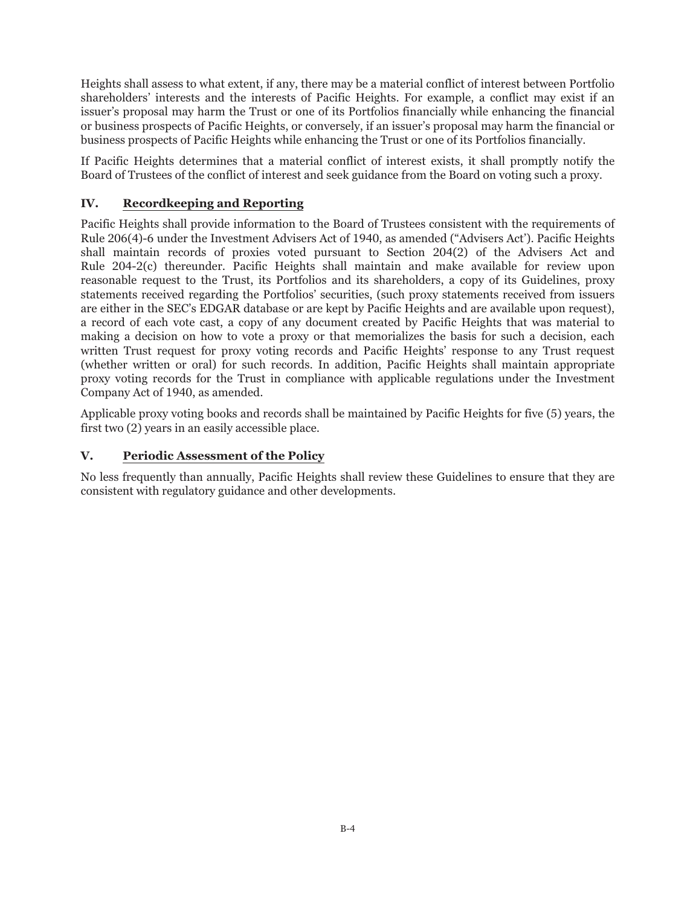Heights shall assess to what extent, if any, there may be a material conflict of interest between Portfolio shareholders' interests and the interests of Pacific Heights. For example, a conflict may exist if an issuer's proposal may harm the Trust or one of its Portfolios financially while enhancing the financial or business prospects of Pacific Heights, or conversely, if an issuer's proposal may harm the financial or business prospects of Pacific Heights while enhancing the Trust or one of its Portfolios financially.

If Pacific Heights determines that a material conflict of interest exists, it shall promptly notify the Board of Trustees of the conflict of interest and seek guidance from the Board on voting such a proxy.

# **IV. Recordkeeping and Reporting**

Pacific Heights shall provide information to the Board of Trustees consistent with the requirements of Rule 206(4)-6 under the Investment Advisers Act of 1940, as amended ("Advisers Act'). Pacific Heights shall maintain records of proxies voted pursuant to Section 204(2) of the Advisers Act and Rule 204-2(c) thereunder. Pacific Heights shall maintain and make available for review upon reasonable request to the Trust, its Portfolios and its shareholders, a copy of its Guidelines, proxy statements received regarding the Portfolios' securities, (such proxy statements received from issuers are either in the SEC's EDGAR database or are kept by Pacific Heights and are available upon request), a record of each vote cast, a copy of any document created by Pacific Heights that was material to making a decision on how to vote a proxy or that memorializes the basis for such a decision, each written Trust request for proxy voting records and Pacific Heights' response to any Trust request (whether written or oral) for such records. In addition, Pacific Heights shall maintain appropriate proxy voting records for the Trust in compliance with applicable regulations under the Investment Company Act of 1940, as amended.

Applicable proxy voting books and records shall be maintained by Pacific Heights for five (5) years, the first two (2) years in an easily accessible place.

## **V. Periodic Assessment of the Policy**

No less frequently than annually, Pacific Heights shall review these Guidelines to ensure that they are consistent with regulatory guidance and other developments.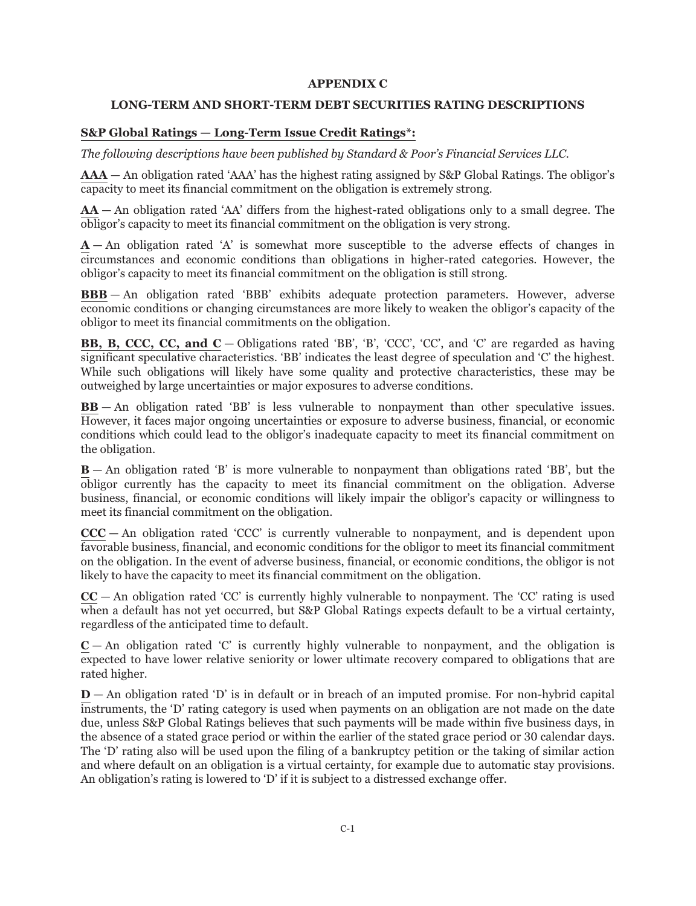### **APPENDIX C**

#### **LONG-TERM AND SHORT-TERM DEBT SECURITIES RATING DESCRIPTIONS**

### **S&P Global Ratings — Long-Term Issue Credit Ratings\*:**

*The following descriptions have been published by Standard & Poor's Financial Services LLC.*

**AAA** — An obligation rated 'AAA' has the highest rating assigned by S&P Global Ratings. The obligor's capacity to meet its financial commitment on the obligation is extremely strong.

**AA** — An obligation rated 'AA' differs from the highest-rated obligations only to a small degree. The obligor's capacity to meet its financial commitment on the obligation is very strong.

 $A - An$  obligation rated 'A' is somewhat more susceptible to the adverse effects of changes in circumstances and economic conditions than obligations in higher-rated categories. However, the obligor's capacity to meet its financial commitment on the obligation is still strong.

**BBB** — An obligation rated 'BBB' exhibits adequate protection parameters. However, adverse economic conditions or changing circumstances are more likely to weaken the obligor's capacity of the obligor to meet its financial commitments on the obligation.

**BB, B, CCC, CC, and C** — Obligations rated 'BB', 'B', 'CCC', 'CC', and 'C' are regarded as having significant speculative characteristics. 'BB' indicates the least degree of speculation and 'C' the highest. While such obligations will likely have some quality and protective characteristics, these may be outweighed by large uncertainties or major exposures to adverse conditions.

**BB** — An obligation rated 'BB' is less vulnerable to nonpayment than other speculative issues. However, it faces major ongoing uncertainties or exposure to adverse business, financial, or economic conditions which could lead to the obligor's inadequate capacity to meet its financial commitment on the obligation.

**B** — An obligation rated 'B' is more vulnerable to nonpayment than obligations rated 'BB', but the obligor currently has the capacity to meet its financial commitment on the obligation. Adverse business, financial, or economic conditions will likely impair the obligor's capacity or willingness to meet its financial commitment on the obligation.

**CCC** — An obligation rated 'CCC' is currently vulnerable to nonpayment, and is dependent upon favorable business, financial, and economic conditions for the obligor to meet its financial commitment on the obligation. In the event of adverse business, financial, or economic conditions, the obligor is not likely to have the capacity to meet its financial commitment on the obligation.

 $CC - An$  obligation rated 'CC' is currently highly vulnerable to nonpayment. The 'CC' rating is used when a default has not yet occurred, but S&P Global Ratings expects default to be a virtual certainty, regardless of the anticipated time to default.

 $C$  — An obligation rated 'C' is currently highly vulnerable to nonpayment, and the obligation is expected to have lower relative seniority or lower ultimate recovery compared to obligations that are rated higher.

**D** — An obligation rated 'D' is in default or in breach of an imputed promise. For non-hybrid capital instruments, the 'D' rating category is used when payments on an obligation are not made on the date due, unless S&P Global Ratings believes that such payments will be made within five business days, in the absence of a stated grace period or within the earlier of the stated grace period or 30 calendar days. The 'D' rating also will be used upon the filing of a bankruptcy petition or the taking of similar action and where default on an obligation is a virtual certainty, for example due to automatic stay provisions. An obligation's rating is lowered to 'D' if it is subject to a distressed exchange offer.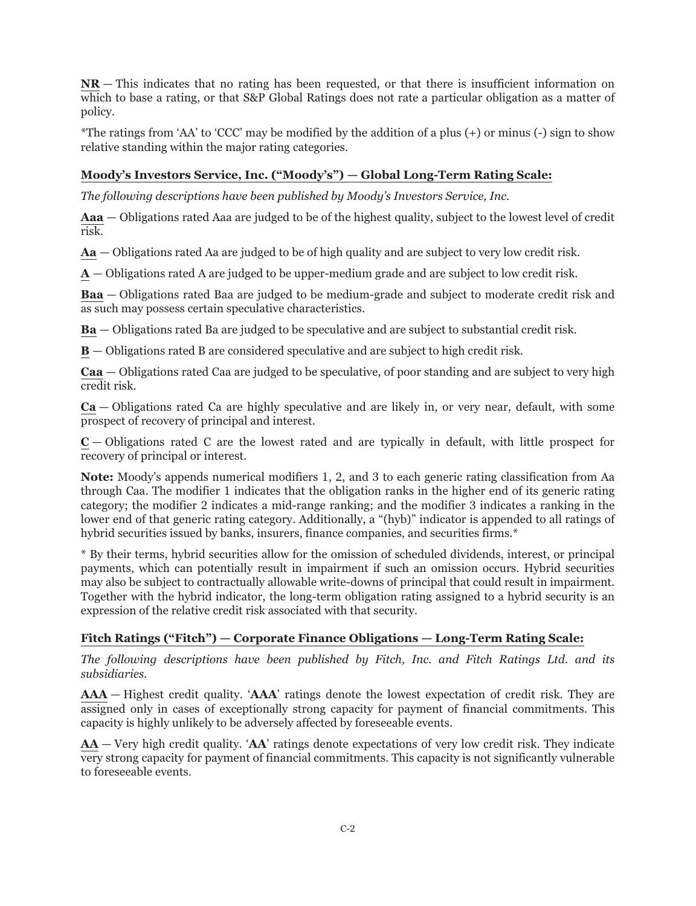**NR** — This indicates that no rating has been requested, or that there is insufficient information on which to base a rating, or that S&P Global Ratings does not rate a particular obligation as a matter of policy.

\*The ratings from 'AA' to 'CCC' may be modified by the addition of a plus (+) or minus (-) sign to show relative standing within the major rating categories.

# **Moody's Investors Service, Inc. ("Moody's") — Global Long-Term Rating Scale:**

*The following descriptions have been published by Moody's Investors Service, Inc.*

**Aaa** — Obligations rated Aaa are judged to be of the highest quality, subject to the lowest level of credit risk.

**Aa** — Obligations rated Aa are judged to be of high quality and are subject to very low credit risk.

**A** — Obligations rated A are judged to be upper-medium grade and are subject to low credit risk.

**Baa** — Obligations rated Baa are judged to be medium-grade and subject to moderate credit risk and as such may possess certain speculative characteristics.

**Ba** — Obligations rated Ba are judged to be speculative and are subject to substantial credit risk.

**B** — Obligations rated B are considered speculative and are subject to high credit risk.

**Caa** — Obligations rated Caa are judged to be speculative, of poor standing and are subject to very high credit risk.

**Ca** — Obligations rated Ca are highly speculative and are likely in, or very near, default, with some prospect of recovery of principal and interest.

**C** — Obligations rated C are the lowest rated and are typically in default, with little prospect for recovery of principal or interest.

**Note:** Moody's appends numerical modifiers 1, 2, and 3 to each generic rating classification from Aa through Caa. The modifier 1 indicates that the obligation ranks in the higher end of its generic rating category; the modifier 2 indicates a mid-range ranking; and the modifier 3 indicates a ranking in the lower end of that generic rating category. Additionally, a "(hyb)" indicator is appended to all ratings of hybrid securities issued by banks, insurers, finance companies, and securities firms.\*

\* By their terms, hybrid securities allow for the omission of scheduled dividends, interest, or principal payments, which can potentially result in impairment if such an omission occurs. Hybrid securities may also be subject to contractually allowable write-downs of principal that could result in impairment. Together with the hybrid indicator, the long-term obligation rating assigned to a hybrid security is an expression of the relative credit risk associated with that security.

# **Fitch Ratings ("Fitch") — Corporate Finance Obligations — Long-Term Rating Scale:**

*The following descriptions have been published by Fitch, Inc. and Fitch Ratings Ltd. and its subsidiaries.*

**AAA** — Highest credit quality. '**AAA**' ratings denote the lowest expectation of credit risk. They are assigned only in cases of exceptionally strong capacity for payment of financial commitments. This capacity is highly unlikely to be adversely affected by foreseeable events.

**AA** — Very high credit quality. '**AA**' ratings denote expectations of very low credit risk. They indicate very strong capacity for payment of financial commitments. This capacity is not significantly vulnerable to foreseeable events.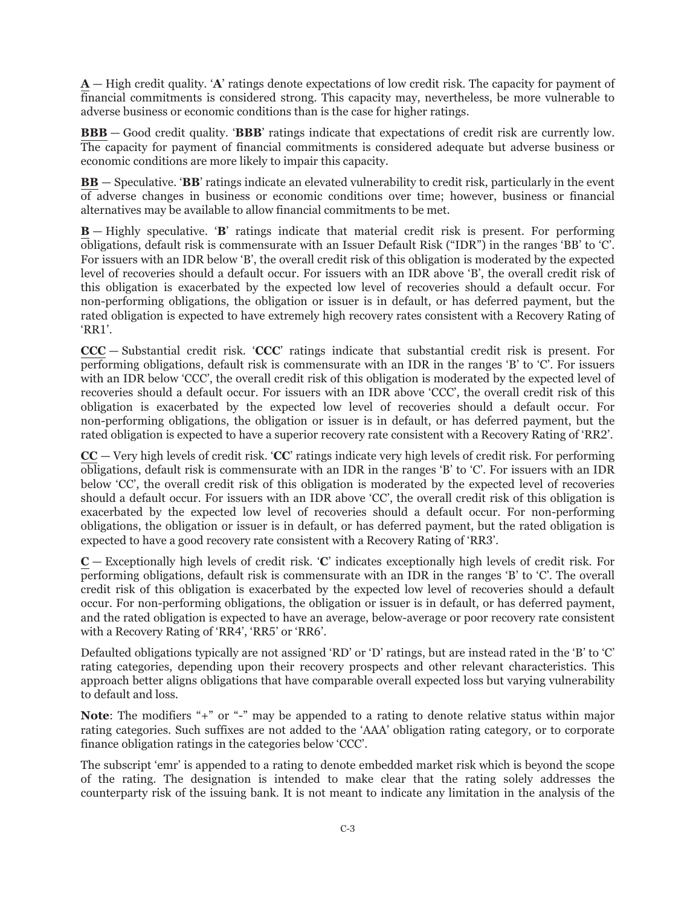**A** — High credit quality. '**A**' ratings denote expectations of low credit risk. The capacity for payment of financial commitments is considered strong. This capacity may, nevertheless, be more vulnerable to adverse business or economic conditions than is the case for higher ratings.

**BBB** — Good credit quality. '**BBB**' ratings indicate that expectations of credit risk are currently low. The capacity for payment of financial commitments is considered adequate but adverse business or economic conditions are more likely to impair this capacity.

**BB** — Speculative. '**BB**' ratings indicate an elevated vulnerability to credit risk, particularly in the event of adverse changes in business or economic conditions over time; however, business or financial alternatives may be available to allow financial commitments to be met.

**B** — Highly speculative. '**B**' ratings indicate that material credit risk is present. For performing obligations, default risk is commensurate with an Issuer Default Risk ("IDR") in the ranges 'BB' to 'C'. For issuers with an IDR below 'B', the overall credit risk of this obligation is moderated by the expected level of recoveries should a default occur. For issuers with an IDR above 'B', the overall credit risk of this obligation is exacerbated by the expected low level of recoveries should a default occur. For non-performing obligations, the obligation or issuer is in default, or has deferred payment, but the rated obligation is expected to have extremely high recovery rates consistent with a Recovery Rating of 'RR1'.

**CCC** — Substantial credit risk. '**CCC**' ratings indicate that substantial credit risk is present. For performing obligations, default risk is commensurate with an IDR in the ranges 'B' to 'C'. For issuers with an IDR below 'CCC', the overall credit risk of this obligation is moderated by the expected level of recoveries should a default occur. For issuers with an IDR above 'CCC', the overall credit risk of this obligation is exacerbated by the expected low level of recoveries should a default occur. For non-performing obligations, the obligation or issuer is in default, or has deferred payment, but the rated obligation is expected to have a superior recovery rate consistent with a Recovery Rating of 'RR2'.

**CC** — Very high levels of credit risk. '**CC**' ratings indicate very high levels of credit risk. For performing obligations, default risk is commensurate with an IDR in the ranges 'B' to 'C'. For issuers with an IDR below 'CC', the overall credit risk of this obligation is moderated by the expected level of recoveries should a default occur. For issuers with an IDR above 'CC', the overall credit risk of this obligation is exacerbated by the expected low level of recoveries should a default occur. For non-performing obligations, the obligation or issuer is in default, or has deferred payment, but the rated obligation is expected to have a good recovery rate consistent with a Recovery Rating of 'RR3'.

**C** — Exceptionally high levels of credit risk. '**C**' indicates exceptionally high levels of credit risk. For performing obligations, default risk is commensurate with an IDR in the ranges 'B' to 'C'. The overall credit risk of this obligation is exacerbated by the expected low level of recoveries should a default occur. For non-performing obligations, the obligation or issuer is in default, or has deferred payment, and the rated obligation is expected to have an average, below-average or poor recovery rate consistent with a Recovery Rating of 'RR4', 'RR5' or 'RR6'.

Defaulted obligations typically are not assigned 'RD' or 'D' ratings, but are instead rated in the 'B' to 'C' rating categories, depending upon their recovery prospects and other relevant characteristics. This approach better aligns obligations that have comparable overall expected loss but varying vulnerability to default and loss.

**Note:** The modifiers "+" or "-" may be appended to a rating to denote relative status within major rating categories. Such suffixes are not added to the 'AAA' obligation rating category, or to corporate finance obligation ratings in the categories below 'CCC'.

The subscript 'emr' is appended to a rating to denote embedded market risk which is beyond the scope of the rating. The designation is intended to make clear that the rating solely addresses the counterparty risk of the issuing bank. It is not meant to indicate any limitation in the analysis of the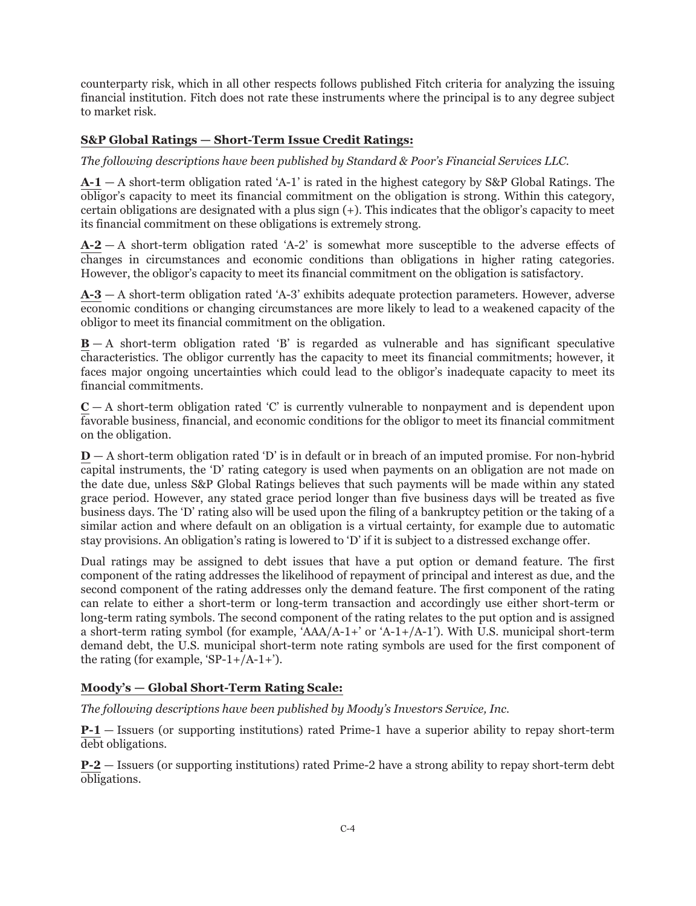counterparty risk, which in all other respects follows published Fitch criteria for analyzing the issuing financial institution. Fitch does not rate these instruments where the principal is to any degree subject to market risk.

# **S&P Global Ratings — Short-Term Issue Credit Ratings:**

*The following descriptions have been published by Standard & Poor's Financial Services LLC.*

**A-1** — A short-term obligation rated 'A-1' is rated in the highest category by S&P Global Ratings. The obligor's capacity to meet its financial commitment on the obligation is strong. Within this category, certain obligations are designated with a plus sign (+). This indicates that the obligor's capacity to meet its financial commitment on these obligations is extremely strong.

**A-2** — A short-term obligation rated 'A-2' is somewhat more susceptible to the adverse effects of changes in circumstances and economic conditions than obligations in higher rating categories. However, the obligor's capacity to meet its financial commitment on the obligation is satisfactory.

**A-3** — A short-term obligation rated 'A-3' exhibits adequate protection parameters. However, adverse economic conditions or changing circumstances are more likely to lead to a weakened capacity of the obligor to meet its financial commitment on the obligation.

**B** — A short-term obligation rated 'B' is regarded as vulnerable and has significant speculative characteristics. The obligor currently has the capacity to meet its financial commitments; however, it faces major ongoing uncertainties which could lead to the obligor's inadequate capacity to meet its financial commitments.

 $C - A$  short-term obligation rated 'C' is currently vulnerable to nonpayment and is dependent upon favorable business, financial, and economic conditions for the obligor to meet its financial commitment on the obligation.

**D** — A short-term obligation rated 'D' is in default or in breach of an imputed promise. For non-hybrid capital instruments, the 'D' rating category is used when payments on an obligation are not made on the date due, unless S&P Global Ratings believes that such payments will be made within any stated grace period. However, any stated grace period longer than five business days will be treated as five business days. The 'D' rating also will be used upon the filing of a bankruptcy petition or the taking of a similar action and where default on an obligation is a virtual certainty, for example due to automatic stay provisions. An obligation's rating is lowered to 'D' if it is subject to a distressed exchange offer.

Dual ratings may be assigned to debt issues that have a put option or demand feature. The first component of the rating addresses the likelihood of repayment of principal and interest as due, and the second component of the rating addresses only the demand feature. The first component of the rating can relate to either a short-term or long-term transaction and accordingly use either short-term or long-term rating symbols. The second component of the rating relates to the put option and is assigned a short-term rating symbol (for example,  $\text{AAA}/\text{A-1+}'$  or  $\text{A-1+/A-1'}$ ). With U.S. municipal short-term demand debt, the U.S. municipal short-term note rating symbols are used for the first component of the rating (for example, 'SP-1+/A-1+').

## **Moody's — Global Short-Term Rating Scale:**

*The following descriptions have been published by Moody's Investors Service, Inc.*

**P-1** — Issuers (or supporting institutions) rated Prime-1 have a superior ability to repay short-term debt obligations.

**P-2** — Issuers (or supporting institutions) rated Prime-2 have a strong ability to repay short-term debt obligations.